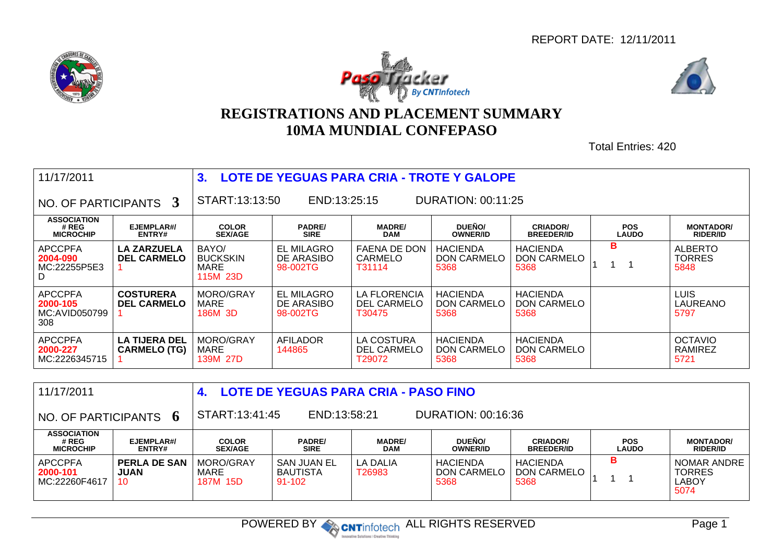





## **REGISTRATIONS AND PLACEMENT SUMMARY10MA MUNDIAL CONFEPASO**

Total Entries: 420

| 11/17/2011                                         |                                             | LOTE DE YEGUAS PARA CRIA - TROTE Y GALOPE<br>3. |                                             |                                                     |                                               |                                               |                            |                                          |  |  |  |
|----------------------------------------------------|---------------------------------------------|-------------------------------------------------|---------------------------------------------|-----------------------------------------------------|-----------------------------------------------|-----------------------------------------------|----------------------------|------------------------------------------|--|--|--|
| NO. OF PARTICIPANTS 3                              |                                             | START:13:13:50                                  | END:13:25:15                                |                                                     |                                               |                                               |                            |                                          |  |  |  |
| <b>ASSOCIATION</b><br># REG<br><b>MICROCHIP</b>    | EJEMPLAR#/<br>ENTRY#                        | <b>COLOR</b><br><b>SEX/AGE</b>                  | <b>PADRE/</b><br><b>SIRE</b>                | <b>MADRE/</b><br><b>DAM</b>                         | DUEÑO/<br><b>OWNER/ID</b>                     | <b>CRIADOR/</b><br><b>BREEDER/ID</b>          | <b>POS</b><br><b>LAUDO</b> | <b>MONTADOR/</b><br><b>RIDER/ID</b>      |  |  |  |
| <b>APCCPFA</b><br>2004-090<br>MC:22255P5E3<br>D    | <b>LA ZARZUELA</b><br><b>DEL CARMELO</b>    | BAYO/<br><b>BUCKSKIN</b><br>MARE<br>115M 23D    | <b>EL MILAGRO</b><br>DE ARASIBO<br>98-002TG | <b>FAENA DE DON</b><br>CARMELO<br>T31114            | <b>HACIENDA</b><br><b>DON CARMELO</b><br>5368 | <b>HACIENDA</b><br><b>DON CARMELO</b><br>5368 | в                          | <b>ALBERTO</b><br><b>TORRES</b><br>5848  |  |  |  |
| <b>APCCPFA</b><br>2000-105<br>MC:AVID050799<br>308 | <b>COSTURERA</b><br><b>DEL CARMELO</b>      | MORO/GRAY<br>MARE<br>186M 3D                    | <b>EL MILAGRO</b><br>DE ARASIBO<br>98-002TG | <b>LA FLORENCIA</b><br><b>DEL CARMELO</b><br>T30475 | <b>HACIENDA</b><br><b>DON CARMELO</b><br>5368 | <b>HACIENDA</b><br>DON CARMELO<br>5368        |                            | <b>LUIS</b><br>LAUREANO<br>5797          |  |  |  |
| <b>APCCPFA</b><br>2000-227<br>MC:2226345715        | <b>LA TIJERA DEL</b><br><b>CARMELO (TG)</b> | MORO/GRAY<br>MARE<br>139M 27D                   | AFILADOR<br>144865                          | LA COSTURA<br><b>DEL CARMELO</b><br>T29072          | <b>HACIENDA</b><br>DON CARMELO<br>5368        | <b>HACIENDA</b><br>DON CARMELO<br>5368        |                            | <b>OCTAVIO</b><br><b>RAMIREZ</b><br>5721 |  |  |  |

| 11/17/2011                                      |                                          |                                | <b>LOTE DE YEGUAS PARA CRIA - PASO FINO</b>          |                             |                                        |                                        |                            |                                                             |  |
|-------------------------------------------------|------------------------------------------|--------------------------------|------------------------------------------------------|-----------------------------|----------------------------------------|----------------------------------------|----------------------------|-------------------------------------------------------------|--|
| $\,$ NO. OF PARTICIPANTS $\,$ 6 $\,$            |                                          |                                | START:13:41:45<br>END:13:58:21<br>DURATION: 00:16:36 |                             |                                        |                                        |                            |                                                             |  |
| <b>ASSOCIATION</b><br># REG<br><b>MICROCHIP</b> | EJEMPLAR#/<br><b>ENTRY#</b>              | <b>COLOR</b><br><b>SEX/AGE</b> | <b>PADRE/</b><br><b>SIRE</b>                         | <b>MADRE/</b><br><b>DAM</b> | DUEÑO/<br><b>OWNER/ID</b>              | <b>CRIADOR/</b><br><b>BREEDER/ID</b>   | <b>POS</b><br><b>LAUDO</b> | <b>MONTADOR/</b><br><b>RIDER/ID</b>                         |  |
| APCCPFA<br>2000-101<br>MC:22260F4617            | <b>PERLA DE SAN</b><br><b>JUAN</b><br>10 | MORO/GRAY<br>MARE<br>187M 15D  | <b>SAN JUAN EL</b><br>BAUTISTA<br>$91 - 102$         | LA DALIA<br>T26983          | <b>HACIENDA</b><br>DON CARMELO<br>5368 | <b>HACIENDA</b><br>DON CARMELO<br>5368 | в                          | <b>NOMAR ANDRE</b><br><b>TORRES</b><br><b>LABOY</b><br>5074 |  |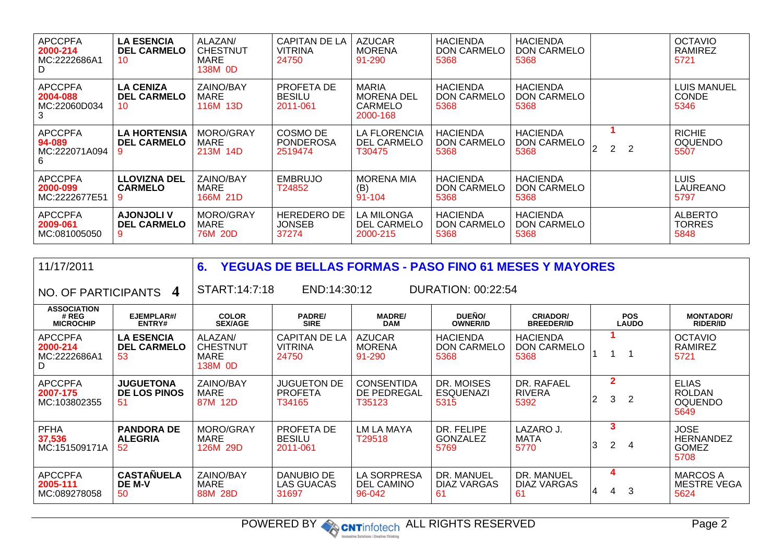| <b>APCCPFA</b><br>2000-214<br>MC:2222686A1<br>D | <b>LA ESENCIA</b><br><b>DEL CARMELO</b><br>10 | ALAZAN/<br><b>CHESTNUT</b><br>MARE<br>138M 0D | <b>CAPITAN DE LA</b><br><b>VITRINA</b><br>24750 | <b>AZUCAR</b><br><b>MORENA</b><br>91-290            | <b>HACIENDA</b><br><b>DON CARMELO</b><br>5368 | <b>HACIENDA</b><br>DON CARMELO<br>5368        |                     | <b>OCTAVIO</b><br>RAMIREZ<br>5721       |
|-------------------------------------------------|-----------------------------------------------|-----------------------------------------------|-------------------------------------------------|-----------------------------------------------------|-----------------------------------------------|-----------------------------------------------|---------------------|-----------------------------------------|
| <b>APCCPFA</b><br>2004-088<br>MC:22060D034<br>3 | <b>LA CENIZA</b><br><b>DEL CARMELO</b><br>10  | ZAINO/BAY<br>MARE<br>116M 13D                 | PROFETA DE<br><b>BESILU</b><br>2011-061         | MARIA<br><b>MORENA DEL</b><br>CARMELO<br>2000-168   | <b>HACIENDA</b><br><b>DON CARMELO</b><br>5368 | <b>HACIENDA</b><br>DON CARMELO<br>5368        |                     | LUIS MANUEL<br><b>CONDE</b><br>5346     |
| <b>APCCPFA</b><br>94-089<br>MC:222071A094<br>6  | <b>LA HORTENSIA</b><br><b>DEL CARMELO</b>     | MORO/GRAY<br>MARE<br>213M 14D                 | COSMO DE<br><b>PONDEROSA</b><br>2519474         | <b>LA FLORENCIA</b><br><b>DEL CARMELO</b><br>T30475 | <b>HACIENDA</b><br>DON CARMELO<br>5368        | <b>HACIENDA</b><br>DON CARMELO<br>5368        | $\overline{2}$<br>2 | <b>RICHIE</b><br><b>OQUENDO</b><br>5507 |
| <b>APCCPFA</b><br>2000-099<br>MC:2222677E51     | <b>LLOVIZNA DEL</b><br><b>CARMELO</b>         | ZAINO/BAY<br>MARE<br>166M 21D                 | <b>EMBRUJO</b><br>T24852                        | <b>MORENA MIA</b><br>(B)<br>91-104                  | <b>HACIENDA</b><br><b>DON CARMELO</b><br>5368 | <b>HACIENDA</b><br><b>DON CARMELO</b><br>5368 |                     | <b>LUIS</b><br>LAUREANO<br>5797         |
| <b>APCCPFA</b><br>2009-061<br>MC:081005050      | <b>AJONJOLI V</b><br><b>DEL CARMELO</b>       | MORO/GRAY<br>MARE<br>76M 20D                  | <b>HEREDERO DE</b><br><b>JONSEB</b><br>37274    | <b>LA MILONGA</b><br><b>DEL CARMELO</b><br>2000-215 | <b>HACIENDA</b><br>DON CARMELO<br>5368        | <b>HACIENDA</b><br><b>DON CARMELO</b><br>5368 |                     | <b>ALBERTO</b><br><b>TORRES</b><br>5848 |

| 11/17/2011                                      |                                               | 6.<br><b>YEGUAS DE BELLAS FORMAS - PASO FINO 61 MESES Y MAYORES</b> |                                                 |                                            |                                               |                                               |   |                     |                            |                                                         |  |
|-------------------------------------------------|-----------------------------------------------|---------------------------------------------------------------------|-------------------------------------------------|--------------------------------------------|-----------------------------------------------|-----------------------------------------------|---|---------------------|----------------------------|---------------------------------------------------------|--|
| NO. OF PARTICIPANTS                             | $\boldsymbol{4}$                              | START:14:7:18                                                       | END:14:30:12                                    |                                            | DURATION: 00:22:54                            |                                               |   |                     |                            |                                                         |  |
| <b>ASSOCIATION</b><br># REG<br><b>MICROCHIP</b> | EJEMPLAR#/<br>ENTRY#                          | <b>COLOR</b><br><b>SEX/AGE</b>                                      | <b>PADRE/</b><br><b>SIRE</b>                    | <b>MADRE/</b><br><b>DAM</b>                | DUEÑO/<br><b>OWNER/ID</b>                     | <b>CRIADOR/</b><br><b>BREEDER/ID</b>          |   |                     | <b>POS</b><br><b>LAUDO</b> | <b>MONTADOR/</b><br><b>RIDER/ID</b>                     |  |
| <b>APCCPFA</b><br>2000-214<br>MC:2222686A1<br>D | <b>LA ESENCIA</b><br><b>DEL CARMELO</b><br>53 | ALAZAN/<br><b>CHESTNUT</b><br><b>MARE</b><br>138M 0D                | <b>CAPITAN DE LA</b><br><b>VITRINA</b><br>24750 | <b>AZUCAR</b><br><b>MORENA</b><br>91-290   | <b>HACIENDA</b><br><b>DON CARMELO</b><br>5368 | <b>HACIENDA</b><br><b>DON CARMELO</b><br>5368 |   |                     |                            | <b>OCTAVIO</b><br>RAMIREZ<br>5721                       |  |
| <b>APCCPFA</b><br>2007-175<br>MC:103802355      | <b>JUGUETONA</b><br><b>DE LOS PINOS</b><br>51 | ZAINO/BAY<br>MARE<br>87M 12D                                        | <b>JUGUETON DE</b><br><b>PROFETA</b><br>T34165  | <b>CONSENTIDA</b><br>DE PEDREGAL<br>T35123 | DR. MOISES<br><b>ESQUENAZI</b><br>5315        | DR. RAFAEL<br><b>RIVERA</b><br>5392           | 2 | $\overline{2}$<br>3 | 2                          | <b>ELIAS</b><br><b>ROLDAN</b><br><b>OQUENDO</b><br>5649 |  |
| <b>PFHA</b><br>37,536<br>MC:151509171A          | <b>PANDORA DE</b><br><b>ALEGRIA</b><br>52     | MORO/GRAY<br>MARE<br>126M 29D                                       | PROFETA DE<br><b>BESILU</b><br>2011-061         | LM LA MAYA<br>T <sub>29518</sub>           | DR. FELIPE<br><b>GONZALEZ</b><br>5769         | LAZARO J.<br><b>MATA</b><br>5770              | 3 | 3<br>2              | 4                          | <b>JOSE</b><br><b>HERNANDEZ</b><br><b>GOMEZ</b><br>5708 |  |
| <b>APCCPFA</b><br>2005-111<br>MC:089278058      | <b>CASTAÑUELA</b><br>DE M-V<br>50             | ZAINO/BAY<br>MARE<br>88M 28D                                        | DANUBIO DE<br>LAS GUACAS<br>31697               | LA SORPRESA<br><b>DEL CAMINO</b><br>96-042 | DR. MANUEL<br>DIAZ VARGAS<br>61               | DR. MANUEL<br>DIAZ VARGAS<br>61               | 4 | 4<br>4              | 3                          | <b>MARCOS A</b><br><b>MESTRE VEGA</b><br>5624           |  |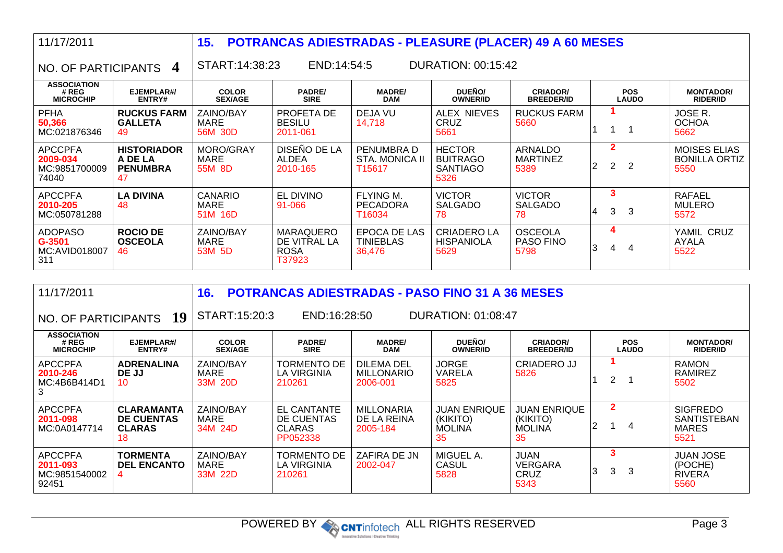| 11/17/2011                                           |                                                        | 15.                               |                                                            | <b>POTRANCAS ADIESTRADAS - PLEASURE (PLACER) 49 A 60 MESES</b> |                                                      |                                            |    |                                  |                            |                                                     |  |  |
|------------------------------------------------------|--------------------------------------------------------|-----------------------------------|------------------------------------------------------------|----------------------------------------------------------------|------------------------------------------------------|--------------------------------------------|----|----------------------------------|----------------------------|-----------------------------------------------------|--|--|
| NO. OF PARTICIPANTS                                  | $\overline{4}$                                         |                                   | END:14:54:5<br><b>DURATION: 00:15:42</b><br>START:14:38:23 |                                                                |                                                      |                                            |    |                                  |                            |                                                     |  |  |
| <b>ASSOCIATION</b><br># REG<br><b>MICROCHIP</b>      | EJEMPLAR#/<br>ENTRY#                                   | <b>COLOR</b><br><b>SEX/AGE</b>    | <b>PADRE/</b><br><b>SIRE</b>                               | <b>MADRE/</b><br><b>DAM</b>                                    | DUEÑO/<br><b>OWNER/ID</b>                            | <b>CRIADOR/</b><br><b>BREEDER/ID</b>       |    |                                  | <b>POS</b><br><b>LAUDO</b> | <b>MONTADOR/</b><br><b>RIDER/ID</b>                 |  |  |
| <b>PFHA</b><br>50,366<br>MC:021876346                | <b>RUCKUS FARM</b><br><b>GALLETA</b><br>49             | ZAINO/BAY<br>MARE<br>56M 30D      | PROFETA DE<br><b>BESILU</b><br>2011-061                    | DEJA VU<br>14,718                                              | <b>ALEX NIEVES</b><br><b>CRUZ</b><br>5661            | <b>RUCKUS FARM</b><br>5660                 |    |                                  |                            | JOSE R.<br><b>OCHOA</b><br>5662                     |  |  |
| <b>APCCPFA</b><br>2009-034<br>MC:9851700009<br>74040 | <b>HISTORIADOR</b><br>A DE LA<br><b>PENUMBRA</b><br>47 | MORO/GRAY<br>MARE<br>55M 8D       | DISEÑO DE LA<br><b>ALDEA</b><br>2010-165                   | PENUMBRA D<br>STA. MONICA II<br>T15617                         | <b>HECTOR</b><br><b>BUITRAGO</b><br>SANTIAGO<br>5326 | <b>ARNALDO</b><br><b>MARTINEZ</b><br>5389  | 2  | $\overline{2}$<br>$\overline{2}$ | $\overline{2}$             | <b>MOISES ELIAS</b><br><b>BONILLA ORTIZ</b><br>5550 |  |  |
| <b>APCCPFA</b><br>2010-205<br>MC:050781288           | <b>LA DIVINA</b><br>48                                 | CANARIO<br><b>MARE</b><br>51M 16D | EL DIVINO<br>91-066                                        | <b>FLYING M.</b><br><b>PECADORA</b><br>T16034                  | <b>VICTOR</b><br><b>SALGADO</b><br>78                | <b>VICTOR</b><br><b>SALGADO</b><br>78      | 14 | 3<br>3                           | 3                          | <b>RAFAEL</b><br><b>MULERO</b><br>5572              |  |  |
| <b>ADOPASO</b><br>G-3501<br>MC:AVID018007<br>311     | <b>ROCIO DE</b><br><b>OSCEOLA</b><br>46                | ZAINO/BAY<br>MARE<br>53M 5D       | <b>MARAQUERO</b><br>DE VITRAL LA<br><b>ROSA</b><br>T37923  | EPOCA DE LAS<br><b>TINIEBLAS</b><br>36,476                     | <b>CRIADERO LA</b><br><b>HISPANIOLA</b><br>5629      | <b>OSCEOLA</b><br><b>PASO FINO</b><br>5798 | 3  | 4<br>4                           | 4                          | YAMIL CRUZ<br><b>AYALA</b><br>5522                  |  |  |
|                                                      |                                                        |                                   |                                                            |                                                                |                                                      |                                            |    |                                  |                            |                                                     |  |  |

| 11/17/2011                                           |                                                               | <b>POTRANCAS ADIESTRADAS - PASO FINO 31 A 36 MESES</b><br>16. |                                                                                                                                                                |                                              |                                                        |                                                 |   |                |   |                                                               |
|------------------------------------------------------|---------------------------------------------------------------|---------------------------------------------------------------|----------------------------------------------------------------------------------------------------------------------------------------------------------------|----------------------------------------------|--------------------------------------------------------|-------------------------------------------------|---|----------------|---|---------------------------------------------------------------|
| NO. OF PARTICIPANTS                                  | 19                                                            | START:15:20:3                                                 | END:16:28:50<br><b>DURATION: 01:08:47</b>                                                                                                                      |                                              |                                                        |                                                 |   |                |   |                                                               |
| <b>ASSOCIATION</b><br># REG<br><b>MICROCHIP</b>      | EJEMPLAR#/<br>ENTRY#                                          | <b>COLOR</b><br><b>SEX/AGE</b>                                | DUEÑO/<br><b>PADRE/</b><br><b>POS</b><br><b>MADRE/</b><br><b>CRIADOR/</b><br><b>SIRE</b><br><b>DAM</b><br><b>LAUDO</b><br><b>OWNER/ID</b><br><b>BREEDER/ID</b> |                                              |                                                        |                                                 |   |                |   |                                                               |
| <b>APCCPFA</b><br>2010-246<br>MC:4B6B414D1           | <b>ADRENALINA</b><br>DE JJ<br>10 <sup>1</sup>                 | ZAINO/BAY<br>MARE<br>33M 20D                                  | TORMENTO DE<br>LA VIRGINIA<br>210261                                                                                                                           | DILEMA DEL<br><b>MILLONARIO</b><br>2006-001  | <b>JORGE</b><br>VARELA<br>5825                         | CRIADERO JJ<br>5826                             |   | $\overline{2}$ |   | <b>RAMON</b><br>RAMIREZ<br>5502                               |
| <b>APCCPFA</b><br>2011-098<br>MC:0A0147714           | <b>CLARAMANTA</b><br><b>DE CUENTAS</b><br><b>CLARAS</b><br>18 | ZAINO/BAY<br>MARE<br>34M 24D                                  | EL CANTANTE<br>DE CUENTAS<br><b>CLARAS</b><br>PP052338                                                                                                         | <b>MILLONARIA</b><br>DE LA REINA<br>2005-184 | <b>JUAN ENRIQUE</b><br>(KIKITO)<br><b>MOLINA</b><br>35 | JUAN ENRIQUE<br>(KIKITO)<br><b>MOLINA</b><br>35 |   | $\mathbf{2}$   | 4 | <b>SIGFREDO</b><br><b>SANTISTEBAN</b><br><b>MARES</b><br>5521 |
| <b>APCCPFA</b><br>2011-093<br>MC:9851540002<br>92451 | <b>TORMENTA</b><br><b>DEL ENCANTO</b>                         | ZAINO/BAY<br><b>MARE</b><br>33M 22D                           | <b>TORMENTO DE</b><br>LA VIRGINIA<br>210261                                                                                                                    | ZAFIRA DE JN<br>2002-047                     | MIGUEL A.<br><b>CASUL</b><br>5828                      | <b>JUAN</b><br>VERGARA<br><b>CRUZ</b><br>5343   | 3 | 3<br>3         | 3 | <b>JUAN JOSE</b><br>(POCHE)<br><b>RIVERA</b><br>5560          |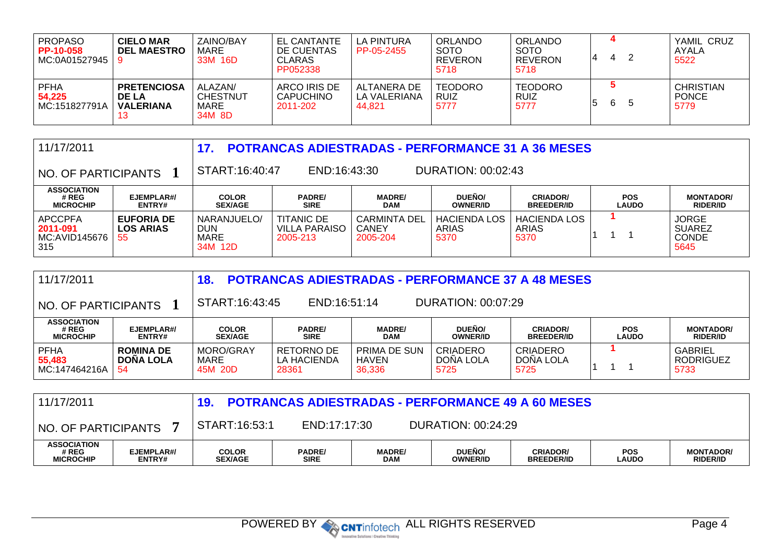| PROPASO<br>PP-10-058<br>MC:0A01527945    | <b>CIELO MAR</b><br><b>DEL MAESTRO</b>                        | ZAINO/BAY<br>MARE<br>33M 16D                 | <b>EL CANTANTE</b><br>DE CUENTAS<br><b>CLARAS</b><br>PP052338 | LA PINTURA<br>PP-05-2455              | <b>ORLANDO</b><br><b>SOTO</b><br><b>REVERON</b><br>5718 | ORLANDO<br><b>SOTO</b><br><b>REVERON</b><br>5718 |    | 4  |    | YAMIL CRUZ<br>AYALA<br>5522              |
|------------------------------------------|---------------------------------------------------------------|----------------------------------------------|---------------------------------------------------------------|---------------------------------------|---------------------------------------------------------|--------------------------------------------------|----|----|----|------------------------------------------|
| <b>PFHA</b><br>54.225<br>∣ MC:151827791A | <b>PRETENCIOSA</b><br><b>DE LA</b><br><b>VALERIANA</b><br>د ا | ALAZAN/<br><b>CHESTNUT</b><br>MARE<br>34M 8D | ARCO IRIS DE<br><b>CAPUCHINO</b><br>2011-202                  | ALTANERA DE<br>LA VALERIANA<br>44.821 | <b>TEODORO</b><br>RUIZ<br>5777                          | <b>TEODORO</b><br><b>RUIZ</b><br>5777            | ່ວ | -6 | -5 | <b>CHRISTIAN</b><br><b>PONCE</b><br>5779 |

| 11/17/2011<br><b>POTRANCAS ADIESTRADAS - PERFORMANCE 31 A 36 MESES</b><br>17. |                                             |                                              |                                                       |                                                 |                               |                                      |                            |                                                       |  |  |
|-------------------------------------------------------------------------------|---------------------------------------------|----------------------------------------------|-------------------------------------------------------|-------------------------------------------------|-------------------------------|--------------------------------------|----------------------------|-------------------------------------------------------|--|--|
| NO. OF PARTICIPANTS                                                           |                                             | START:16:40:47                               | DURATION: 00:02:43<br>END:16:43:30                    |                                                 |                               |                                      |                            |                                                       |  |  |
| <b>ASSOCIATION</b><br># REG<br><b>MICROCHIP</b>                               | EJEMPLAR#/<br><b>ENTRY#</b>                 | <b>COLOR</b><br><b>SEX/AGE</b>               | <b>PADRE/</b><br><b>SIRE</b>                          | <b>MADRE/</b><br><b>DAM</b>                     | DUEÑO/<br><b>OWNER/ID</b>     | <b>CRIADOR/</b><br><b>BREEDER/ID</b> | <b>POS</b><br><b>LAUDO</b> | <b>MONTADOR/</b><br><b>RIDER/ID</b>                   |  |  |
| <b>APCCPFA</b><br>2011-091<br>MC:AVID145676<br>315                            | <b>EUFORIA DE</b><br><b>LOS ARIAS</b><br>55 | NARANJUELO/<br><b>DUN</b><br>MARE<br>34M 12D | <b>TITANIC DE</b><br><b>VILLA PARAISO</b><br>2005-213 | <b>CARMINTA DEL</b><br><b>CANEY</b><br>2005-204 | HACIENDA LOS<br>ARIAS<br>5370 | <b>HACIENDA LOS</b><br>ARIAS<br>5370 |                            | <b>JORGE</b><br><b>SUAREZ</b><br><b>CONDE</b><br>5645 |  |  |

| <b>POTRANCAS ADIESTRADAS - PERFORMANCE 37 A 48 MESES</b><br>11/17/2011<br>18. |                                            |                                |                                                                                                                                                                |                                 |                               |                                      |  |                                            |  |  |  |
|-------------------------------------------------------------------------------|--------------------------------------------|--------------------------------|----------------------------------------------------------------------------------------------------------------------------------------------------------------|---------------------------------|-------------------------------|--------------------------------------|--|--------------------------------------------|--|--|--|
| NO. OF PARTICIPANTS                                                           |                                            | START:16:43:45                 | DURATION: 00:07:29<br>END:16:51:14                                                                                                                             |                                 |                               |                                      |  |                                            |  |  |  |
| <b>ASSOCIATION</b><br># REG<br><b>MICROCHIP</b>                               | EJEMPLAR#/<br><b>ENTRY#</b>                | <b>COLOR</b><br><b>SEX/AGE</b> | DUEÑO/<br><b>PADRE/</b><br><b>MADRE/</b><br><b>CRIADOR/</b><br><b>POS</b><br><b>DAM</b><br><b>LAUDO</b><br><b>SIRE</b><br><b>OWNER/ID</b><br><b>BREEDER/ID</b> |                                 |                               |                                      |  |                                            |  |  |  |
| <b>PFHA</b><br>55,483<br>MC:147464216A                                        | <b>ROMINA DE</b><br><b>DONA LOLA</b><br>54 | MORO/GRAY<br>MARE<br>45M 20D   | RETORNO DE<br>LA HACIENDA<br>28361                                                                                                                             | PRIMA DE SUN<br>HAVEN<br>36,336 | CRIADERO<br>DONA LOLA<br>5725 | <b>CRIADERO</b><br>DONA LOLA<br>5725 |  | <b>GABRIEL</b><br><b>RODRIGUEZ</b><br>5733 |  |  |  |

| 11/17/2011                                      |                             |                                |                              |                             |                           | <b>POTRANCAS ADIESTRADAS - PERFORMANCE 49 A 60 MESES</b> |                            |                                     |
|-------------------------------------------------|-----------------------------|--------------------------------|------------------------------|-----------------------------|---------------------------|----------------------------------------------------------|----------------------------|-------------------------------------|
| <b>NO. OF PARTICIPANTS</b>                      |                             | START:16:53:1                  | END:17:17:30                 |                             | DURATION: 00:24:29        |                                                          |                            |                                     |
| <b>ASSOCIATION</b><br># REG<br><b>MICROCHIP</b> | EJEMPLAR#/<br><b>ENTRY#</b> | <b>COLOR</b><br><b>SEX/AGE</b> | <b>PADRE/</b><br><b>SIRE</b> | <b>MADRE/</b><br><b>DAM</b> | DUEÑO/<br><b>OWNER/ID</b> | <b>CRIADOR/</b><br><b>BREEDER/ID</b>                     | <b>POS</b><br><b>LAUDO</b> | <b>MONTADOR/</b><br><b>RIDER/ID</b> |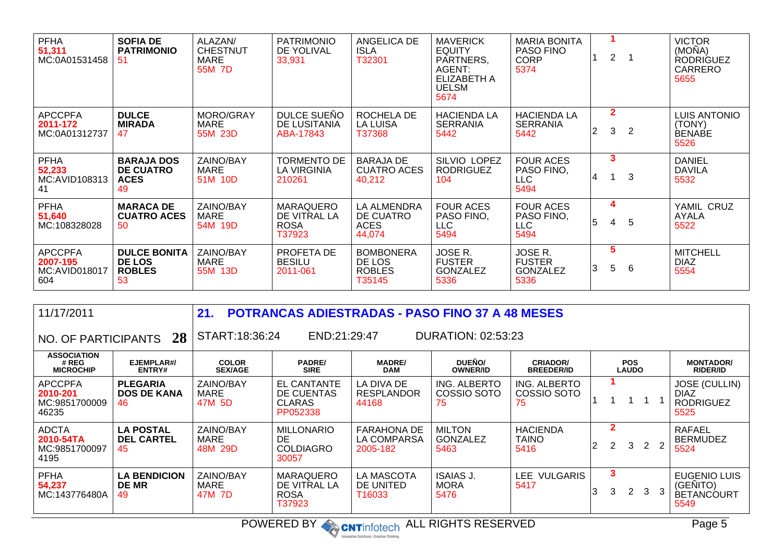| <b>PFHA</b><br>51,311<br>MC:0A01531458             | <b>SOFIA DE</b><br><b>PATRIMONIO</b><br>-51                 | ALAZAN/<br><b>CHESTNUT</b><br>MARE<br>55M 7D | <b>PATRIMONIO</b><br>DE YOLIVAL<br>33,931                 | ANGELICA DE<br><b>ISLA</b><br>T32301                  | <b>MAVERICK</b><br><b>EQUITY</b><br>PARTNERS,<br>AGENT:<br><b>ELIZABETH A</b><br><b>UELSM</b><br>5674 | <b>MARIA BONITA</b><br><b>PASO FINO</b><br><b>CORP</b><br>5374 |   | $\overline{2}$        |   | <b>VICTOR</b><br>(MOÑA)<br><b>RODRIGUEZ</b><br><b>CARRERO</b><br>5655 |
|----------------------------------------------------|-------------------------------------------------------------|----------------------------------------------|-----------------------------------------------------------|-------------------------------------------------------|-------------------------------------------------------------------------------------------------------|----------------------------------------------------------------|---|-----------------------|---|-----------------------------------------------------------------------|
| <b>APCCPFA</b><br>2011-172<br>MC:0A01312737        | <b>DULCE</b><br><b>MIRADA</b><br>47                         | MORO/GRAY<br><b>MARE</b><br>55M 23D          | DULCE SUEÑO<br>DE LUSITANIA<br>ABA-17843                  | ROCHELA DE<br><b>LA LUISA</b><br>T37368               | <b>HACIENDA LA</b><br><b>SERRANIA</b><br>5442                                                         | <b>HACIENDA LA</b><br><b>SERRANIA</b><br>5442                  | 2 | $\mathbf{2}$<br>3     | 2 | <b>LUIS ANTONIO</b><br>(TONY)<br><b>BENABE</b><br>5526                |
| <b>PFHA</b><br>52,233<br>MC:AVID108313<br>41       | <b>BARAJA DOS</b><br><b>DE CUATRO</b><br><b>ACES</b><br>49  | ZAINO/BAY<br><b>MARE</b><br>51M 10D          | <b>TORMENTO DE</b><br><b>LA VIRGINIA</b><br>210261        | <b>BARAJA DE</b><br><b>CUATRO ACES</b><br>40,212      | <b>SILVIO LOPEZ</b><br><b>RODRIGUEZ</b><br>104                                                        | <b>FOUR ACES</b><br>PASO FINO.<br><b>LLC</b><br>5494           | 4 | 3                     | 3 | <b>DANIEL</b><br><b>DAVILA</b><br>5532                                |
| <b>PFHA</b><br>51,640<br>MC:108328028              | <b>MARACA DE</b><br><b>CUATRO ACES</b><br>50                | ZAINO/BAY<br>MARE<br>54M 19D                 | <b>MARAQUERO</b><br>DE VITRAL LA<br><b>ROSA</b><br>T37923 | LA ALMENDRA<br>DE CUATRO<br><b>ACES</b><br>44,074     | <b>FOUR ACES</b><br>PASO FINO,<br><b>LLC</b><br>5494                                                  | <b>FOUR ACES</b><br>PASO FINO,<br><b>LLC</b><br>5494           | 5 | 4<br>4                | 5 | YAMIL CRUZ<br><b>AYALA</b><br>5522                                    |
| <b>APCCPFA</b><br>2007-195<br>MC:AVID018017<br>604 | <b>DULCE BONITA</b><br><b>DE LOS</b><br><b>ROBLES</b><br>53 | ZAINO/BAY<br>MARE<br>55M 13D                 | PROFETA DE<br><b>BESILU</b><br>2011-061                   | <b>BOMBONERA</b><br>DE LOS<br><b>ROBLES</b><br>T35145 | JOSE R.<br><b>FUSTER</b><br><b>GONZALEZ</b><br>5336                                                   | JOSE R.<br><b>FUSTER</b><br><b>GONZALEZ</b><br>5336            | 3 | $5\overline{)}$<br>5. | 6 | <b>MITCHELL</b><br><b>DIAZ</b><br>5554                                |

| 11/17/2011                                           |                                             | 21.                                 |                                                                      | <b>POTRANCAS ADIESTRADAS - PASO FINO 37 A 48 MESES</b> |                                          |                                       |                |                     |                            |                       |                |                                                                 |
|------------------------------------------------------|---------------------------------------------|-------------------------------------|----------------------------------------------------------------------|--------------------------------------------------------|------------------------------------------|---------------------------------------|----------------|---------------------|----------------------------|-----------------------|----------------|-----------------------------------------------------------------|
| NO. OF PARTICIPANTS 28                               |                                             |                                     | START:18:36:24<br>END:21:29:47<br><b>DURATION: 02:53:23</b>          |                                                        |                                          |                                       |                |                     |                            |                       |                |                                                                 |
| <b>ASSOCIATION</b><br># REG<br><b>MICROCHIP</b>      | EJEMPLAR#/<br><b>ENTRY#</b>                 | <b>COLOR</b><br><b>SEX/AGE</b>      | <b>PADRE/</b><br><b>SIRE</b>                                         | <b>MADRE/</b><br><b>DAM</b>                            | DUEÑO/<br><b>OWNER/ID</b>                | <b>CRIADOR/</b><br><b>BREEDER/ID</b>  |                |                     | <b>POS</b><br><b>LAUDO</b> |                       |                | <b>MONTADOR/</b><br><b>RIDER/ID</b>                             |
| <b>APCCPFA</b><br>2010-201<br>MC:9851700009<br>46235 | <b>PLEGARIA</b><br><b>DOS DE KANA</b><br>46 | ZAINO/BAY<br><b>MARE</b><br>47M 5D  | <b>EL CANTANTE</b><br><b>DE CUENTAS</b><br><b>CLARAS</b><br>PP052338 | LA DIVA DE<br><b>RESPLANDOR</b><br>44168               | ING. ALBERTO<br>COSSIO SOTO<br>75        | ING. ALBERTO<br>COSSIO SOTO<br>75     |                |                     |                            |                       |                | <b>JOSE (CULLIN)</b><br><b>DIAZ</b><br><b>RODRIGUEZ</b><br>5525 |
| <b>ADCTA</b><br>2010-54TA<br>MC:9851700097<br>4195   | <b>LA POSTAL</b><br><b>DEL CARTEL</b><br>45 | <b>ZAINO/BAY</b><br>MARE<br>48M 29D | <b>MILLONARIO</b><br>DE.<br><b>COLDIAGRO</b><br>30057                | <b>FARAHONA DE</b><br>LA COMPARSA<br>2005-182          | <b>MILTON</b><br><b>GONZALEZ</b><br>5463 | <b>HACIENDA</b><br>TAINO<br>5416      | $\overline{2}$ | 2<br>$\overline{2}$ | 3                          | $\mathbf{2}^{\prime}$ | $\overline{2}$ | <b>RAFAEL</b><br><b>BERMUDEZ</b><br>5524                        |
| <b>PFHA</b><br>54,237<br>MC:143776480A               | <b>LA BENDICION</b><br><b>DE MR</b><br>49   | ZAINO/BAY<br>MARE<br>47M 7D         | <b>MARAQUERO</b><br>DE VITRAL LA<br><b>ROSA</b><br>T37923            | <b>LA MASCOTA</b><br>DE UNITED<br>T16033               | <b>ISAIAS J.</b><br><b>MORA</b><br>5476  | <b>LEE</b><br><b>VULGARIS</b><br>5417 | 3              | 3<br>3              | $\overline{2}$             | 3                     | 3              | EUGENIO LUIS<br>(GENITO)<br><b>BETANCOURT</b><br>5549           |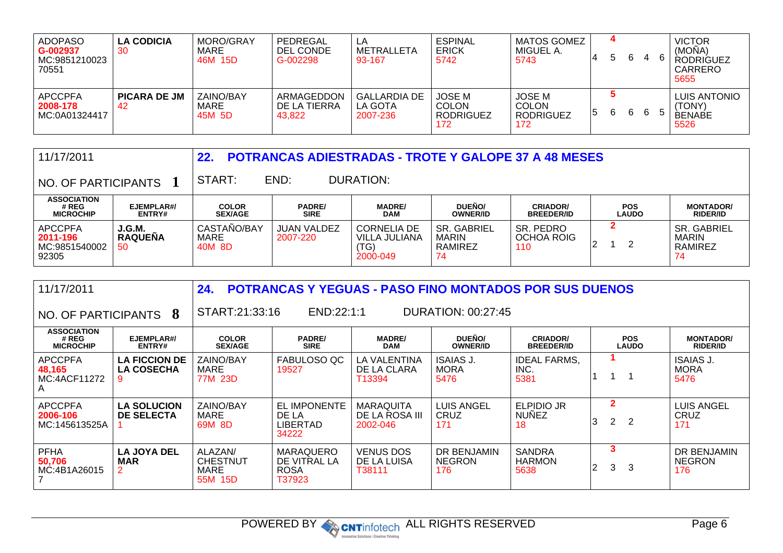| <b>ADOPASO</b><br>G-002937<br>MC:9851210023<br>70551 | <b>LA CODICIA</b><br>30   | <b>MORO/GRAY</b><br>MARE<br>46M 15D | PEDREGAL<br>DEL CONDE<br>G-002298    | LA<br>METRALLETA<br>93-167                 | <b>ESPINAL</b><br><b>ERICK</b><br>5742                   | <b>MATOS GOMEZ</b><br>MIGUEL A.<br>5743           |   | b | 6 | 4  | 6             | <b>VICTOR</b><br>(MONA)<br><b>RODRIGUEZ</b><br>CARRERO<br>5655 |
|------------------------------------------------------|---------------------------|-------------------------------------|--------------------------------------|--------------------------------------------|----------------------------------------------------------|---------------------------------------------------|---|---|---|----|---------------|----------------------------------------------------------------|
| <b>APCCPFA</b><br>2008-178<br>MC:0A01324417          | <b>PICARA DE JM</b><br>42 | ZAINO/BAY<br>MARE<br>45M 5D         | ARMAGEDDON<br>DE LA TIERRA<br>43,822 | <b>GALLARDIA DE</b><br>LA GOTA<br>2007-236 | <b>JOSE M</b><br><b>COLON</b><br><b>RODRIGUEZ</b><br>172 | JOSE M<br><b>COLON</b><br><b>RODRIGUEZ</b><br>172 | 5 | 6 | 6 | -6 | $\mathcal{D}$ | <b>LUIS ANTONIO</b><br>(TONY)<br><b>BENABE</b><br>5526         |

| 11/17/2011                                           |                                 | 22.                            |                                |                                                         | <b>POTRANCAS ADIESTRADAS - TROTE Y GALOPE 37 A 48 MESES</b> |                                      |                            |                                              |
|------------------------------------------------------|---------------------------------|--------------------------------|--------------------------------|---------------------------------------------------------|-------------------------------------------------------------|--------------------------------------|----------------------------|----------------------------------------------|
| NO. OF PARTICIPANTS                                  |                                 | START:                         | END:                           | DURATION:                                               |                                                             |                                      |                            |                                              |
| <b>ASSOCIATION</b><br># REG<br><b>MICROCHIP</b>      | EJEMPLAR#/<br><b>ENTRY#</b>     | <b>COLOR</b><br><b>SEX/AGE</b> | <b>PADRE/</b><br><b>SIRE</b>   | <b>MADRE/</b><br><b>DAM</b>                             | DUEÑO/<br><b>OWNER/ID</b>                                   | <b>CRIADOR/</b><br><b>BREEDER/ID</b> | <b>POS</b><br><b>LAUDO</b> | <b>MONTADOR/</b><br><b>RIDER/ID</b>          |
| <b>APCCPFA</b><br>2011-196<br>MC:9851540002<br>92305 | J.G.M.<br><b>RAQUEÑA</b><br>-50 | CASTANO/BAY<br>MARE<br>40M 8D  | <b>JUAN VALDEZ</b><br>2007-220 | <b>CORNELIA DE</b><br>VILLA JULIANA<br>(TG)<br>2000-049 | <b>SR. GABRIEL</b><br><b>MARIN</b><br>RAMIREZ<br>74         | SR. PEDRO<br>OCHOA ROIG<br>110       | 2                          | <b>SR. GABRIEL</b><br>MARIN<br>RAMIREZ<br>74 |

| 11/17/2011                                      |                                           | 24.                                                  | <b>POTRANCAS Y YEGUAS - PASO FINO MONTADOS POR SUS DUENOS</b> |                                                |                                     |                                         |                             |                                            |  |  |  |  |
|-------------------------------------------------|-------------------------------------------|------------------------------------------------------|---------------------------------------------------------------|------------------------------------------------|-------------------------------------|-----------------------------------------|-----------------------------|--------------------------------------------|--|--|--|--|
| NO. OF PARTICIPANTS 8                           |                                           |                                                      | START:21:33:16<br>END:22:1:1<br><b>DURATION: 00:27:45</b>     |                                                |                                     |                                         |                             |                                            |  |  |  |  |
| <b>ASSOCIATION</b><br># REG<br><b>MICROCHIP</b> | EJEMPLAR#/<br>ENTRY#                      | <b>COLOR</b><br><b>SEX/AGE</b>                       | <b>PADRE/</b><br><b>SIRE</b>                                  | <b>MADRE/</b><br><b>DAM</b>                    | DUEÑO/<br><b>OWNER/ID</b>           | <b>CRIADOR/</b><br><b>BREEDER/ID</b>    | <b>POS</b><br><b>LAUDO</b>  | <b>MONTADOR/</b><br><b>RIDER/ID</b>        |  |  |  |  |
| <b>APCCPFA</b><br>48,165<br>MC:4ACF11272<br>A   | <b>LA FICCION DE</b><br><b>LA COSECHA</b> | ZAINO/BAY<br>MARE<br>77M 23D                         | FABULOSO QC<br>19527                                          | LA VALENTINA<br>DE LA CLARA<br>T13394          | ISAIAS J.<br><b>MORA</b><br>5476    | <b>IDEAL FARMS,</b><br>INC.<br>5381     |                             | <b>ISAIAS J.</b><br><b>MORA</b><br>5476    |  |  |  |  |
| <b>APCCPFA</b><br>2006-106<br>MC:145613525A     | <b>LA SOLUCION</b><br>DE SELECTA          | ZAINO/BAY<br>MARE<br>69M 8D                          | <b>EL IMPONENTE</b><br>DE LA<br><b>LIBERTAD</b><br>34222      | <b>MARAQUITA</b><br>DE LA ROSA III<br>2002-046 | <b>LUIS ANGEL</b><br>CRUZ<br>171    | <b>ELPIDIO JR</b><br><b>NUNEZ</b><br>18 | $\mathbf{2}$<br>2<br>2<br>3 | LUIS ANGEL<br>CRUZ<br>171                  |  |  |  |  |
| <b>PFHA</b><br>50.706<br>MC:4B1A26015           | <b>LA JOYA DEL</b><br><b>MAR</b>          | ALAZAN/<br><b>CHESTNUT</b><br><b>MARE</b><br>55M 15D | <b>MARAQUERO</b><br>DE VITRAL LA<br><b>ROSA</b><br>T37923     | <b>VENUS DOS</b><br>DE LA LUISA<br>T38111      | DR BENJAMIN<br><b>NEGRON</b><br>176 | <b>SANDRA</b><br><b>HARMON</b><br>5638  | 3<br>3<br>3<br>2            | <b>DR BENJAMIN</b><br><b>NEGRON</b><br>176 |  |  |  |  |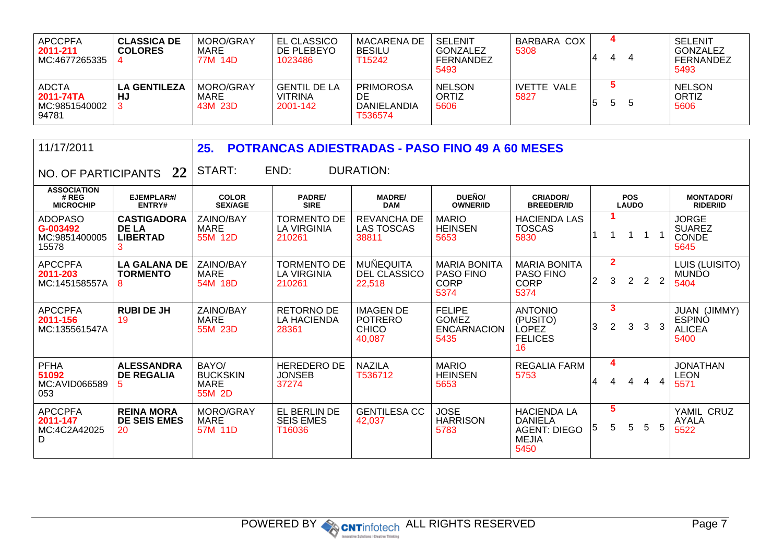| <b>APCCPFA</b><br>2011-211<br>MC:4677265335         | <b>CLASSICA DE</b><br><b>COLORES</b> | MORO/GRAY<br>MARE<br>77M 14D | <b>EL CLASSICO</b><br>DE PLEBEYO<br>1023486       | MACARENA DE<br><b>BESILU</b><br>T15242           | SELENIT<br>GONZALEZ<br>FERNANDEZ<br>5493 | BARBARA COX<br>5308 | 4 | 4  | <b>SELENIT</b><br>GONZALEZ<br>FERNANDEZ<br>5493 |
|-----------------------------------------------------|--------------------------------------|------------------------------|---------------------------------------------------|--------------------------------------------------|------------------------------------------|---------------------|---|----|-------------------------------------------------|
| <b>ADCTA</b><br>2011-74TA<br>MC:9851540002<br>94781 | <b>LA GENTILEZA</b><br>HJ            | MORO/GRAY<br>MARE<br>43M 23D | <b>GENTIL DE LA</b><br><b>VITRINA</b><br>2001-142 | <b>PRIMOROSA</b><br>DE<br>DANIELANDIA<br>T536574 | <b>NELSON</b><br>ORTIZ<br>5606           | IVETTE VALE<br>5827 | 5 | -5 | <b>NELSON</b><br>ORTIZ<br>5606                  |

|  | 11/17/2011 |  |
|--|------------|--|
|--|------------|--|

**25. POTRANCAS ADIESTRADAS - PASO FINO 49 A 60 MESES**

 $\big\vert$  NO. OF PARTICIPANTS  $\big\vert$  22  $\big\vert$  START:

END: DURATION:

| <b>ASSOCIATION</b><br># REG<br><b>MICROCHIP</b>      | EJEMPLAR#/<br>ENTRY#                                  | <b>COLOR</b><br><b>SEX/AGE</b>                    | <b>PADRE/</b><br><b>SIRE</b>                       | <b>MADRE/</b><br><b>DAM</b>                                  | DUEÑO/<br><b>OWNER/ID</b>                                      | <b>CRIADOR/</b><br><b>BREEDER/ID</b>                                                |                |                                           | <b>POS</b><br><b>LAUDO</b> |                |                | <b>MONTADOR/</b><br><b>RIDER/ID</b>                    |
|------------------------------------------------------|-------------------------------------------------------|---------------------------------------------------|----------------------------------------------------|--------------------------------------------------------------|----------------------------------------------------------------|-------------------------------------------------------------------------------------|----------------|-------------------------------------------|----------------------------|----------------|----------------|--------------------------------------------------------|
| <b>ADOPASO</b><br>G-003492<br>MC:9851400005<br>15578 | <b>CASTIGADORA</b><br><b>DE LA</b><br><b>LIBERTAD</b> | ZAINO/BAY<br>MARE<br>55M 12D                      | <b>TORMENTO DE</b><br><b>LA VIRGINIA</b><br>210261 | REVANCHA DE<br><b>LAS TOSCAS</b><br>38811                    | <b>MARIO</b><br><b>HEINSEN</b><br>5653                         | <b>HACIENDA LAS</b><br><b>TOSCAS</b><br>5830                                        |                |                                           |                            |                |                | <b>JORGE</b><br><b>SUAREZ</b><br><b>CONDE</b><br>5645  |
| <b>APCCPFA</b><br>2011-203<br>MC:145158557A          | <b>LA GALANA DE</b><br><b>TORMENTO</b><br>8           | ZAINO/BAY<br>MARE<br>54M 18D                      | <b>TORMENTO DE</b><br>LA VIRGINIA<br>210261        | MUÑEQUITA<br><b>DEL CLASSICO</b><br>22,518                   | <b>MARIA BONITA</b><br><b>PASO FINO</b><br><b>CORP</b><br>5374 | <b>MARIA BONITA</b><br><b>PASO FINO</b><br><b>CORP</b><br>5374                      | $\overline{2}$ | $\mathbf{2}$<br>3                         | $\overline{2}$             | $\overline{2}$ | $\overline{2}$ | LUIS (LUISITO)<br><b>MUNDO</b><br>5404                 |
| <b>APCCPFA</b><br>2011-156<br>MC:135561547A          | <b>RUBI DE JH</b><br>19                               | ZAINO/BAY<br>MARE<br>55M 23D                      | <b>RETORNO DE</b><br>LA HACIENDA<br>28361          | <b>IMAGEN DE</b><br><b>POTRERO</b><br><b>CHICO</b><br>40,087 | <b>FELIPE</b><br><b>GOMEZ</b><br><b>ENCARNACION</b><br>5435    | <b>ANTONIO</b><br>(PUSITO)<br><b>LOPEZ</b><br><b>FELICES</b><br>16                  | 3              | $\overline{\mathbf{3}}$<br>$\overline{2}$ | $\mathbf{3}$               | $\mathbf{3}$   | 3              | JUAN (JIMMY)<br><b>ESPINO</b><br><b>ALICEA</b><br>5400 |
| <b>PFHA</b><br>51092<br>MC:AVID066589<br>053         | <b>ALESSANDRA</b><br><b>DE REGALIA</b><br>5.          | BAYO/<br><b>BUCKSKIN</b><br><b>MARE</b><br>55M 2D | <b>HEREDERO DE</b><br><b>JONSEB</b><br>37274       | <b>NAZILA</b><br>T536712                                     | <b>MARIO</b><br><b>HEINSEN</b><br>5653                         | <b>REGALIA FARM</b><br>5753                                                         | 4              | 4<br>4                                    | 4                          | 4              | $\overline{4}$ | <b>JONATHAN</b><br><b>LEON</b><br>5571                 |
| <b>APCCPFA</b><br>2011-147<br>MC:4C2A42025<br>D      | <b>REINA MORA</b><br><b>DE SEIS EMES</b><br>20        | MORO/GRAY<br>MARE<br>57M 11D                      | EL BERLIN DE<br><b>SEIS EMES</b><br>T16036         | <b>GENTILESA CC</b><br>42,037                                | <b>JOSE</b><br><b>HARRISON</b><br>5783                         | <b>HACIENDA LA</b><br><b>DANIELA</b><br><b>AGENT: DIEGO</b><br><b>MEJIA</b><br>5450 | 5              | 5<br>5                                    | 5                          | 5              | 5              | YAMIL CRUZ<br><b>AYALA</b><br>5522                     |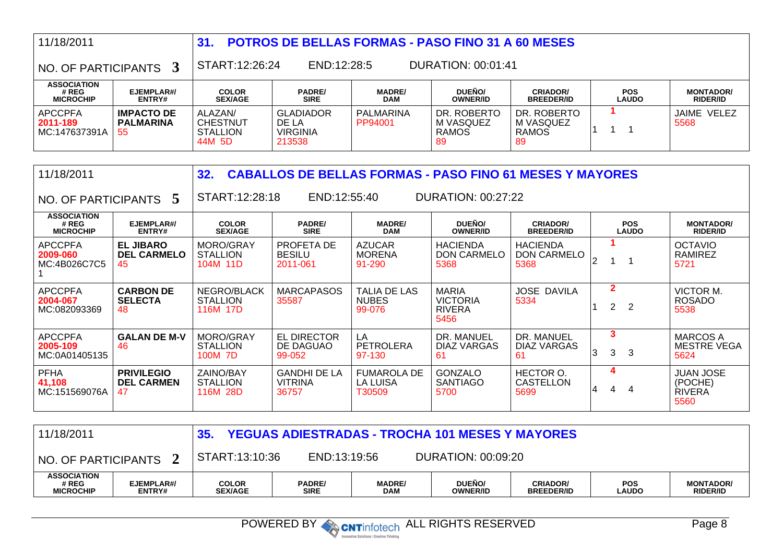| 11/18/2011                                      |                                              | 31.                                                     | <b>POTROS DE BELLAS FORMAS - PASO FINO 31 A 60 MESES</b> |                                                                 |                                                          |                                                |                                                    |                                                      |  |  |  |  |  |
|-------------------------------------------------|----------------------------------------------|---------------------------------------------------------|----------------------------------------------------------|-----------------------------------------------------------------|----------------------------------------------------------|------------------------------------------------|----------------------------------------------------|------------------------------------------------------|--|--|--|--|--|
| NO. OF PARTICIPANTS                             | 3                                            | START:12:26:24                                          | END:12:28:5                                              |                                                                 | DURATION: 00:01:41                                       |                                                |                                                    |                                                      |  |  |  |  |  |
| <b>ASSOCIATION</b><br># REG<br><b>MICROCHIP</b> | EJEMPLAR#/<br>ENTRY#                         | <b>COLOR</b><br><b>SEX/AGE</b>                          | PADRE/<br><b>SIRE</b>                                    | <b>MADRE/</b><br><b>DAM</b>                                     | DUEÑO/<br><b>OWNER/ID</b>                                | <b>CRIADOR/</b><br><b>BREEDER/ID</b>           | <b>POS</b><br><b>LAUDO</b>                         | <b>MONTADOR/</b><br><b>RIDER/ID</b>                  |  |  |  |  |  |
| <b>APCCPFA</b><br>2011-189<br>MC:147637391A     | <b>IMPACTO DE</b><br><b>PALMARINA</b><br>55  | ALAZAN/<br><b>CHESTNUT</b><br><b>STALLION</b><br>44M 5D | <b>GLADIADOR</b><br>DE LA<br><b>VIRGINIA</b><br>213538   | <b>PALMARINA</b><br>PP94001                                     | DR. ROBERTO<br>M VASQUEZ<br><b>RAMOS</b><br>89           | DR. ROBERTO<br>M VASQUEZ<br><b>RAMOS</b><br>89 | 1<br>1                                             | JAIME VELEZ<br>5568                                  |  |  |  |  |  |
| 11/18/2011                                      |                                              | 32.                                                     |                                                          | <b>CABALLOS DE BELLAS FORMAS - PASO FINO 61 MESES Y MAYORES</b> |                                                          |                                                |                                                    |                                                      |  |  |  |  |  |
| NO. OF PARTICIPANTS                             | 5                                            | START:12:28:18                                          | END:12:55:40                                             |                                                                 | <b>DURATION: 00:27:22</b>                                |                                                |                                                    |                                                      |  |  |  |  |  |
| <b>ASSOCIATION</b><br># REG<br><b>MICROCHIP</b> | EJEMPLAR#/<br>ENTRY#                         | <b>COLOR</b><br><b>SEX/AGE</b>                          | <b>PADRE/</b><br><b>SIRE</b>                             | <b>MADRE/</b><br><b>DAM</b>                                     | DUEÑO/<br><b>OWNER/ID</b>                                | <b>CRIADOR/</b><br><b>BREEDER/ID</b>           | <b>POS</b><br><b>LAUDO</b>                         | <b>MONTADOR/</b><br><b>RIDER/ID</b>                  |  |  |  |  |  |
| <b>APCCPFA</b><br>2009-060<br>MC:4B026C7C5      | <b>EL JIBARO</b><br><b>DEL CARMELO</b><br>45 | MORO/GRAY<br><b>STALLION</b><br>104M 11D                | PROFETA DE<br><b>BESILU</b><br>2011-061                  | <b>AZUCAR</b><br><b>MORENA</b><br>91-290                        | <b>HACIENDA</b><br><b>DON CARMELO</b><br>5368            | <b>HACIENDA</b><br><b>DON CARMELO</b><br>5368  | $\blacktriangleleft$<br>$\overline{2}$<br>1        | <b>OCTAVIO</b><br><b>RAMIREZ</b><br>5721             |  |  |  |  |  |
| <b>APCCPFA</b><br>2004-067<br>MC:082093369      | <b>CARBON DE</b><br><b>SELECTA</b><br>48     | NEGRO/BLACK<br><b>STALLION</b><br>116M 17D              | <b>MARCAPASOS</b><br>35587                               | <b>TALIA DE LAS</b><br><b>NUBES</b><br>99-076                   | <b>MARIA</b><br><b>VICTORIA</b><br><b>RIVERA</b><br>5456 | <b>JOSE DAVILA</b><br>5334                     | $\overline{2}$<br>$\overline{2}$<br>$\overline{2}$ | VICTOR M.<br><b>ROSADO</b><br>5538                   |  |  |  |  |  |
| <b>APCCPFA</b><br>2005-109<br>MC:0A01405135     | <b>GALAN DE M-V</b><br>46                    | MORO/GRAY<br><b>STALLION</b><br>100M 7D                 | <b>EL DIRECTOR</b><br>DE DAGUAO<br>99-052                | LA<br><b>PETROLERA</b><br>97-130                                | DR. MANUEL<br><b>DIAZ VARGAS</b><br>61                   | DR. MANUEL<br><b>DIAZ VARGAS</b><br>61         | 3<br>3<br>3<br>3                                   | <b>MARCOS A</b><br><b>MESTRE VEGA</b><br>5624        |  |  |  |  |  |
| <b>PFHA</b><br>41.108<br>MC:151569076A          | <b>PRIVILEGIO</b><br><b>DEL CARMEN</b><br>47 | ZAINO/BAY<br><b>STALLION</b><br>116M 28D                | <b>GANDHI DE LA</b><br><b>VITRINA</b><br>36757           | <b>FUMAROLA DE</b><br><b>LA LUISA</b><br>T30509                 | <b>GONZALO</b><br><b>SANTIAGO</b><br>5700                | HECTOR O.<br><b>CASTELLON</b><br>5699          | 4<br>4<br>4<br>4                                   | <b>JUAN JOSE</b><br>(POCHE)<br><b>RIVERA</b><br>5560 |  |  |  |  |  |

| 11/18/2011                                      |                             | <b>YEGUAS ADIESTRADAS - TROCHA 101 MESES Y MAYORES</b> |                              |                      |                                 |                                      |                            |                                     |  |  |
|-------------------------------------------------|-----------------------------|--------------------------------------------------------|------------------------------|----------------------|---------------------------------|--------------------------------------|----------------------------|-------------------------------------|--|--|
| NO. OF PARTICIPANTS                             |                             | START:13:10:36                                         | END:13:19:56                 |                      | <b>DURATION: 00:09:20</b>       |                                      |                            |                                     |  |  |
| <b>ASSOCIATION</b><br># REG<br><b>MICROCHIP</b> | EJEMPLAR#/<br><b>ENTRY#</b> | <b>COLOR</b><br><b>SEX/AGE</b>                         | <b>PADRE/</b><br><b>SIRE</b> | <b>MADRE/</b><br>DAM | <b>DUEÑO</b><br><b>OWNER/ID</b> | <b>CRIADOR/</b><br><b>BREEDER/ID</b> | <b>POS</b><br><b>LAUDO</b> | <b>MONTADOR/</b><br><b>RIDER/ID</b> |  |  |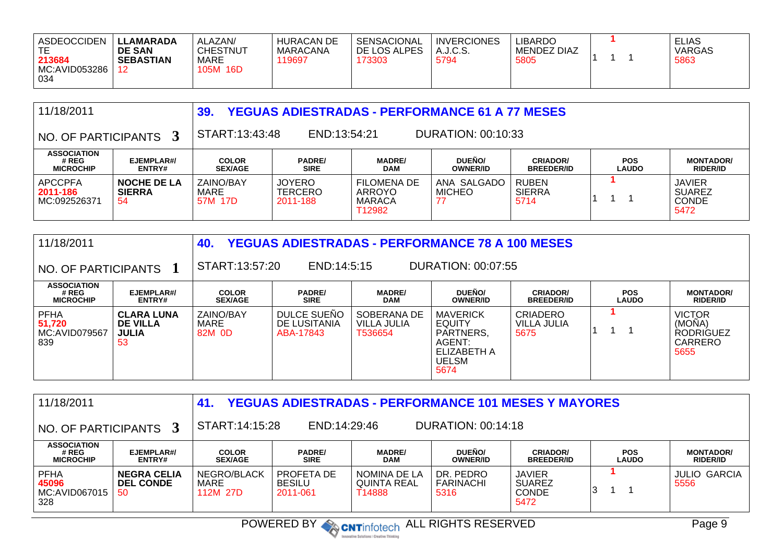| <b>ASDEOCCIDEN</b><br>213684<br>MC:AVID053286<br>034 | <b>LLAMARADA</b><br><b>DE SAN</b><br><b>SEBASTIAN</b> | ALAZAN/<br><b>CHESTNUT</b><br>MARE<br>105M<br>16D | <b>HURACAN DE</b><br>MARACANA<br>19697 | SENSACIONAL<br>DE LOS ALPES<br>173303 | <b>INVERCIONES</b><br>A.J.C.S.<br>5794 | LIBARDO<br><b>MENDEZ DIAZ</b><br>5805 |  |  | <b>ELIAS</b><br><b>VARGAS</b><br>5863 |
|------------------------------------------------------|-------------------------------------------------------|---------------------------------------------------|----------------------------------------|---------------------------------------|----------------------------------------|---------------------------------------|--|--|---------------------------------------|
|------------------------------------------------------|-------------------------------------------------------|---------------------------------------------------|----------------------------------------|---------------------------------------|----------------------------------------|---------------------------------------|--|--|---------------------------------------|

| 11/18/2011                                       |                                           | 39.                            | <b>YEGUAS ADIESTRADAS - PERFORMANCE 61 A 77 MESES</b> |                                                         |                                  |                                       |                            |                                                        |  |  |  |
|--------------------------------------------------|-------------------------------------------|--------------------------------|-------------------------------------------------------|---------------------------------------------------------|----------------------------------|---------------------------------------|----------------------------|--------------------------------------------------------|--|--|--|
| $^{\circ}$ NO. OF PARTICIPANTS $\,$ 3 $^{\circ}$ |                                           | START:13:43:48                 | DURATION: 00:10:33<br>END:13:54:21                    |                                                         |                                  |                                       |                            |                                                        |  |  |  |
| <b>ASSOCIATION</b><br># REG<br><b>MICROCHIP</b>  | EJEMPLAR#/<br>ENTRY#                      | <b>COLOR</b><br><b>SEX/AGE</b> | <b>PADRE/</b><br><b>SIRE</b>                          | <b>MADRE/</b><br><b>DAM</b>                             | <b>DUEÑO/</b><br><b>OWNER/ID</b> | <b>CRIADOR/</b><br><b>BREEDER/ID</b>  | <b>POS</b><br><b>LAUDO</b> | <b>MONTADOR/</b><br><b>RIDER/ID</b>                    |  |  |  |
| <b>APCCPFA</b><br>2011-186<br>MC:092526371       | <b>NOCHE DE LA</b><br><b>SIERRA</b><br>54 | ZAINO/BAY<br>MARE<br>57M 17D   | <b>JOYERO</b><br><b>TERCERO</b><br>2011-188           | <b>FILOMENA DE</b><br>ARROYO<br><b>MARACA</b><br>T12982 | ANA SALGADO<br><b>MICHEO</b>     | <b>RUBEN</b><br><b>SIERRA</b><br>5714 |                            | <b>JAVIER</b><br><b>SUAREZ</b><br><b>CONDE</b><br>5472 |  |  |  |

| 11/18/2011                                      |                                                            | 40.                            | <b>YEGUAS ADIESTRADAS - PERFORMANCE 78 A 100 MESES</b> |                                       |                                                                                                |                                        |                            |                                                                |
|-------------------------------------------------|------------------------------------------------------------|--------------------------------|--------------------------------------------------------|---------------------------------------|------------------------------------------------------------------------------------------------|----------------------------------------|----------------------------|----------------------------------------------------------------|
| NO. OF PARTICIPANTS                             |                                                            | START:13:57:20                 | END:14:5:15                                            |                                       | DURATION: 00:07:55                                                                             |                                        |                            |                                                                |
| <b>ASSOCIATION</b><br># REG<br><b>MICROCHIP</b> | EJEMPLAR#/<br>ENTRY#                                       | <b>COLOR</b><br><b>SEX/AGE</b> | <b>PADRE/</b><br><b>SIRE</b>                           | <b>MADRE/</b><br><b>DAM</b>           | DUEÑO/<br><b>OWNER/ID</b>                                                                      | <b>CRIADOR/</b><br><b>BREEDER/ID</b>   | <b>POS</b><br><b>LAUDO</b> | <b>MONTADOR/</b><br><b>RIDER/ID</b>                            |
| <b>PFHA</b><br>51,720<br>MC:AVID079567<br>839   | <b>CLARA LUNA</b><br><b>DE VILLA</b><br><b>JULIA</b><br>53 | ZAINO/BAY<br>MARE<br>82M 0D    | DULCE SUEÑO<br>DE LUSITANIA<br>ABA-17843               | SOBERANA DE<br>VILLA JULIA<br>T536654 | <b>MAVERICK</b><br><b>EQUITY</b><br>PARTNERS,<br>AGENT:<br>ELIZABETH A<br><b>UELSM</b><br>5674 | <b>CRIADERO</b><br>VILLA JULIA<br>5675 |                            | <b>VICTOR</b><br>(MOÑA)<br><b>RODRIGUEZ</b><br>CARRERO<br>5655 |

| 11/18/2011                                      |                                              | 41.                             | <b>YEGUAS ADIESTRADAS - PERFORMANCE 101 MESES Y MAYORES</b> |                                              |                                       |                                                        |                            |                                     |  |  |  |
|-------------------------------------------------|----------------------------------------------|---------------------------------|-------------------------------------------------------------|----------------------------------------------|---------------------------------------|--------------------------------------------------------|----------------------------|-------------------------------------|--|--|--|
| $\,$ NO. OF PARTICIPANTS $\,$ 3 $\,$            |                                              |                                 | START:14:15:28<br>END:14:29:46<br>DURATION: 00:14:18        |                                              |                                       |                                                        |                            |                                     |  |  |  |
| <b>ASSOCIATION</b><br># REG<br><b>MICROCHIP</b> | EJEMPLAR#/<br><b>ENTRY#</b>                  | <b>COLOR</b><br><b>SEX/AGE</b>  | <b>PADRE/</b><br><b>SIRE</b>                                | <b>MADRE/</b><br><b>DAM</b>                  | <b>DUEÑO/</b><br><b>OWNER/ID</b>      | <b>CRIADOR/</b><br><b>BREEDER/ID</b>                   | <b>POS</b><br><b>LAUDO</b> | <b>MONTADOR/</b><br><b>RIDER/ID</b> |  |  |  |
| <b>PFHA</b><br>45096<br>MC:AVID067015<br>328    | <b>NEGRA CELIA</b><br><b>DEL CONDE</b><br>50 | NEGRO/BLACK<br>MARE<br>112M 27D | PROFETA DE<br><b>BESILU</b><br>2011-061                     | NOMINA DE LA<br><b>QUINTA REAL</b><br>Г14888 | DR. PEDRO<br><b>FARINACHI</b><br>5316 | <b>JAVIER</b><br><b>SUAREZ</b><br><b>CONDE</b><br>5472 | IЗ                         | <b>JULIO GARCIA</b><br>5556         |  |  |  |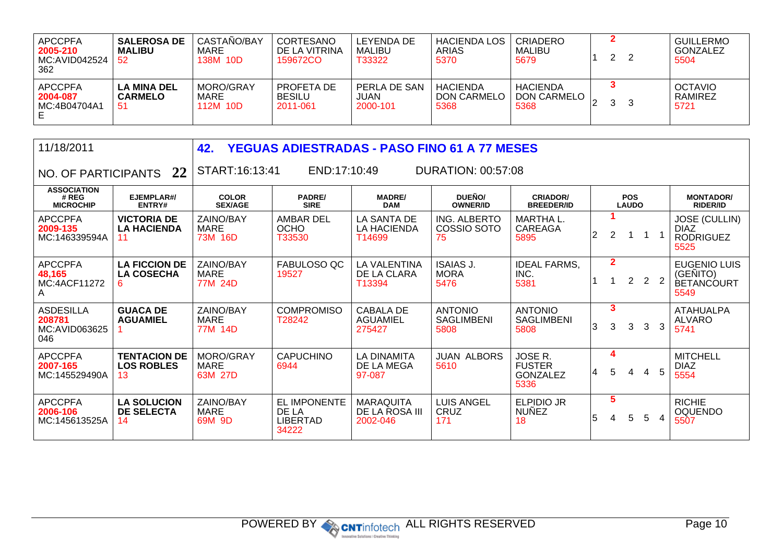| <b>APCCPFA</b><br>2005-210<br>MC:AVID042524<br>362 | <b>SALEROSA DE</b><br><b>MALIBU</b><br>52 | CASTAÑO/BAY<br>MARE<br>138M 10D | CORTESANO<br>DE LA VITRINA<br>159672CO  | LEYENDA DE<br>MALIBU<br>T33322          | <b>HACIENDA LOS</b>  <br>ARIAS<br>5370        | CRIADERO<br><b>MALIBU</b><br>5679      | ົ<br>∼ | <b>GUILLERMO</b><br>GONZALEZ<br>5504 |
|----------------------------------------------------|-------------------------------------------|---------------------------------|-----------------------------------------|-----------------------------------------|-----------------------------------------------|----------------------------------------|--------|--------------------------------------|
| <b>APCCPFA</b><br>2004-087<br>MC:4B04704A1         | <b>LA MINA DEL</b><br><b>CARMELO</b>      | MORO/GRAY<br>MARE<br>112M 10D   | PROFETA DE<br><b>BESILU</b><br>2011-061 | PERLA DE SAN<br><b>JUAN</b><br>2000-101 | <b>HACIENDA</b><br><b>DON CARMELC</b><br>5368 | <b>HACIENDA</b><br>DON CARMELO<br>5368 | 3      | <b>OCTAVIO</b><br>RAMIREZ<br>5721    |

| 11/18/2011                                         |                                                | 42.<br><b>YEGUAS ADIESTRADAS - PASO FINO 61 A 77 MESES</b> |                                                   |                                                |                                             |                                              |                |                     |                            |   |                |                                                                 |
|----------------------------------------------------|------------------------------------------------|------------------------------------------------------------|---------------------------------------------------|------------------------------------------------|---------------------------------------------|----------------------------------------------|----------------|---------------------|----------------------------|---|----------------|-----------------------------------------------------------------|
| NO. OF PARTICIPANTS                                | 22                                             | START:16:13:41                                             | END:17:10:49                                      |                                                | <b>DURATION: 00:57:08</b>                   |                                              |                |                     |                            |   |                |                                                                 |
| <b>ASSOCIATION</b><br># REG<br><b>MICROCHIP</b>    | EJEMPLAR#/<br>ENTRY#                           | <b>COLOR</b><br><b>SEX/AGE</b>                             | <b>PADRE/</b><br><b>SIRE</b>                      | <b>MADRE/</b><br><b>DAM</b>                    | DUEÑO/<br><b>OWNER/ID</b>                   | <b>CRIADOR/</b><br><b>BREEDER/ID</b>         |                |                     | <b>POS</b><br><b>LAUDO</b> |   |                | <b>MONTADOR/</b><br><b>RIDER/ID</b>                             |
| <b>APCCPFA</b><br>2009-135<br>MC:146339594A        | <b>VICTORIA DE</b><br><b>LA HACIENDA</b>       | ZAINO/BAY<br>MARE<br>73M 16D                               | <b>AMBAR DEL</b><br><b>OCHO</b><br>T33530         | LA SANTA DE<br><b>LA HACIENDA</b><br>T14699    | ING. ALBERTO<br>COSSIO SOTO<br>75           | <b>MARTHAL.</b><br>CAREAGA<br>5895           | $\overline{2}$ | $\overline{2}$      |                            |   |                | <b>JOSE (CULLIN)</b><br><b>DIAZ</b><br><b>RODRIGUEZ</b><br>5525 |
| <b>APCCPFA</b><br>48,165<br>MC:4ACF11272<br>A      | <b>LA FICCION DE</b><br><b>LA COSECHA</b><br>6 | <b>ZAINO/BAY</b><br><b>MARE</b><br>77M 24D                 | FABULOSO QC<br>19527                              | <b>LA VALENTINA</b><br>DE LA CLARA<br>T13394   | <b>ISAIAS J.</b><br><b>MORA</b><br>5476     | <b>IDEAL FARMS,</b><br>INC.<br>5381          |                | $\overline{2}$<br>1 | $2^{\circ}$                | 2 | $\overline{2}$ | EUGENIO LUIS<br>(GEÑITO)<br><b>BETANCOURT</b><br>5549           |
| <b>ASDESILLA</b><br>208781<br>MC:AVID063625<br>046 | <b>GUACA DE</b><br><b>AGUAMIEL</b>             | ZAINO/BAY<br><b>MARE</b><br>77M 14D                        | <b>COMPROMISO</b><br>T28242                       | <b>CABALA DE</b><br><b>AGUAMIEL</b><br>275427  | <b>ANTONIO</b><br><b>SAGLIMBENI</b><br>5808 | <b>ANTONIO</b><br><b>SAGLIMBENI</b><br>5808  | 3              | 3<br>3              | 3                          | 3 | 3              | <b>ATAHUALPA</b><br><b>ALVARO</b><br>5741                       |
| <b>APCCPFA</b><br>2007-165<br>MC:145529490A        | <b>TENTACION DE</b><br><b>LOS ROBLES</b><br>13 | MORO/GRAY<br>MARE<br>63M 27D                               | <b>CAPUCHINO</b><br>6944                          | <b>LA DINAMITA</b><br>DE LA MEGA<br>97-087     | <b>JUAN ALBORS</b><br>5610                  | JOSE R.<br><b>FUSTER</b><br>GONZALEZ<br>5336 | $\overline{4}$ | 4<br>5              | 4                          | 4 | 5              | <b>MITCHELL</b><br><b>DIAZ</b><br>5554                          |
| <b>APCCPFA</b><br>2006-106<br>MC:145613525A        | <b>LA SOLUCION</b><br><b>DE SELECTA</b><br>14  | ZAINO/BAY<br>MARE<br>69M 9D                                | <b>EL IMPONENTE</b><br>DE LA<br>LIBERTAD<br>34222 | <b>MARAQUITA</b><br>DE LA ROSA III<br>2002-046 | <b>LUIS ANGEL</b><br><b>CRUZ</b><br>171     | <b>ELPIDIO JR</b><br><b>NUNEZ</b><br>18      | 5              | 5<br>4              | 5                          | 5 | $\overline{4}$ | <b>RICHIE</b><br><b>OQUENDO</b><br>5507                         |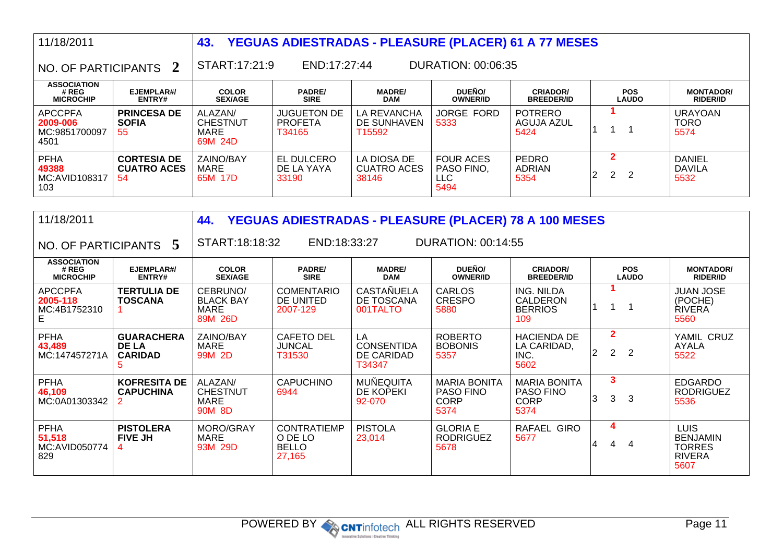| 11/18/2011                                                                   |                                                 | 43.                                           |                                                | YEGUAS ADIESTRADAS - PLEASURE (PLACER) 61 A 77 MESES |                                                |                                      |                                                   |                                        |
|------------------------------------------------------------------------------|-------------------------------------------------|-----------------------------------------------|------------------------------------------------|------------------------------------------------------|------------------------------------------------|--------------------------------------|---------------------------------------------------|----------------------------------------|
| START:17:21:9<br>DURATION: 00:06:35<br>END:17:27:44<br>NO. OF PARTICIPANTS 2 |                                                 |                                               |                                                |                                                      |                                                |                                      |                                                   |                                        |
| <b>ASSOCIATION</b><br># REG<br><b>MICROCHIP</b>                              | EJEMPLAR#/<br><b>ENTRY#</b>                     | <b>COLOR</b><br><b>SEX/AGE</b>                | <b>PADRE/</b><br><b>SIRE</b>                   | <b>MADRE/</b><br><b>DAM</b>                          | <b>DUEÑO/</b><br><b>OWNER/ID</b>               | <b>CRIADOR/</b><br><b>BREEDER/ID</b> | <b>POS</b><br><b>LAUDO</b>                        | <b>MONTADOR/</b><br><b>RIDER/ID</b>    |
| <b>APCCPFA</b><br>2009-006<br>MC:9851700097<br>4501                          | <b>PRINCESA DE</b><br><b>SOFIA</b><br>55        | ALAZAN/<br><b>CHESTNUT</b><br>MARE<br>69M 24D | <b>JUGUETON DE</b><br><b>PROFETA</b><br>T34165 | LA REVANCHA<br>DE SUNHAVEN<br>T <sub>15592</sub>     | <b>JORGE FORD</b><br>5333                      | <b>POTRERO</b><br>AGUJA AZUL<br>5424 |                                                   | <b>URAYOAN</b><br><b>TORO</b><br>5574  |
| <b>PFHA</b><br>49388<br>MC:AVID108317<br>103                                 | <b>CORTESIA DE</b><br><b>CUATRO ACES</b><br>-54 | ZAINO/BAY<br><b>MARE</b><br>65M 17D           | <b>EL DULCERO</b><br>DE LA YAYA<br>33190       | LA DIOSA DE<br><b>CUATRO ACES</b><br>38146           | <b>FOUR ACES</b><br>PASO FINO.<br>LLC.<br>5494 | <b>PEDRO</b><br>ADRIAN<br>5354       | $\mathbf 2$<br>$2^{\circ}$<br>$\overline{2}$<br>2 | <b>DANIEL</b><br><b>DAVILA</b><br>5532 |

| 11/18/2011                                                                    |                                                     | 44.                                                 |                                                         |                                                 | YEGUAS ADIESTRADAS - PLEASURE (PLACER) 78 A 100 MESES          |                                                                |                                       |                            |                                                                          |
|-------------------------------------------------------------------------------|-----------------------------------------------------|-----------------------------------------------------|---------------------------------------------------------|-------------------------------------------------|----------------------------------------------------------------|----------------------------------------------------------------|---------------------------------------|----------------------------|--------------------------------------------------------------------------|
| START:18:18:32<br>END:18:33:27<br>DURATION: 00:14:55<br>NO. OF PARTICIPANTS 5 |                                                     |                                                     |                                                         |                                                 |                                                                |                                                                |                                       |                            |                                                                          |
| <b>ASSOCIATION</b><br># REG<br><b>MICROCHIP</b>                               | EJEMPLAR#/<br>ENTRY#                                | <b>COLOR</b><br><b>SEX/AGE</b>                      | <b>PADRE/</b><br><b>SIRE</b>                            | <b>MADRE/</b><br><b>DAM</b>                     | DUEÑO/<br><b>OWNER/ID</b>                                      | <b>CRIADOR/</b><br><b>BREEDER/ID</b>                           |                                       | <b>POS</b><br><b>LAUDO</b> | <b>MONTADOR/</b><br><b>RIDER/ID</b>                                      |
| <b>APCCPFA</b><br>2005-118<br>MC:4B1752310<br>E.                              | <b>TERTULIA DE</b><br><b>TOSCANA</b>                | CEBRUNO/<br><b>BLACK BAY</b><br>MARE<br>89M 26D     | <b>COMENTARIO</b><br>DE UNITED<br>2007-129              | <b>CASTAÑUELA</b><br>DE TOSCANA<br>001TALTO     | <b>CARLOS</b><br><b>CRESPO</b><br>5880                         | ING. NILDA<br>CALDERON<br><b>BERRIOS</b><br>109                |                                       |                            | <b>JUAN JOSE</b><br>(POCHE)<br><b>RIVERA</b><br>5560                     |
| <b>PFHA</b><br>43,489<br>MC:147457271A                                        | <b>GUARACHERA</b><br><b>DE LA</b><br><b>CARIDAD</b> | ZAINO/BAY<br>MARE<br>99M 2D                         | <b>CAFETO DEL</b><br><b>JUNCAL</b><br>T31530            | LA<br><b>CONSENTIDA</b><br>DE CARIDAD<br>T34347 | <b>ROBERTO</b><br><b>BOBONIS</b><br>5357                       | <b>HACIENDA DE</b><br>LA CARIDAD,<br>INC.<br>5602              | $\overline{2}$<br>$\overline{2}$<br>2 | $\overline{2}$             | YAMIL CRUZ<br>AYALA<br>5522                                              |
| <b>PFHA</b><br>46,109<br>MC:0A01303342                                        | <b>KOFRESITA DE</b><br><b>CAPUCHINA</b>             | ALAZAN/<br><b>CHESTNUT</b><br><b>MARE</b><br>90M 8D | <b>CAPUCHINO</b><br>6944                                | <b>MUÑEQUITA</b><br>DE KOPEKI<br>92-070         | <b>MARIA BONITA</b><br><b>PASO FINO</b><br><b>CORP</b><br>5374 | <b>MARIA BONITA</b><br><b>PASO FINO</b><br><b>CORP</b><br>5374 | $\mathbf{3}$<br>3<br>3                | 3                          | <b>EDGARDO</b><br><b>RODRIGUEZ</b><br>5536                               |
| <b>PFHA</b><br>51,518<br>MC:AVID050774<br>829                                 | <b>PISTOLERA</b><br><b>FIVE JH</b>                  | MORO/GRAY<br><b>MARE</b><br>93M 29D                 | <b>CONTRATIEMP</b><br>O DE LO<br><b>BELLO</b><br>27,165 | <b>PISTOLA</b><br>23,014                        | <b>GLORIA E</b><br><b>RODRIGUEZ</b><br>5678                    | RAFAEL GIRO<br>5677                                            | 4<br>4<br>4                           | 4                          | <b>LUIS</b><br><b>BENJAMIN</b><br><b>TORRES</b><br><b>RIVERA</b><br>5607 |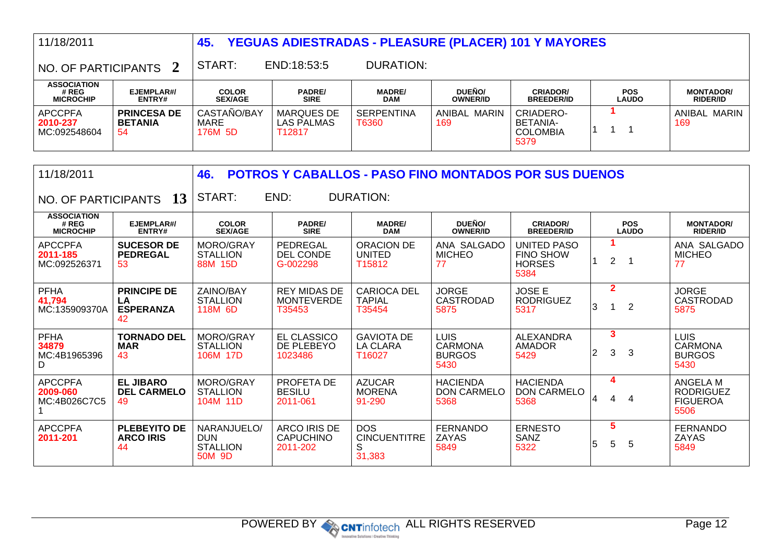| 11/18/2011                                      |                                            | <b>YEGUAS ADIESTRADAS - PLEASURE (PLACER) 101 Y MAYORES</b><br>45. |                                           |                             |                                  |                                                         |                            |                                     |  |
|-------------------------------------------------|--------------------------------------------|--------------------------------------------------------------------|-------------------------------------------|-----------------------------|----------------------------------|---------------------------------------------------------|----------------------------|-------------------------------------|--|
| NO. OF PARTICIPANTS                             |                                            | START:                                                             | END:18:53:5                               | DURATION:                   |                                  |                                                         |                            |                                     |  |
| <b>ASSOCIATION</b><br># REG<br><b>MICROCHIP</b> | EJEMPLAR#/<br><b>ENTRY#</b>                | <b>COLOR</b><br><b>SEX/AGE</b>                                     | <b>PADRE/</b><br><b>SIRE</b>              | <b>MADRE/</b><br><b>DAM</b> | <b>DUEÑO/</b><br><b>OWNER/ID</b> | <b>CRIADOR/</b><br><b>BREEDER/ID</b>                    | <b>POS</b><br><b>LAUDO</b> | <b>MONTADOR/</b><br><b>RIDER/ID</b> |  |
| <b>APCCPFA</b><br>2010-237<br>MC:092548604      | <b>PRINCESA DE</b><br><b>BETANIA</b><br>54 | CASTAÑO/BAY<br>MARE<br>176M 5D                                     | <b>MARQUES DE</b><br>LAS PALMAS<br>T12817 | <b>SERPENTINA</b><br>T6360  | ANIBAL MARIN<br>169              | <b>CRIADERO-</b><br>BETANIA-<br><b>COLOMBIA</b><br>5379 |                            | ANIBAL MARIN<br>169                 |  |

| 11/18/2011                                      |                                                    | 46.                                                    |                                                     | <b>POTROS Y CABALLOS - PASO FINO MONTADOS POR SUS DUENOS</b> |                                                        |                                                          |   |                              |                            |                                                         |
|-------------------------------------------------|----------------------------------------------------|--------------------------------------------------------|-----------------------------------------------------|--------------------------------------------------------------|--------------------------------------------------------|----------------------------------------------------------|---|------------------------------|----------------------------|---------------------------------------------------------|
| NO. OF PARTICIPANTS                             | 13                                                 | START:                                                 | END:                                                | <b>DURATION:</b>                                             |                                                        |                                                          |   |                              |                            |                                                         |
| <b>ASSOCIATION</b><br># REG<br><b>MICROCHIP</b> | EJEMPLAR#/<br>ENTRY#                               | <b>COLOR</b><br><b>SEX/AGE</b>                         | <b>PADRE/</b><br><b>SIRE</b>                        | <b>MADRE/</b><br><b>DAM</b>                                  | DUEÑO/<br><b>OWNER/ID</b>                              | <b>CRIADOR/</b><br><b>BREEDER/ID</b>                     |   |                              | <b>POS</b><br><b>LAUDO</b> | <b>MONTADOR/</b><br><b>RIDER/ID</b>                     |
| <b>APCCPFA</b><br>2011-185<br>MC:092526371      | <b>SUCESOR DE</b><br><b>PEDREGAL</b><br>53         | MORO/GRAY<br><b>STALLION</b><br>88M 15D                | PEDREGAL<br><b>DEL CONDE</b><br>G-002298            | ORACION DE<br>UNITED<br>T15812                               | ANA SALGADO<br><b>MICHEO</b><br>77                     | UNITED PASO<br><b>FINO SHOW</b><br><b>HORSES</b><br>5384 |   | $\overline{2}$               |                            | ANA SALGADO<br><b>MICHEO</b><br>77                      |
| <b>PFHA</b><br>41,794<br>MC:135909370A          | <b>PRINCIPE DE</b><br>LA<br><b>ESPERANZA</b><br>42 | ZAINO/BAY<br><b>STALLION</b><br>118M 6D                | <b>REY MIDAS DE</b><br><b>MONTEVERDE</b><br>T35453  | <b>CARIOCA DEL</b><br><b>TAPIAL</b><br>T35454                | <b>JORGE</b><br><b>CASTRODAD</b><br>5875               | <b>JOSE E</b><br><b>RODRIGUEZ</b><br>5317                | 3 | $\overline{2}$               | $\overline{2}$             | <b>JORGE</b><br>CASTRODAD<br>5875                       |
| <b>PFHA</b><br>34879<br>MC:4B1965396<br>D       | <b>TORNADO DEL</b><br><b>MAR</b><br>43             | MORO/GRAY<br><b>STALLION</b><br>106M 17D               | <b>EL CLASSICO</b><br>DE PLEBEYO<br>1023486         | <b>GAVIOTA DE</b><br><b>LA CLARA</b><br>T16027               | <b>LUIS</b><br><b>CARMONA</b><br><b>BURGOS</b><br>5430 | ALEXANDRA<br><b>AMADOR</b><br>5429                       | 2 | $\overline{\mathbf{3}}$<br>3 | 3                          | <b>LUIS</b><br><b>CARMONA</b><br><b>BURGOS</b><br>5430  |
| <b>APCCPFA</b><br>2009-060<br>MC:4B026C7C5      | <b>EL JIBARO</b><br><b>DEL CARMELO</b><br>49       | MORO/GRAY<br><b>STALLION</b><br>104M 11D               | PROFETA DE<br><b>BESILU</b><br>2011-061             | <b>AZUCAR</b><br><b>MORENA</b><br>91-290                     | <b>HACIENDA</b><br><b>DON CARMELO</b><br>5368          | <b>HACIENDA</b><br><b>DON CARMELO</b><br>5368            | 4 | 4<br>4                       | 4                          | ANGELA M<br><b>RODRIGUEZ</b><br><b>FIGUEROA</b><br>5506 |
| <b>APCCPFA</b><br>2011-201                      | <b>PLEBEYITO DE</b><br><b>ARCO IRIS</b><br>44      | NARANJUELO/<br><b>DUN</b><br><b>STALLION</b><br>50M 9D | <b>ARCO IRIS DE</b><br><b>CAPUCHINO</b><br>2011-202 | <b>DOS</b><br><b>CINCUENTITRE</b><br>S<br>31,383             | <b>FERNANDO</b><br>ZAYAS<br>5849                       | <b>ERNESTO</b><br>SANZ<br>5322                           | 5 | 5<br>5                       | 5                          | <b>FERNANDO</b><br>ZAYAS<br>5849                        |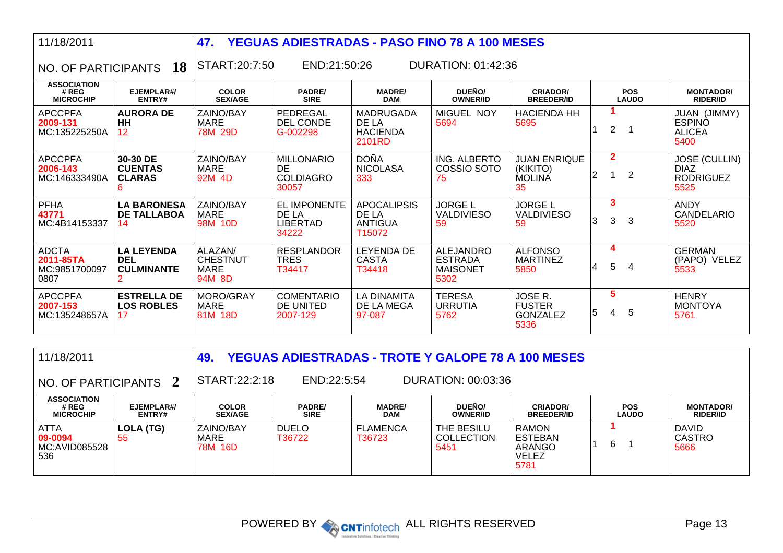| 11/18/2011                                         |                                                           | 47.                                                 | <b>YEGUAS ADIESTRADAS - PASO FINO 78 A 100 MESES</b>        |                                                         |                                                               |                                                        |   |                |                            |                                                                 |
|----------------------------------------------------|-----------------------------------------------------------|-----------------------------------------------------|-------------------------------------------------------------|---------------------------------------------------------|---------------------------------------------------------------|--------------------------------------------------------|---|----------------|----------------------------|-----------------------------------------------------------------|
| NO. OF PARTICIPANTS                                | <b>18</b>                                                 | START:20:7:50                                       | END:21:50:26                                                |                                                         | DURATION: 01:42:36                                            |                                                        |   |                |                            |                                                                 |
| <b>ASSOCIATION</b><br># REG<br><b>MICROCHIP</b>    | EJEMPLAR#/<br>ENTRY#                                      | <b>COLOR</b><br><b>SEX/AGE</b>                      | <b>PADRE/</b><br><b>SIRE</b>                                | <b>MADRE/</b><br><b>DAM</b>                             | DUEÑO/<br><b>OWNER/ID</b>                                     | <b>CRIADOR/</b><br><b>BREEDER/ID</b>                   |   |                | <b>POS</b><br><b>LAUDO</b> | <b>MONTADOR/</b><br><b>RIDER/ID</b>                             |
| <b>APCCPFA</b><br>2009-131<br>MC:135225250A        | <b>AURORA DE</b><br><b>HH</b><br>$12 \overline{ }$        | ZAINO/BAY<br><b>MARE</b><br>78M 29D                 | PEDREGAL<br>DEL CONDE<br>G-002298                           | <b>MADRUGADA</b><br>DE LA<br><b>HACIENDA</b><br>2101RD  | <b>MIGUEL NOY</b><br>5694                                     | <b>HACIENDA HH</b><br>5695                             |   | $\overline{2}$ |                            | JUAN (JIMMY)<br><b>ESPINO</b><br><b>ALICEA</b><br>5400          |
| <b>APCCPFA</b><br>2006-143<br>MC:146333490A        | 30-30 DE<br><b>CUENTAS</b><br><b>CLARAS</b><br>6          | ZAINO/BAY<br><b>MARE</b><br>92M 4D                  | <b>MILLONARIO</b><br><b>DE</b><br><b>COLDIAGRO</b><br>30057 | <b>DOÑA</b><br><b>NICOLASA</b><br>333                   | ING. ALBERTO<br>COSSIO SOTO<br>75                             | <b>JUAN ENRIQUE</b><br>(KIKITO)<br><b>MOLINA</b><br>35 | 2 | $\overline{2}$ | 2                          | <b>JOSE (CULLIN)</b><br><b>DIAZ</b><br><b>RODRIGUEZ</b><br>5525 |
| <b>PFHA</b><br>43771<br>MC:4B14153337              | <b>LA BARONESA</b><br><b>DE TALLABOA</b><br>14            | ZAINO/BAY<br>MARE<br>98M 10D                        | EL IMPONENTE<br>DE LA<br><b>LIBERTAD</b><br>34222           | <b>APOCALIPSIS</b><br>DE LA<br><b>ANTIGUA</b><br>T15072 | <b>JORGE L</b><br><b>VALDIVIESO</b><br>59                     | <b>JORGE L</b><br><b>VALDIVIESO</b><br>59              | 3 | 3<br>3         | 3                          | <b>ANDY</b><br>CANDELARIO<br>5520                               |
| <b>ADCTA</b><br>2011-85TA<br>MC:9851700097<br>0807 | <b>LA LEYENDA</b><br><b>DEL</b><br><b>CULMINANTE</b><br>2 | ALAZAN/<br><b>CHESTNUT</b><br><b>MARE</b><br>94M 8D | <b>RESPLANDOR</b><br><b>TRES</b><br>T34417                  | <b>LEYENDA DE</b><br><b>CASTA</b><br>T34418             | <b>ALEJANDRO</b><br><b>ESTRADA</b><br><b>MAISONET</b><br>5302 | <b>ALFONSO</b><br><b>MARTINEZ</b><br>5850              | 4 | 4<br>5         | 4                          | <b>GERMAN</b><br>(PAPO) VELEZ<br>5533                           |
| <b>APCCPFA</b><br>2007-153<br>MC:135248657A        | <b>ESTRELLA DE</b><br><b>LOS ROBLES</b><br>17             | MORO/GRAY<br><b>MARE</b><br>81M 18D                 | <b>COMENTARIO</b><br>DE UNITED<br>2007-129                  | <b>LA DINAMITA</b><br>DE LA MEGA<br>97-087              | <b>TERESA</b><br><b>URRUTIA</b><br>5762                       | JOSE R.<br><b>FUSTER</b><br><b>GONZALEZ</b><br>5336    | 5 | 5<br>4         | 5                          | <b>HENRY</b><br><b>MONTOYA</b><br>5761                          |

| 11/18/2011                                      |                             | 49.                            | <b>YEGUAS ADIESTRADAS - TROTE Y GALOPE 78 A 100 MESES</b> |                             |                                         |                                                                  |                            |                                       |
|-------------------------------------------------|-----------------------------|--------------------------------|-----------------------------------------------------------|-----------------------------|-----------------------------------------|------------------------------------------------------------------|----------------------------|---------------------------------------|
| $\,$ NO. OF PARTICIPANTS $\,$ 2 $\,$            |                             | START:22:2:18                  | END:22:5:54                                               |                             | DURATION: 00:03:36                      |                                                                  |                            |                                       |
| <b>ASSOCIATION</b><br># REG<br><b>MICROCHIP</b> | EJEMPLAR#/<br><b>ENTRY#</b> | <b>COLOR</b><br><b>SEX/AGE</b> | <b>PADRE/</b><br><b>SIRE</b>                              | <b>MADRE/</b><br><b>DAM</b> | <b>DUEÑO/</b><br><b>OWNER/ID</b>        | <b>CRIADOR/</b><br><b>BREEDER/ID</b>                             | <b>POS</b><br><b>LAUDO</b> | <b>MONTADOR/</b><br><b>RIDER/ID</b>   |
| ATTA<br>$09 - 0094$<br>MC:AVID085528<br>536     | LOLA (TG)<br>55             | ZAINO/BAY<br>MARE<br>78M 16D   | <b>DUELO</b><br>T36722                                    | <b>FLAMENCA</b><br>T36723   | THE BESILU<br><b>COLLECTION</b><br>5451 | <b>RAMON</b><br><b>ESTEBAN</b><br>ARANGO<br><b>VELEZ</b><br>5781 | 6                          | <b>DAVID</b><br><b>CASTRO</b><br>5666 |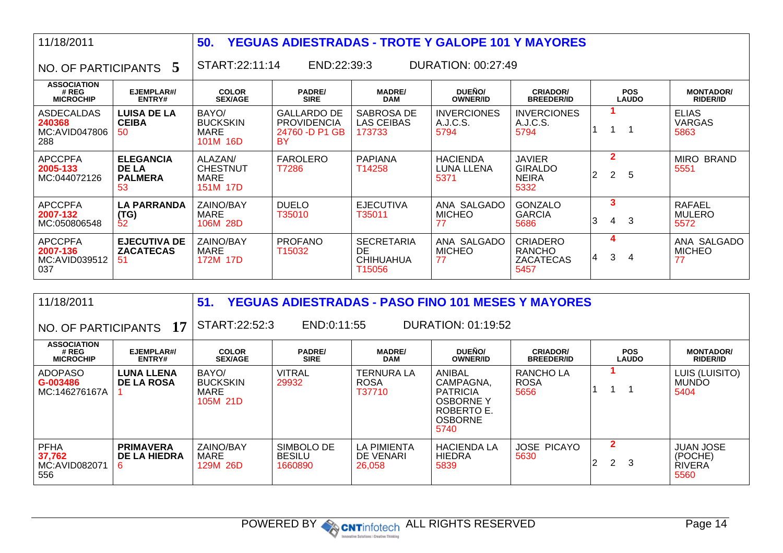| 11/18/2011                                         |                                                          | 50.                                                   | <b>YEGUAS ADIESTRADAS - TROTE Y GALOPE 101 Y MAYORES</b>         |                                                       |                                              |                                                              |   |                                  |                            |                                        |
|----------------------------------------------------|----------------------------------------------------------|-------------------------------------------------------|------------------------------------------------------------------|-------------------------------------------------------|----------------------------------------------|--------------------------------------------------------------|---|----------------------------------|----------------------------|----------------------------------------|
| NO. OF PARTICIPANTS                                | 5                                                        | START:22:11:14                                        | END:22:39:3                                                      |                                                       | DURATION: 00:27:49                           |                                                              |   |                                  |                            |                                        |
| <b>ASSOCIATION</b><br># REG<br><b>MICROCHIP</b>    | EJEMPLAR#/<br>ENTRY#                                     | <b>COLOR</b><br><b>SEX/AGE</b>                        | <b>PADRE/</b><br><b>SIRE</b>                                     | <b>MADRE/</b><br><b>DAM</b>                           | DUEÑO/<br><b>OWNER/ID</b>                    | <b>CRIADOR/</b><br><b>BREEDER/ID</b>                         |   |                                  | <b>POS</b><br><b>LAUDO</b> | <b>MONTADOR/</b><br><b>RIDER/ID</b>    |
| ASDECALDAS<br>240368<br>MC:AVID047806<br>288       | <b>LUISA DE LA</b><br><b>CEIBA</b><br>50                 | BAYO/<br><b>BUCKSKIN</b><br><b>MARE</b><br>101M 16D   | <b>GALLARDO DE</b><br><b>PROVIDENCIA</b><br>24760 -D P1 GB<br>BY | SABROSA DE<br><b>LAS CEIBAS</b><br>173733             | <b>INVERCIONES</b><br>A.J.C.S.<br>5794       | <b>INVERCIONES</b><br>A.J.C.S.<br>5794                       |   |                                  | $\mathbf 1$                | <b>ELIAS</b><br><b>VARGAS</b><br>5863  |
| <b>APCCPFA</b><br>2005-133<br>MC:044072126         | <b>ELEGANCIA</b><br><b>DE LA</b><br><b>PALMERA</b><br>53 | ALAZAN/<br><b>CHESTNUT</b><br><b>MARE</b><br>151M 17D | <b>FAROLERO</b><br>T7286                                         | <b>PAPIANA</b><br>T14258                              | <b>HACIENDA</b><br><b>LUNA LLENA</b><br>5371 | <b>JAVIER</b><br><b>GIRALDO</b><br><b>NEIRA</b><br>5332      | 2 | $\overline{2}$<br>2 <sup>1</sup> | 5                          | <b>MIRO BRAND</b><br>5551              |
| <b>APCCPFA</b><br>2007-132<br>MC:050806548         | <b>LA PARRANDA</b><br>(TG)<br>52                         | ZAINO/BAY<br>MARE<br>106M 28D                         | <b>DUELO</b><br>T35010                                           | <b>EJECUTIVA</b><br>T35011                            | ANA SALGADO<br><b>MICHEO</b><br>77           | <b>GONZALO</b><br><b>GARCIA</b><br>5686                      | 3 | 3<br>4                           | 3                          | <b>RAFAEL</b><br><b>MULERO</b><br>5572 |
| <b>APCCPFA</b><br>2007-136<br>MC:AVID039512<br>037 | <b>EJECUTIVA DE</b><br><b>ZACATECAS</b><br>-51           | ZAINO/BAY<br><b>MARE</b><br>172M 17D                  | <b>PROFANO</b><br>T15032                                         | <b>SECRETARIA</b><br>DE<br><b>CHIHUAHUA</b><br>T15056 | ANA SALGADO<br><b>MICHEO</b><br>77           | <b>CRIADERO</b><br><b>RANCHO</b><br><b>ZACATECAS</b><br>5457 |   | 4<br>3                           | 4                          | ANA SALGADO<br><b>MICHEO</b><br>77     |

| 11/18/2011                                                                          |                                               | 51.<br><b>YEGUAS ADIESTRADAS - PASO FINO 101 MESES Y MAYORES</b> |                                        |                                            |                                                                                                   |                                      |  |                                   |                                                      |  |  |
|-------------------------------------------------------------------------------------|-----------------------------------------------|------------------------------------------------------------------|----------------------------------------|--------------------------------------------|---------------------------------------------------------------------------------------------------|--------------------------------------|--|-----------------------------------|------------------------------------------------------|--|--|
| START:22:52:3<br><b>DURATION: 01:19:52</b><br>END:0:11:55<br>NO. OF PARTICIPANTS 17 |                                               |                                                                  |                                        |                                            |                                                                                                   |                                      |  |                                   |                                                      |  |  |
| <b>ASSOCIATION</b><br># REG<br><b>MICROCHIP</b>                                     | EJEMPLAR#/<br>ENTRY#                          | <b>COLOR</b><br><b>SEX/AGE</b>                                   | <b>PADRE/</b><br><b>SIRE</b>           | <b>MADRE/</b><br><b>DAM</b>                | <b>DUEÑO/</b><br><b>OWNER/ID</b>                                                                  | <b>CRIADOR/</b><br><b>BREEDER/ID</b> |  | <b>POS</b><br><b>LAUDO</b>        | <b>MONTADOR/</b><br><b>RIDER/ID</b>                  |  |  |
| <b>ADOPASO</b><br>G-003486<br>MC:146276167A                                         | <b>LUNA LLENA</b><br><b>DE LA ROSA</b>        | BAYO/<br><b>BUCKSKIN</b><br><b>MARE</b><br>105M 21D              | <b>VITRAL</b><br>29932                 | <b>TERNURA LA</b><br><b>ROSA</b><br>T37710 | ANIBAL<br>CAMPAGNA,<br><b>PATRICIA</b><br><b>OSBORNEY</b><br>ROBERTO E.<br><b>OSBORNE</b><br>5740 | RANCHO LA<br><b>ROSA</b><br>5656     |  |                                   | LUIS (LUISITO)<br><b>MUNDO</b><br>5404               |  |  |
| <b>PFHA</b><br>37,762<br>MC:AVID082071<br>556                                       | <b>PRIMAVERA</b><br><b>DE LA HIEDRA</b><br>6. | ZAINO/BAY<br>MARE<br>129M 26D                                    | SIMBOLO DE<br><b>BESILU</b><br>1660890 | <b>LA PIMIENTA</b><br>DE VENARI<br>26.058  | <b>HACIENDA LA</b><br><b>HIEDRA</b><br>5839                                                       | <b>JOSE PICAYO</b><br>5630           |  | $\mathbf{2}$<br>$\mathbf{2}$<br>3 | <b>JUAN JOSE</b><br>(POCHE)<br><b>RIVERA</b><br>5560 |  |  |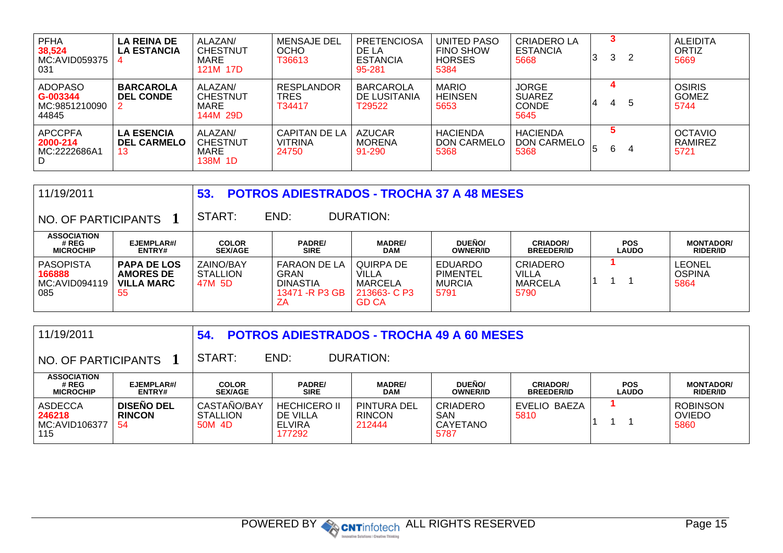| <b>PFHA</b><br>38,524<br>MC:AVID059375<br>031        | <b>LA REINA DE</b><br><b>LA ESTANCIA</b>      | ALAZAN/<br><b>CHESTNUT</b><br>MARE<br>121M 17D | MENSAJE DEL<br><b>OCHO</b><br>T36613            | <b>PRETENCIOSA</b><br>DE LA<br><b>ESTANCIA</b><br>95-281 | UNITED PASO<br><b>FINO SHOW</b><br><b>HORSES</b><br>5384 | CRIADERO LA<br><b>ESTANCIA</b><br>5668         | 13 | 3 | 2 | <b>ALEIDITA</b><br>ORTIZ<br>5669      |
|------------------------------------------------------|-----------------------------------------------|------------------------------------------------|-------------------------------------------------|----------------------------------------------------------|----------------------------------------------------------|------------------------------------------------|----|---|---|---------------------------------------|
| <b>ADOPASO</b><br>G-003344<br>MC:9851210090<br>44845 | <b>BARCAROLA</b><br><b>DEL CONDE</b>          | ALAZAN/<br><b>CHESTNUT</b><br>MARE<br>144M 29D | <b>RESPLANDOR</b><br><b>TRES</b><br>T34417      | <b>BARCAROLA</b><br>DE LUSITANIA<br>T29522               | <b>MARIO</b><br><b>HEINSEN</b><br>5653                   | JORGE<br><b>SUAREZ</b><br><b>CONDE</b><br>5645 |    |   | 5 | <b>OSIRIS</b><br><b>GOMEZ</b><br>5744 |
| <b>APCCPFA</b><br>2000-214<br>MC:2222686A1<br>D      | <b>LA ESENCIA</b><br><b>DEL CARMELO</b><br>13 | ALAZAN/<br><b>CHESTNUT</b><br>MARE<br>138M 1D  | <b>CAPITAN DE LA</b><br><b>VITRINA</b><br>24750 | <b>AZUCAR</b><br><b>MORENA</b><br>91-290                 | <b>HACIENDA</b><br>DON CARMELO<br>5368                   | <b>HACIENDA</b><br>DON CARMELO<br>5368         | 15 | 6 | 4 | <b>OCTAVIO</b><br>RAMIREZ<br>5721     |

| 11/19/2011                                         |                                                                   | 53.                                    |                                                                  | <b>POTROS ADIESTRADOS - TROCHA 37 A 48 MESES</b>                     |                                                     |                                                    |                            |                                        |
|----------------------------------------------------|-------------------------------------------------------------------|----------------------------------------|------------------------------------------------------------------|----------------------------------------------------------------------|-----------------------------------------------------|----------------------------------------------------|----------------------------|----------------------------------------|
| NO. OF PARTICIPANTS                                |                                                                   | START:                                 | END:                                                             | DURATION:                                                            |                                                     |                                                    |                            |                                        |
| <b>ASSOCIATION</b><br># REG<br><b>MICROCHIP</b>    | EJEMPLAR#/<br><b>ENTRY#</b>                                       | <b>COLOR</b><br><b>SEX/AGE</b>         | <b>PADRE/</b><br><b>SIRE</b>                                     | <b>MADRE/</b><br><b>DAM</b>                                          | DUEÑO/<br><b>OWNER/ID</b>                           | <b>CRIADOR/</b><br><b>BREEDER/ID</b>               | <b>POS</b><br><b>LAUDO</b> | <b>MONTADOR/</b><br><b>RIDER/ID</b>    |
| <b>PASOPISTA</b><br>166888<br>MC:AVID094119<br>085 | <b>PAPA DE LOS</b><br><b>AMORES DE</b><br><b>VILLA MARC</b><br>55 | ZAINO/BAY<br><b>STALLION</b><br>47M 5D | FARAON DE LA<br>GRAN<br><b>DINASTIA</b><br>13471 - R P3 GB<br>ΖA | QUIRPA DE<br>VILLA<br><b>MARCELA</b><br>213663- C P3<br><b>GD CA</b> | <b>EDUARDO</b><br>PIMENTEL<br><b>MURCIA</b><br>5791 | <b>CRIADERO</b><br>VILLA<br><b>MARCELA</b><br>5790 |                            | <b>LEONEL</b><br><b>OSPINA</b><br>5864 |

| 11/19/2011                                         |                                           | 54.                                      | <b>POTROS ADIESTRADOS - TROCHA 49 A 60 MESES</b>    |                                               |                                            |                                      |                                                |                                          |  |  |  |
|----------------------------------------------------|-------------------------------------------|------------------------------------------|-----------------------------------------------------|-----------------------------------------------|--------------------------------------------|--------------------------------------|------------------------------------------------|------------------------------------------|--|--|--|
| DURATION:<br>START:<br>END:<br>NO. OF PARTICIPANTS |                                           |                                          |                                                     |                                               |                                            |                                      |                                                |                                          |  |  |  |
| <b>ASSOCIATION</b><br># REG<br><b>MICROCHIP</b>    | EJEMPLAR#/<br>ENTRY#                      | <b>COLOR</b><br><b>SEX/AGE</b>           | <b>PADRE/</b><br><b>SIRE</b>                        | <b>MADRE/</b><br><b>DAM</b>                   | DUEÑO/<br><b>OWNER/ID</b>                  | <b>CRIADOR/</b><br><b>BREEDER/ID</b> | <b>MONTADOR/</b><br><b>POS</b><br><b>LAUDO</b> |                                          |  |  |  |
| <b>ASDECCA</b><br>246218<br>MC:AVID106377<br>115   | <b>DISEÑO DEL</b><br><b>RINCON</b><br>-54 | CASTAÑO/BAY<br><b>STALLION</b><br>50M 4D | <b>HECHICERO II</b><br>DE VILLA<br>ELVIRA<br>177292 | <b>PINTURA DEL</b><br><b>RINCON</b><br>212444 | <b>CRIADERO</b><br>SAN<br>CAYETANO<br>5787 | EVELIO BAEZA<br>5810                 |                                                | <b>ROBINSON</b><br><b>OVIEDO</b><br>5860 |  |  |  |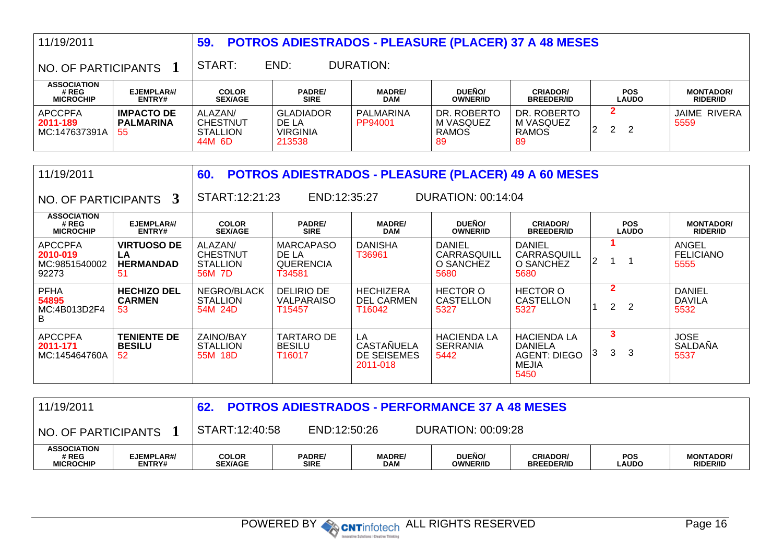| 11/19/2011                                                                           |                                              | 59.                                                     | <b>POTROS ADIESTRADOS - PLEASURE (PLACER) 37 A 48 MESES</b> |                             |                                                             |                                                |                                                |                                     |  |  |  |  |  |
|--------------------------------------------------------------------------------------|----------------------------------------------|---------------------------------------------------------|-------------------------------------------------------------|-----------------------------|-------------------------------------------------------------|------------------------------------------------|------------------------------------------------|-------------------------------------|--|--|--|--|--|
| NO. OF PARTICIPANTS 1                                                                |                                              | START:                                                  | END:                                                        | <b>DURATION:</b>            |                                                             |                                                |                                                |                                     |  |  |  |  |  |
| <b>ASSOCIATION</b><br># REG<br><b>MICROCHIP</b>                                      | EJEMPLAR#/<br>ENTRY#                         | <b>COLOR</b><br><b>SEX/AGE</b>                          | <b>PADRE/</b><br><b>SIRE</b>                                | <b>MADRE/</b><br><b>DAM</b> | DUEÑO/<br><b>OWNER/ID</b>                                   | <b>CRIADOR/</b><br><b>BREEDER/ID</b>           | <b>POS</b><br><b>LAUDO</b>                     | <b>MONTADOR/</b><br><b>RIDER/ID</b> |  |  |  |  |  |
| <b>APCCPFA</b><br>2011-189<br>MC:147637391A                                          | <b>IMPACTO DE</b><br><b>PALMARINA</b><br>-55 | ALAZAN/<br><b>CHESTNUT</b><br><b>STALLION</b><br>44M 6D | <b>GLADIADOR</b><br>DE LA<br><b>VIRGINIA</b><br>213538      | PALMARINA<br>PP94001        | DR. ROBERTO<br>M VASQUEZ<br><b>RAMOS</b><br>89              | DR. ROBERTO<br>M VASQUEZ<br><b>RAMOS</b><br>89 | $\mathbf{2}$<br>$\mathbf{2}$<br>$\overline{2}$ | <b>JAIME RIVERA</b><br>5559         |  |  |  |  |  |
| 11/19/2011                                                                           |                                              | 60.                                                     |                                                             |                             | <b>POTROS ADIESTRADOS - PLEASURE (PLACER) 49 A 60 MESES</b> |                                                |                                                |                                     |  |  |  |  |  |
| START:12:21:23<br><b>DURATION: 00:14:04</b><br>END:12:35:27<br>NO. OF PARTICIPANTS 3 |                                              |                                                         |                                                             |                             |                                                             |                                                |                                                |                                     |  |  |  |  |  |
| <b>ASSOCIATION</b><br># REG<br><b>MICROCHIP</b>                                      | EJEMPLAR#/<br>ENTRY#                         | <b>COLOR</b><br><b>SEX/AGE</b>                          | <b>PADRE/</b><br><b>SIRE</b>                                | <b>MADRE/</b><br><b>DAM</b> | DUENO/<br><b>OWNER/ID</b>                                   | <b>CRIADOR/</b><br><b>BREEDER/ID</b>           | <b>POS</b><br><b>LAUDO</b>                     | <b>MONTADOR/</b><br><b>RIDER/ID</b> |  |  |  |  |  |

| <b>#REG</b><br><b>MICROCHIP</b>                      | <b>CJCWFLAR#</b><br>ENTRY#                         | <b>UULUR</b><br><b>SEX/AGE</b>                          | <b>PADRE</b><br><b>SIRE</b>                              | <b>MADRE</b><br><b>DAM</b>                         | <b>DUENU</b><br><b>OWNER/ID</b>                   | <b>URIADURI</b><br><b>BREEDER/ID</b>                                         | rus<br><b>LAUDO</b> |                     | <b>MUNIADUR</b><br><b>RIDER/ID</b>     |
|------------------------------------------------------|----------------------------------------------------|---------------------------------------------------------|----------------------------------------------------------|----------------------------------------------------|---------------------------------------------------|------------------------------------------------------------------------------|---------------------|---------------------|----------------------------------------|
| <b>APCCPFA</b><br>2010-019<br>MC:9851540002<br>92273 | <b>VIRTUOSO DE</b><br>LA<br><b>HERMANDAD</b><br>51 | ALAZAN/<br><b>CHESTNUT</b><br><b>STALLION</b><br>56M 7D | MARCAPASO<br>DE LA<br><b>QUERENCIA</b><br>T34581         | <b>DANISHA</b><br>T36961                           | <b>DANIEL</b><br>CARRASQUILL<br>O SANCHEZ<br>5680 | <b>DANIEL</b><br>CARRASQUILL<br>O SANCHEZ<br>5680                            | ′                   |                     | ANGEL<br><b>FELICIANO</b><br>5555      |
| <b>PFHA</b><br>54895<br>MC:4B013D2F4<br>B            | <b>HECHIZO DEL</b><br><b>CARMEN</b><br>53          | NEGRO/BLACK<br><b>STALLION</b><br>54M 24D               | <b>DELIRIO DE</b><br><b>VALPARAISO</b><br>T15457         | <b>HECHIZERA</b><br><b>DEL CARMEN</b><br>T16042    | <b>HECTOR O</b><br>CASTELLON<br>5327              | <b>HECTOR O</b><br><b>CASTELLON</b><br>5327                                  | 2.                  | -2                  | <b>DANIEL</b><br><b>DAVILA</b><br>5532 |
| <b>APCCPFA</b><br>2011-171<br>MC:145464760A          | <b>TENIENTE DE</b><br><b>BESILU</b><br>52          | ZAINO/BAY<br><b>STALLION</b><br>55M 18D                 | <b>TARTARO DE</b><br><b>BESILU</b><br>T <sub>16017</sub> | LA<br><b>CASTAÑUELA</b><br>DE SEISEMES<br>2011-018 | <b>HACIENDA LA</b><br><b>SERRANIA</b><br>5442     | <b>HACIENDA LA</b><br>DANIELA<br><b>AGENT: DIEGO</b><br><b>MEJIA</b><br>5450 |                     | -3<br>$\mathcal{S}$ | <b>JOSE</b><br><b>SALDANA</b><br>5537  |

| 11/19/2011<br><b>POTROS ADIESTRADOS - PERFORMANCE 37 A 48 MESES</b>         |                      |                                |                       |                      |                           |                                      |                            |                                     |
|-----------------------------------------------------------------------------|----------------------|--------------------------------|-----------------------|----------------------|---------------------------|--------------------------------------|----------------------------|-------------------------------------|
| START:12:40:58<br>DURATION: 00:09:28<br>END:12:50:26<br>NO. OF PARTICIPANTS |                      |                                |                       |                      |                           |                                      |                            |                                     |
| <b>ASSOCIATION</b><br># REG<br><b>MICROCHIP</b>                             | EJEMPLAR#/<br>ENTRY# | <b>COLOR</b><br><b>SEX/AGE</b> | <b>PADRE/</b><br>SIRE | <b>MADRE/</b><br>DAM | DUEÑO/<br><b>OWNER/ID</b> | <b>CRIADOR/</b><br><b>BREEDER/ID</b> | <b>POS</b><br><b>LAUDO</b> | <b>MONTADOR/</b><br><b>RIDER/ID</b> |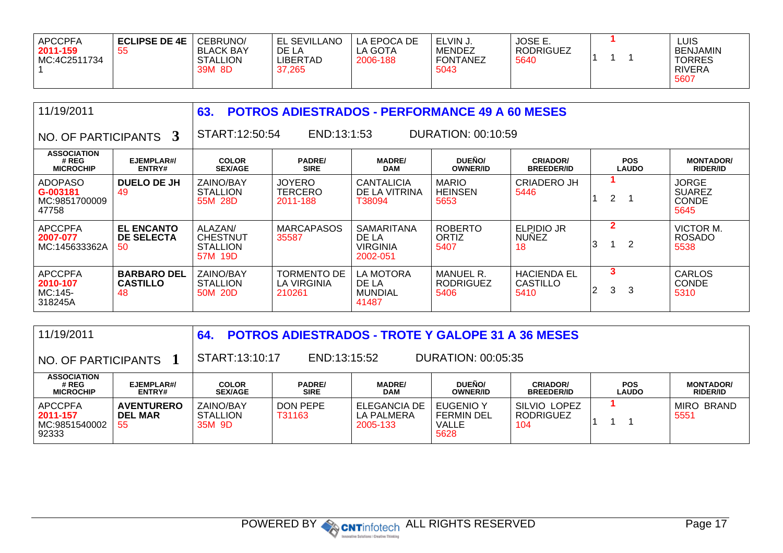| <b>APCCPFA</b><br>2011-159<br>MC:4C2511734 | <b>ECLIPSE DE 4E</b><br>55 | CEBRUNO/<br><b>BLACK BAY</b><br><b>STALLION</b><br>39M 8D | <b>EL SEVILLANO</b><br>DE LA<br>LIBERTAD<br>37,265 | LA EPOCA DE<br>LA GOTA<br>2006-188 | ELVIN J.<br><b>MENDEZ</b><br><b>FONTANEZ</b><br>5043 | <b>JOSE E.</b><br><b>RODRIGUEZ</b><br>5640 |  |  | ∟UIS<br><b>BENJAMIN</b><br><b>TORRES</b><br><b>RIVERA</b><br>5607 |
|--------------------------------------------|----------------------------|-----------------------------------------------------------|----------------------------------------------------|------------------------------------|------------------------------------------------------|--------------------------------------------|--|--|-------------------------------------------------------------------|
|--------------------------------------------|----------------------------|-----------------------------------------------------------|----------------------------------------------------|------------------------------------|------------------------------------------------------|--------------------------------------------|--|--|-------------------------------------------------------------------|

| 11/19/2011                                           |                                             | 63.                                                      | <b>POTROS ADIESTRADOS - PERFORMANCE 49 A 60 MESES</b>      |                                                           |                                              |                                        |                   |                            |                                                       |  |  |  |  |
|------------------------------------------------------|---------------------------------------------|----------------------------------------------------------|------------------------------------------------------------|-----------------------------------------------------------|----------------------------------------------|----------------------------------------|-------------------|----------------------------|-------------------------------------------------------|--|--|--|--|
| NO. OF PARTICIPANTS 3                                |                                             |                                                          | START:12:50:54<br>END:13:1:53<br><b>DURATION: 00:10:59</b> |                                                           |                                              |                                        |                   |                            |                                                       |  |  |  |  |
| <b>ASSOCIATION</b><br># REG<br><b>MICROCHIP</b>      | EJEMPLAR#/<br>ENTRY#                        | <b>COLOR</b><br><b>SEX/AGE</b>                           | <b>PADRE/</b><br><b>SIRE</b>                               | <b>MADRE/</b><br><b>DAM</b>                               | DUEÑO/<br><b>OWNER/ID</b>                    | <b>CRIADOR/</b><br><b>BREEDER/ID</b>   |                   | <b>POS</b><br><b>LAUDO</b> | <b>MONTADOR/</b><br><b>RIDER/ID</b>                   |  |  |  |  |
| <b>ADOPASO</b><br>G-003181<br>MC:9851700009<br>47758 | <b>DUELO DE JH</b><br>49                    | ZAINO/BAY<br><b>STALLION</b><br>55M 28D                  | <b>JOYERO</b><br><b>TERCERO</b><br>2011-188                | <b>CANTALICIA</b><br>DE LA VITRINA<br>T38094              | <b>MARIO</b><br><b>HEINSEN</b><br>5653       | CRIADERO JH<br>5446                    | 2                 |                            | <b>JORGE</b><br><b>SUAREZ</b><br><b>CONDE</b><br>5645 |  |  |  |  |
| <b>APCCPFA</b><br>2007-077<br>MC:145633362A          | <b>EL ENCANTO</b><br>DE SELECTA<br>50       | ALAZAN/<br><b>CHESTNUT</b><br><b>STALLION</b><br>57M 19D | <b>MARCAPASOS</b><br>35587                                 | <b>SAMARITANA</b><br>DE LA<br><b>VIRGINIA</b><br>2002-051 | <b>ROBERTO</b><br>ORTIZ<br>5407              | ELPIDIO JR<br><b>NUNEZ</b><br>18       | $\mathbf{2}$<br>3 | 2                          | <b>VICTOR M.</b><br><b>ROSADO</b><br>5538             |  |  |  |  |
| <b>APCCPFA</b><br>2010-107<br>MC:145-<br>318245A     | <b>BARBARO DEL</b><br><b>CASTILLO</b><br>48 | ZAINO/BAY<br><b>STALLION</b><br>50M 20D                  | <b>TORMENTO DE</b><br>LA VIRGINIA<br>210261                | LA MOTORA<br>DE LA<br><b>MUNDIAL</b><br>41487             | <b>MANUEL R.</b><br><b>RODRIGUEZ</b><br>5406 | <b>HACIENDA EL</b><br>CASTILLO<br>5410 | 3<br>3            | 3                          | <b>CARLOS</b><br><b>CONDE</b><br>5310                 |  |  |  |  |

| 11/19/2011                                      |                                           | 64.                                    |                                                      | <b>POTROS ADIESTRADOS - TROTE Y GALOPE 31 A 36 MESES</b> |                                                        |                                         |                            |                                     |  |  |
|-------------------------------------------------|-------------------------------------------|----------------------------------------|------------------------------------------------------|----------------------------------------------------------|--------------------------------------------------------|-----------------------------------------|----------------------------|-------------------------------------|--|--|
| NO. OF PARTICIPANTS                             |                                           |                                        | START:13:10:17<br>END:13:15:52<br>DURATION: 00:05:35 |                                                          |                                                        |                                         |                            |                                     |  |  |
| <b>ASSOCIATION</b><br># REG<br><b>MICROCHIP</b> | EJEMPLAR#/<br><b>ENTRY#</b>               | <b>COLOR</b><br><b>SEX/AGE</b>         | <b>PADRE/</b><br><b>SIRE</b>                         | <b>MADRE/</b><br><b>DAM</b>                              | DUEÑO/<br><b>OWNER/ID</b>                              | <b>CRIADOR/</b><br><b>BREEDER/ID</b>    | <b>POS</b><br><b>LAUDO</b> | <b>MONTADOR/</b><br><b>RIDER/ID</b> |  |  |
| APCCPFA<br>2011-157<br>MC:9851540002<br>92333   | <b>AVENTURERO</b><br><b>DEL MAR</b><br>55 | ZAINO/BAY<br><b>STALLION</b><br>35M 9D | DON PEPE<br>T31163                                   | ELEGANCIA DE<br>LA PALMERA<br>2005-133                   | EUGENIO Y<br><b>FERMIN DEL</b><br><b>VALLE</b><br>5628 | SILVIO LOPEZ<br><b>RODRIGUEZ</b><br>104 |                            | MIRO BRAND<br>5551                  |  |  |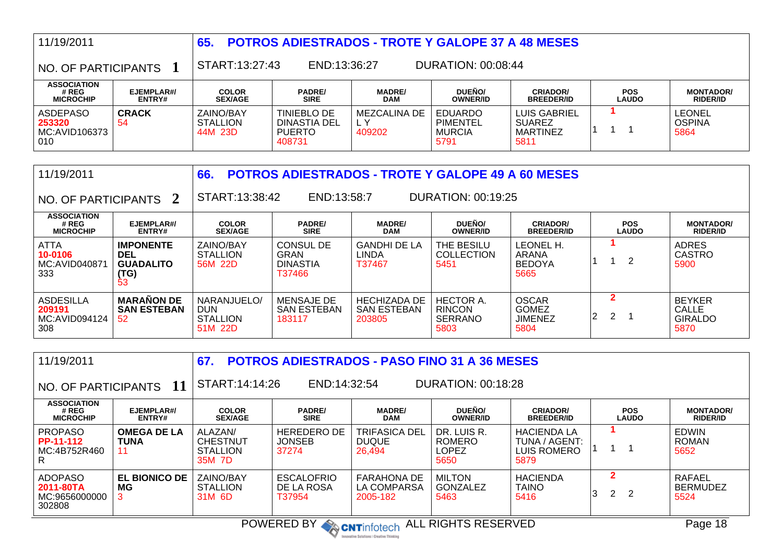| 11/19/2011                                        |                      | 65.                                     | <b>POTROS ADIESTRADOS - TROTE Y GALOPE 37 A 48 MESES</b> |                               |                                              |                                                          |                            |                                        |  |  |  |
|---------------------------------------------------|----------------------|-----------------------------------------|----------------------------------------------------------|-------------------------------|----------------------------------------------|----------------------------------------------------------|----------------------------|----------------------------------------|--|--|--|
| NO. OF PARTICIPANTS                               |                      |                                         | START:13:27:43<br>DURATION: 00:08:44<br>END:13:36:27     |                               |                                              |                                                          |                            |                                        |  |  |  |
| <b>ASSOCIATION</b><br># REG<br><b>MICROCHIP</b>   | EJEMPLAR#/<br>ENTRY# | <b>COLOR</b><br><b>SEX/AGE</b>          | <b>PADRE/</b><br><b>SIRE</b>                             | <b>MADRE/</b><br>DAM          | DUEÑO/<br><b>OWNER/ID</b>                    | <b>CRIADOR/</b><br><b>BREEDER/ID</b>                     | <b>POS</b><br><b>LAUDO</b> | <b>MONTADOR/</b><br><b>RIDER/ID</b>    |  |  |  |
| <b>ASDEPASO</b><br>253320<br>MC:AVID106373<br>010 | <b>CRACK</b><br>-54  | ZAINO/BAY<br><b>STALLION</b><br>44M 23D | TINIEBLO DE<br>DINASTIA DEL<br><b>PUERTO</b><br>408731   | MEZCALINA DE<br>L Y<br>409202 | EDUARDO<br>PIMENTEL<br><b>MURCIA</b><br>5791 | LUIS GABRIEL<br><b>SUAREZ</b><br><b>MARTINEZ</b><br>5811 |                            | <b>LEONEL</b><br><b>OSPINA</b><br>5864 |  |  |  |

| 11/19/2011                                         |                                                                  | 66.                                                     | <b>POTROS ADIESTRADOS - TROTE Y GALOPE 49 A 60 MESES</b>                                                                                                              |                                                     |                                                             |                                                        |             |                                                  |  |  |  |  |
|----------------------------------------------------|------------------------------------------------------------------|---------------------------------------------------------|-----------------------------------------------------------------------------------------------------------------------------------------------------------------------|-----------------------------------------------------|-------------------------------------------------------------|--------------------------------------------------------|-------------|--------------------------------------------------|--|--|--|--|
| NO. OF PARTICIPANTS 2                              |                                                                  |                                                         | START:13:38:42<br>END:13:58:7<br>DURATION: 00:19:25                                                                                                                   |                                                     |                                                             |                                                        |             |                                                  |  |  |  |  |
| <b>ASSOCIATION</b><br># REG<br><b>MICROCHIP</b>    | EJEMPLAR#/<br>ENTRY#                                             | <b>COLOR</b><br><b>SEX/AGE</b>                          | <b>DUEÑO/</b><br><b>PADRE/</b><br><b>CRIADOR/</b><br><b>MADRE/</b><br><b>POS</b><br><b>SIRE</b><br><b>DAM</b><br><b>LAUDO</b><br><b>OWNER/ID</b><br><b>BREEDER/ID</b> |                                                     |                                                             |                                                        |             |                                                  |  |  |  |  |
| ATTA<br>10-0106<br>MC:AVID040871<br>333            | <b>IMPONENTE</b><br><b>DEL</b><br><b>GUADALITO</b><br>(TG)<br>53 | ZAINO/BAY<br><b>STALLION</b><br>56M 22D                 | <b>CONSUL DE</b><br>GRAN<br><b>DINASTIA</b><br>T37466                                                                                                                 | <b>GANDHI DE LA</b><br>LINDA<br>T37467              | THE BESILU<br><b>COLLECTION</b><br>5451                     | LEONEL H.<br><b>ARANA</b><br><b>BEDOYA</b><br>5665     | 2           | <b>ADRES</b><br><b>CASTRO</b><br>5900            |  |  |  |  |
| <b>ASDESILLA</b><br>209191<br>MC:AVID094124<br>308 | <b>MARAÑON DE</b><br><b>SAN ESTEBAN</b><br>52                    | NARANJUELO/<br><b>DUN</b><br><b>STALLION</b><br>51M 22D | <b>MENSAJE DE</b><br><b>SAN ESTEBAN</b><br>183117                                                                                                                     | <b>HECHIZADA DE</b><br><b>SAN ESTEBAN</b><br>203805 | <b>HECTOR A.</b><br><b>RINCON</b><br><b>SERRANO</b><br>5803 | <b>OSCAR</b><br><b>GOMEZ</b><br><b>JIMENEZ</b><br>5804 | 2<br>2<br>2 | <b>BEYKER</b><br>CALLE<br><b>GIRALDO</b><br>5870 |  |  |  |  |

| 11/19/2011                                                                                                            |                                         | 67.                                                     | <b>POTROS ADIESTRADOS - PASO FINO 31 A 36 MESES</b>                                                                                                            |                                               |                                               |                                                            |                                                 |                                      |  |  |  |  |
|-----------------------------------------------------------------------------------------------------------------------|-----------------------------------------|---------------------------------------------------------|----------------------------------------------------------------------------------------------------------------------------------------------------------------|-----------------------------------------------|-----------------------------------------------|------------------------------------------------------------|-------------------------------------------------|--------------------------------------|--|--|--|--|
| NO. OF PARTICIPANTS                                                                                                   | 11                                      |                                                         | START:14:14:26<br>END:14:32:54<br><b>DURATION: 00:18:28</b>                                                                                                    |                                               |                                               |                                                            |                                                 |                                      |  |  |  |  |
| <b>ASSOCIATION</b><br># REG<br><b>MICROCHIP</b>                                                                       | EJEMPLAR#/<br>ENTRY#                    | <b>COLOR</b><br><b>SEX/AGE</b>                          | DUEÑO/<br><b>PADRE/</b><br><b>MADRE/</b><br><b>CRIADOR/</b><br><b>POS</b><br><b>SIRE</b><br><b>DAM</b><br><b>LAUDO</b><br><b>OWNER/ID</b><br><b>BREEDER/ID</b> |                                               |                                               |                                                            |                                                 |                                      |  |  |  |  |
| <b>PROPASO</b><br><b>PP-11-112</b><br>MC:4B752R460<br>R.                                                              | <b>OMEGA DE LA</b><br><b>TUNA</b><br>11 | ALAZAN/<br><b>CHESTNUT</b><br><b>STALLION</b><br>35M 7D | <b>HEREDERO DE</b><br><b>JONSEB</b><br>37274                                                                                                                   | TRIFASICA DEL<br><b>DUQUE</b><br>26.494       | DR. LUIS R.<br><b>ROMERO</b><br>LOPEZ<br>5650 | <b>HACIENDA LA</b><br>TUNA / AGENT:<br>LUIS ROMERO<br>5879 |                                                 | <b>EDWIN</b><br><b>ROMAN</b><br>5652 |  |  |  |  |
| <b>ADOPASO</b><br>2011-80TA<br>MC:9656000000<br>302808                                                                | <b>EL BIONICO DE</b><br>МG              | <b>ZAINO/BAY</b><br><b>STALLION</b><br>31M 6D           | <b>ESCALOFRIO</b><br>DE LA ROSA<br>T37954                                                                                                                      | <b>FARAHONA DE</b><br>LA COMPARSA<br>2005-182 | <b>MILTON</b><br>GONZALEZ<br>5463             | <b>HACIENDA</b><br><b>TAINO</b><br>5416                    | $\mathbf{2}$<br>$\mathbf{2}^{\prime}$<br>2<br>3 | RAFAEL<br><b>BERMUDEZ</b><br>5524    |  |  |  |  |
| <b>POWERED BY</b><br>ALL RIGHTS RESERVED<br>Page 18<br><b>CNTinfotech</b><br>Innovative Solutions / Creative Thinking |                                         |                                                         |                                                                                                                                                                |                                               |                                               |                                                            |                                                 |                                      |  |  |  |  |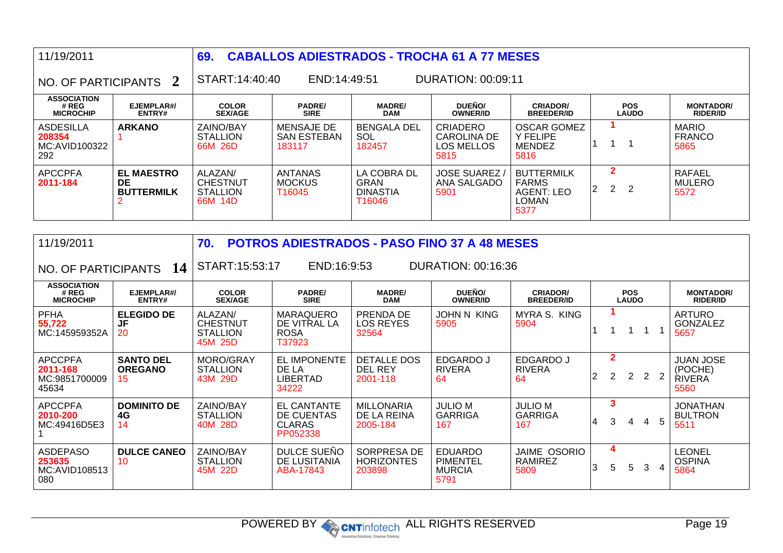| 11/19/2011                                      |                                                     | 69                                                          |                                            | <b>CABALLOS ADIESTRADOS - TROCHA 61 A 77 MESES</b>      |                                                      |                                                                         |                                           |                                        |  |  |  |
|-------------------------------------------------|-----------------------------------------------------|-------------------------------------------------------------|--------------------------------------------|---------------------------------------------------------|------------------------------------------------------|-------------------------------------------------------------------------|-------------------------------------------|----------------------------------------|--|--|--|
| NO. OF PARTICIPANTS 2                           |                                                     | START:14:40:40<br>END:14:49:51<br><b>DURATION: 00:09:11</b> |                                            |                                                         |                                                      |                                                                         |                                           |                                        |  |  |  |
| <b>ASSOCIATION</b><br># REG<br><b>MICROCHIP</b> | EJEMPLAR#/<br>ENTRY#                                | <b>COLOR</b><br><b>SEX/AGE</b>                              | <b>PADRE/</b><br><b>SIRE</b>               | <b>MADRE/</b><br><b>DAM</b>                             | DUEÑO/<br><b>OWNER/ID</b>                            | <b>CRIADOR/</b><br><b>BREEDER/ID</b>                                    | <b>POS</b><br><b>LAUDO</b>                | <b>MONTADOR/</b><br><b>RIDER/ID</b>    |  |  |  |
| ASDESILLA<br>208354<br>MC:AVID100322<br>292     | <b>ARKANO</b>                                       | ZAINO/BAY<br><b>STALLION</b><br>66M 26D                     | MENSAJE DE<br><b>SAN ESTEBAN</b><br>183117 | BENGALA DEL<br>SOL.<br>182457                           | <b>CRIADERO</b><br>CAROLINA DE<br>LOS MELLOS<br>5815 | <b>OSCAR GOMEZ</b><br><b>Y FELIPE</b><br><b>MENDEZ</b><br>5816          |                                           | <b>MARIO</b><br><b>FRANCO</b><br>5865  |  |  |  |
| <b>APCCPFA</b><br>2011-184                      | <b>EL MAESTRO</b><br><b>DE</b><br><b>BUTTERMILK</b> | ALAZAN/<br><b>CHESTNUT</b><br><b>STALLION</b><br>66M 14D    | ANTANAS<br><b>MOCKUS</b><br>T16045         | LA COBRA DL<br><b>GRAN</b><br><b>DINASTIA</b><br>T16046 | <b>JOSE SUAREZ</b><br>ANA SALGADO<br>5901            | <b>BUTTERMILK</b><br><b>FARMS</b><br><b>AGENT: LEO</b><br>LOMAN<br>5377 | $\mathbf{2}$<br>$\mathbf{2}^{\circ}$<br>2 | <b>RAFAEL</b><br><b>MULERO</b><br>5572 |  |  |  |

| 11/19/2011                                           |                                          | 70.                                                      | <b>POTROS ADIESTRADOS - PASO FINO 37 A 48 MESES</b>           |                                              |                                                            |                                               |                            |                                  |   |   |                |                                                      |
|------------------------------------------------------|------------------------------------------|----------------------------------------------------------|---------------------------------------------------------------|----------------------------------------------|------------------------------------------------------------|-----------------------------------------------|----------------------------|----------------------------------|---|---|----------------|------------------------------------------------------|
|                                                      | NO. OF PARTICIPANTS 14                   | START:15:53:17                                           | END:16:9:53                                                   |                                              | <b>DURATION: 00:16:36</b>                                  |                                               |                            |                                  |   |   |                |                                                      |
| <b>ASSOCIATION</b><br># REG<br><b>MICROCHIP</b>      | EJEMPLAR#<br>ENTRY#                      | <b>COLOR</b><br><b>SEX/AGE</b>                           | <b>PADRE/</b><br><b>SIRE</b>                                  | <b>MADRE/</b><br><b>DAM</b>                  | DUEÑO/<br><b>OWNER/ID</b>                                  | <b>CRIADOR/</b><br><b>BREEDER/ID</b>          | <b>POS</b><br><b>LAUDO</b> |                                  |   |   |                | <b>MONTADOR/</b><br><b>RIDER/ID</b>                  |
| <b>PFHA</b><br>55,722<br>MC:145959352A               | <b>ELEGIDO DE</b><br>JF<br>20            | ALAZAN/<br><b>CHESTNUT</b><br><b>STALLION</b><br>45M 25D | <b>MARAQUERO</b><br>DE VITRAL LA<br><b>ROSA</b><br>T37923     | PRENDA DE<br><b>LOS REYES</b><br>32564       | JOHN N KING<br>5905                                        | MYRA S. KING<br>5904                          |                            |                                  |   |   |                | <b>ARTURO</b><br><b>GONZALEZ</b><br>5657             |
| <b>APCCPFA</b><br>2011-168<br>MC:9851700009<br>45634 | <b>SANTO DEL</b><br><b>OREGANO</b><br>15 | MORO/GRAY<br><b>STALLION</b><br>43M 29D                  | EL IMPONENTE<br>DE LA<br><b>LIBERTAD</b><br>34222             | <b>DETALLE DOS</b><br>DEL REY<br>2001-118    | <b>EDGARDO J</b><br><b>RIVERA</b><br>64                    | EDGARDO J<br><b>RIVERA</b><br>64              | $\overline{2}$             | $\overline{2}$<br>$\overline{2}$ | 2 | 2 |                | <b>JUAN JOSE</b><br>(POCHE)<br><b>RIVERA</b><br>5560 |
| <b>APCCPFA</b><br>2010-200<br>MC:49416D5E3           | <b>DOMINITO DE</b><br>4G<br>14           | ZAINO/BAY<br><b>STALLION</b><br>40M 28D                  | <b>EL CANTANTE</b><br>DE CUENTAS<br><b>CLARAS</b><br>PP052338 | <b>MILLONARIA</b><br>DE LA REINA<br>2005-184 | <b>JULIO M</b><br><b>GARRIGA</b><br>167                    | <b>JULIO M</b><br>GARRIGA<br>167              | 4                          | 3<br>3                           | 4 |   | 5              | <b>JONATHAN</b><br><b>BULTRON</b><br>5511            |
| <b>ASDEPASO</b><br>253635<br>MC:AVID108513<br>080    | <b>DULCE CANEO</b><br>10                 | ZAINO/BAY<br><b>STALLION</b><br>45M 22D                  | DULCE SUEÑO<br>DE LUSITANIA<br>ABA-17843                      | SORPRESA DE<br><b>HORIZONTES</b><br>203898   | <b>EDUARDO</b><br><b>PIMENTEL</b><br><b>MURCIA</b><br>5791 | <b>JAIME OSORIO</b><br><b>RAMIREZ</b><br>5809 | 3                          | 4<br>5                           | 5 | 3 | $\overline{4}$ | <b>LEONEL</b><br><b>OSPINA</b><br>5864               |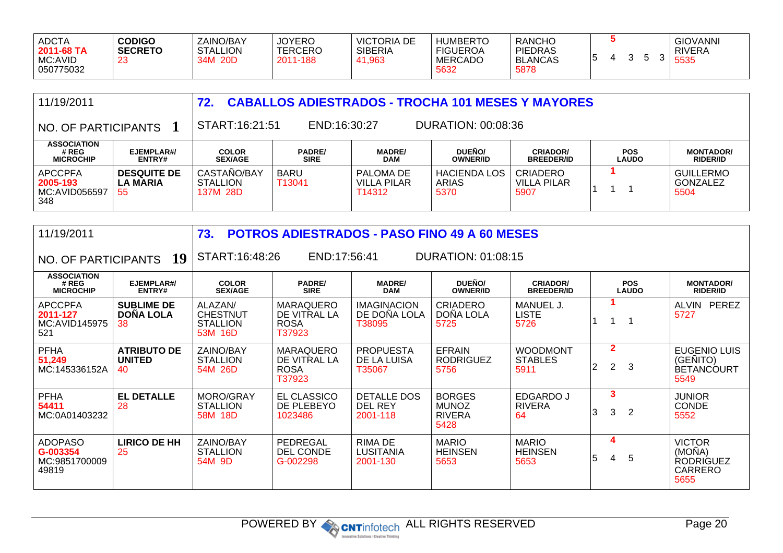| <b>ADCTA</b><br>2011-68 TA<br>MC:AVID<br>050775032 | <b>CODIGO</b><br><b>SECRETO</b><br>-23 | ZAINO/BAY<br><b>STALLION</b><br>34M 20D | <b>JOYERO</b><br><b>TERCERO</b><br>2011-188 | <b>VICTORIA DE</b><br><b>SIBERIA</b><br>41,963 | <b>HUMBERTO</b><br><b>FIGUEROA</b><br><b>MERCADO</b><br>5632 | <b>RANCHO</b><br><b>PIEDRAS</b><br><b>BLANCAS</b><br>5878 |  |  |  |  | <b>GIOVANNI</b><br>RIVERA<br>5535 |
|----------------------------------------------------|----------------------------------------|-----------------------------------------|---------------------------------------------|------------------------------------------------|--------------------------------------------------------------|-----------------------------------------------------------|--|--|--|--|-----------------------------------|
|----------------------------------------------------|----------------------------------------|-----------------------------------------|---------------------------------------------|------------------------------------------------|--------------------------------------------------------------|-----------------------------------------------------------|--|--|--|--|-----------------------------------|

| 11/19/2011                                         |                                             | 72.                                        | <b>CABALLOS ADIESTRADOS - TROCHA 101 MESES Y MAYORES</b> |                                    |                                      |                                        |                            |                                             |  |
|----------------------------------------------------|---------------------------------------------|--------------------------------------------|----------------------------------------------------------|------------------------------------|--------------------------------------|----------------------------------------|----------------------------|---------------------------------------------|--|
| NO. OF PARTICIPANTS                                |                                             | START:16:21:51                             |                                                          |                                    |                                      |                                        |                            |                                             |  |
| <b>ASSOCIATION</b><br># REG<br><b>MICROCHIP</b>    | EJEMPLAR#/<br><b>ENTRY#</b>                 | <b>COLOR</b><br><b>SEX/AGE</b>             | <b>PADRE/</b><br><b>SIRE</b>                             | <b>MADRE/</b><br><b>DAM</b>        | DUEÑO/<br><b>OWNER/ID</b>            | <b>CRIADOR/</b><br><b>BREEDER/ID</b>   | <b>POS</b><br><b>LAUDO</b> | <b>MONTADOR/</b><br><b>RIDER/ID</b>         |  |
| <b>APCCPFA</b><br>2005-193<br>MC:AVID056597<br>348 | <b>DESQUITE DE</b><br><b>LA MARIA</b><br>55 | CASTAÑO/BAY<br><b>STALLION</b><br>137M 28D | <b>BARU</b><br>T13041                                    | PALOMA DE<br>VILLA PILAR<br>T14312 | <b>HACIENDA LOS</b><br>ARIAS<br>5370 | <b>CRIADERO</b><br>VILLA PILAR<br>5907 |                            | <b>GUILLERMO</b><br><b>GONZALEZ</b><br>5504 |  |

| 11/19/2011                                           |                                             | 73.                                                      |                                                           | <b>POTROS ADIESTRADOS - PASO FINO 49 A 60 MESES</b> |                                                        |                                           |                |                                  |                            |                                                                       |
|------------------------------------------------------|---------------------------------------------|----------------------------------------------------------|-----------------------------------------------------------|-----------------------------------------------------|--------------------------------------------------------|-------------------------------------------|----------------|----------------------------------|----------------------------|-----------------------------------------------------------------------|
| NO. OF PARTICIPANTS 19                               |                                             | START:16:48:26                                           | END:17:56:41                                              |                                                     | <b>DURATION: 01:08:15</b>                              |                                           |                |                                  |                            |                                                                       |
| <b>ASSOCIATION</b><br># REG<br><b>MICROCHIP</b>      | EJEMPLAR#/<br>ENTRY#                        | <b>COLOR</b><br><b>SEX/AGE</b>                           | <b>PADRE/</b><br><b>SIRE</b>                              | <b>MADRE/</b><br><b>DAM</b>                         | DUEÑO/<br><b>OWNER/ID</b>                              | <b>CRIADOR/</b><br><b>BREEDER/ID</b>      |                |                                  | <b>POS</b><br><b>LAUDO</b> | <b>MONTADOR/</b><br><b>RIDER/ID</b>                                   |
| <b>APCCPFA</b><br>2011-127<br>MC:AVID145975<br>521   | <b>SUBLIME DE</b><br><b>DOÑA LOLA</b><br>38 | ALAZAN/<br><b>CHESTNUT</b><br><b>STALLION</b><br>53M 16D | <b>MARAQUERO</b><br>DE VITRAL LA<br><b>ROSA</b><br>T37923 | <b>IMAGINACION</b><br>DE DOÑA LOLA<br>T38095        | <b>CRIADERO</b><br>DOÑA LOLA<br>5725                   | MANUEL J.<br><b>LISTE</b><br>5726         |                |                                  | $\overline{\mathbf{1}}$    | ALVIN PEREZ<br>5727                                                   |
| <b>PFHA</b><br>51,249<br>MC:145336152A               | <b>ATRIBUTO DE</b><br><b>UNITED</b><br>40   | ZAINO/BAY<br><b>STALLION</b><br>54M 26D                  | <b>MARAQUERO</b><br>DE VITRAL LA<br><b>ROSA</b><br>T37923 | <b>PROPUESTA</b><br>DE LA LUISA<br>T35067           | <b>EFRAIN</b><br><b>RODRIGUEZ</b><br>5756              | <b>WOODMONT</b><br><b>STABLES</b><br>5911 | $\overline{2}$ | $\overline{2}$<br>$\overline{2}$ | 3                          | <b>EUGENIO LUIS</b><br>(GENITO)<br><b>BETANCOURT</b><br>5549          |
| <b>PFHA</b><br>54411<br>MC:0A01403232                | <b>EL DETALLE</b><br>28                     | MORO/GRAY<br><b>STALLION</b><br>58M 18D                  | EL CLASSICO<br>DE PLEBEYO<br>1023486                      | <b>DETALLE DOS</b><br><b>DEL REY</b><br>2001-118    | <b>BORGES</b><br><b>MUNOZ</b><br><b>RIVERA</b><br>5428 | <b>EDGARDO J</b><br><b>RIVERA</b><br>64   | 3              | 3<br>3                           | $\overline{2}$             | <b>JUNIOR</b><br><b>CONDE</b><br>5552                                 |
| <b>ADOPASO</b><br>G-003354<br>MC:9851700009<br>49819 | <b>LIRICO DE HH</b><br>25                   | ZAINO/BAY<br><b>STALLION</b><br>54M 9D                   | PEDREGAL<br><b>DEL CONDE</b><br>G-002298                  | RIMA DE<br><b>LUSITANIA</b><br>2001-130             | <b>MARIO</b><br><b>HEINSEN</b><br>5653                 | <b>MARIO</b><br><b>HEINSEN</b><br>5653    | 5              | 4<br>4                           | 5                          | <b>VICTOR</b><br>(MOÑA)<br><b>RODRIGUEZ</b><br><b>CARRERO</b><br>5655 |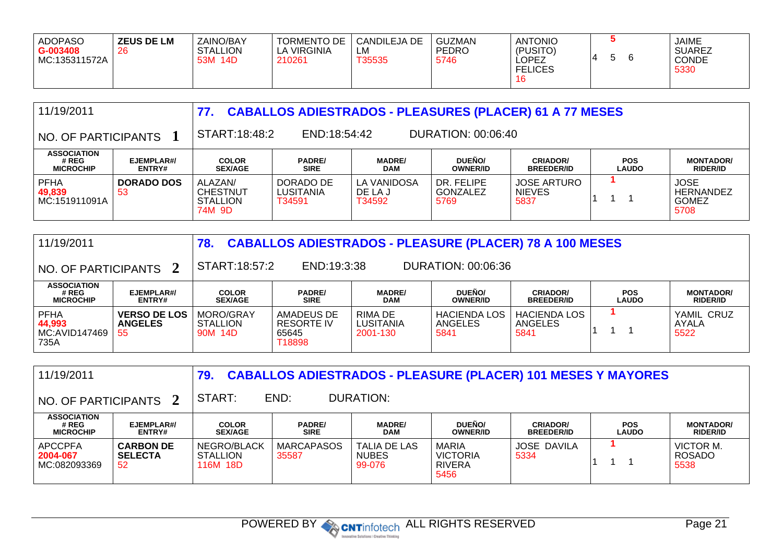| <b>ADOPASO</b><br>$G - 003408$<br>  MC:135311572A | <b>ZEUS DE LM</b><br>26 | ZAINO/BAY<br><b>STALLION</b><br>14D<br>53M | <b>TORMENTO DE</b><br><b>LA VIRGINIA</b><br>210261 | CANDILEJA DE<br>LМ<br>T35535 | GUZMAN<br><b>PEDRO</b><br>5746 | <b>ANTONIO</b><br>(PUSITO)<br>LOPEZ<br><b>FELICES</b><br>16 |  |  | <b>JAIME</b><br><b>SUAREZ</b><br><b>CONDE</b><br>5330 |
|---------------------------------------------------|-------------------------|--------------------------------------------|----------------------------------------------------|------------------------------|--------------------------------|-------------------------------------------------------------|--|--|-------------------------------------------------------|
|---------------------------------------------------|-------------------------|--------------------------------------------|----------------------------------------------------|------------------------------|--------------------------------|-------------------------------------------------------------|--|--|-------------------------------------------------------|

| <b>CABALLOS ADIESTRADOS - PLEASURES (PLACER) 61 A 77 MESES</b><br>11/19/2011<br>77. |                         |                                                  |                                  |                                  |                                |                                             |                            |                                                         |
|-------------------------------------------------------------------------------------|-------------------------|--------------------------------------------------|----------------------------------|----------------------------------|--------------------------------|---------------------------------------------|----------------------------|---------------------------------------------------------|
| NO. OF PARTICIPANTS                                                                 |                         | START:18:48:2                                    | END:18:54:42                     |                                  | DURATION: 00:06:40             |                                             |                            |                                                         |
| <b>ASSOCIATION</b><br># REG<br><b>MICROCHIP</b>                                     | EJEMPLAR#/<br>ENTRY#    | <b>COLOR</b><br><b>SEX/AGE</b>                   | <b>PADRE/</b><br><b>SIRE</b>     | <b>MADRE/</b><br><b>DAM</b>      | DUEÑO/<br><b>OWNER/ID</b>      | <b>CRIADOR/</b><br><b>BREEDER/ID</b>        | <b>POS</b><br><b>LAUDO</b> | <b>MONTADOR/</b><br><b>RIDER/ID</b>                     |
| <b>PFHA</b><br>49,839<br>MC:151911091A                                              | <b>DORADO DOS</b><br>53 | ALAZAN/<br>CHESTNUT<br><b>STALLION</b><br>74M 9D | DORADO DE<br>LUSITANIA<br>T34591 | LA VANIDOSA<br>DE LA J<br>T34592 | DR. FELIPE<br>GONZALEZ<br>5769 | <b>JOSE ARTURO</b><br><b>NIEVES</b><br>5837 |                            | <b>JOSE</b><br><b>HERNANDEZ</b><br><b>GOMEZ</b><br>5708 |

| <b>CABALLOS ADIESTRADOS - PLEASURE (PLACER) 78 A 100 MESES</b><br>11/19/2011<br>78. |                                             |                                         |                                             |                                  |                                        |                                        |                            |                                     |
|-------------------------------------------------------------------------------------|---------------------------------------------|-----------------------------------------|---------------------------------------------|----------------------------------|----------------------------------------|----------------------------------------|----------------------------|-------------------------------------|
| $\vert$ NO. OF PARTICIPANTS $\vert$ 2                                               |                                             | START:18:57:2                           | END:19:3:38                                 |                                  | DURATION: 00:06:36                     |                                        |                            |                                     |
| <b>ASSOCIATION</b><br># REG<br><b>MICROCHIP</b>                                     | EJEMPLAR#/<br><b>ENTRY#</b>                 | <b>COLOR</b><br><b>SEX/AGE</b>          | <b>PADRE/</b><br><b>SIRE</b>                | <b>MADRE/</b><br><b>DAM</b>      | <b>DUEÑO/</b><br><b>OWNER/ID</b>       | <b>CRIADOR/</b><br><b>BREEDER/ID</b>   | <b>POS</b><br><b>LAUDO</b> | <b>MONTADOR/</b><br><b>RIDER/ID</b> |
| <b>PFHA</b><br>44,993<br>  MC:AVID147469<br>735A                                    | <b>VERSO DE LOS</b><br><b>ANGELES</b><br>55 | MORO/GRAY<br><b>STALLION</b><br>90M 14D | AMADEUS DE<br>RESORTE IV<br>65645<br>T18898 | RIMA DE<br>LUSITANIA<br>2001-130 | <b>HACIENDA LOS</b><br>ANGELES<br>5841 | <b>HACIENDA LOS</b><br>ANGELES<br>5841 |                            | YAMIL CRUZ<br>AYALA<br>5522         |

| 11/19/2011                                      |                                          | 79.                                 |                              | <b>CABALLOS ADIESTRADOS - PLEASURE (PLACER) 101 MESES Y MAYORES</b> |                                                          |                                      |                            |                                     |
|-------------------------------------------------|------------------------------------------|-------------------------------------|------------------------------|---------------------------------------------------------------------|----------------------------------------------------------|--------------------------------------|----------------------------|-------------------------------------|
| NO. OF PARTICIPANTS 2                           |                                          | START:                              | END:                         | DURATION:                                                           |                                                          |                                      |                            |                                     |
| <b>ASSOCIATION</b><br># REG<br><b>MICROCHIP</b> | EJEMPLAR#/<br><b>ENTRY#</b>              | <b>COLOR</b><br><b>SEX/AGE</b>      | <b>PADRE/</b><br><b>SIRE</b> | <b>MADRE/</b><br><b>DAM</b>                                         | <b>DUEÑO/</b><br><b>OWNER/ID</b>                         | <b>CRIADOR/</b><br><b>BREEDER/ID</b> | <b>POS</b><br><b>LAUDO</b> | <b>MONTADOR/</b><br><b>RIDER/ID</b> |
| <b>APCCPFA</b><br>2004-067<br>MC:082093369      | <b>CARBON DE</b><br><b>SELECTA</b><br>52 | NEGRO/BLACK<br>STALLION<br>116M 18D | <b>MARCAPASOS</b><br>35587   | <b>TALIA DE LAS</b><br><b>NUBES</b><br>99-076                       | <b>MARIA</b><br><b>VICTORIA</b><br><b>RIVERA</b><br>5456 | <b>JOSE DAVILA</b><br>5334           |                            | VICTOR M.<br><b>ROSADO</b><br>5538  |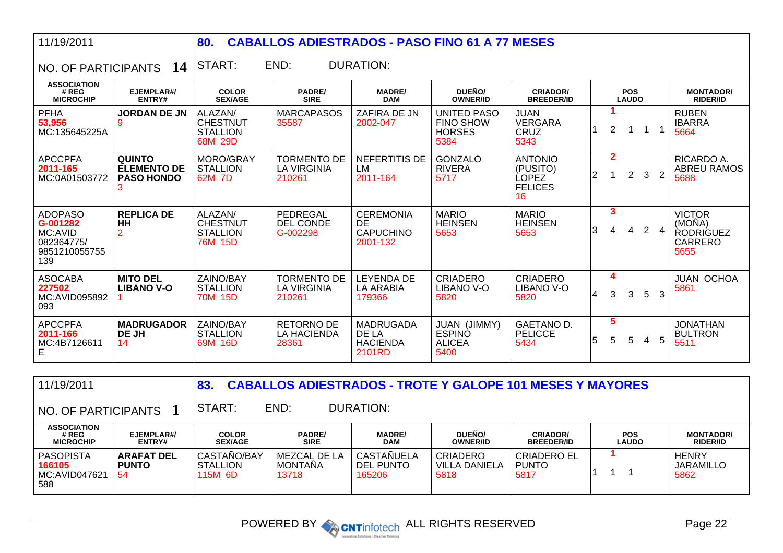11/19/2011

## **80. CABALLOS ADIESTRADOS - PASO FINO 61 A 77 MESES**

 $\overline{a}$  NO. OF PARTICIPANTS  $\overline{a}$  14  $\overline{a}$  START: END: DURATION:

| <b>ASSOCIATION</b><br># REG<br><b>MICROCHIP</b>                             | EJEMPLAR#/<br>ENTRY#                                     | <b>COLOR</b><br><b>SEX/AGE</b>                           | <b>PADRE/</b><br><b>SIRE</b>                       | <b>MADRE/</b><br><b>DAM</b>                             | DUEÑO/<br><b>OWNER/ID</b>                                | <b>CRIADOR/</b><br><b>BREEDER/ID</b>                        |                |                | <b>POS</b><br><b>LAUDO</b> |                |                | <b>MONTADOR/</b><br><b>RIDER/ID</b>                                   |
|-----------------------------------------------------------------------------|----------------------------------------------------------|----------------------------------------------------------|----------------------------------------------------|---------------------------------------------------------|----------------------------------------------------------|-------------------------------------------------------------|----------------|----------------|----------------------------|----------------|----------------|-----------------------------------------------------------------------|
| <b>PFHA</b><br>53,956<br>MC:135645225A                                      | <b>JORDAN DE JN</b><br>9                                 | ALAZAN/<br><b>CHESTNUT</b><br><b>STALLION</b><br>68M 29D | <b>MARCAPASOS</b><br>35587                         | ZAFIRA DE JN<br>2002-047                                | UNITED PASO<br><b>FINO SHOW</b><br><b>HORSES</b><br>5384 | <b>JUAN</b><br><b>VERGARA</b><br><b>CRUZ</b><br>5343        |                | $\overline{2}$ |                            |                |                | <b>RUBEN</b><br><b>IBARRA</b><br>5664                                 |
| <b>APCCPFA</b><br>2011-165<br>MC:0A01503772                                 | <b>QUINTO</b><br><b>ELEMENTO DE</b><br><b>PASO HONDO</b> | MORO/GRAY<br><b>STALLION</b><br>62M 7D                   | <b>TORMENTO DE</b><br><b>LA VIRGINIA</b><br>210261 | NEFERTITIS DE<br>LM<br>2011-164                         | <b>GONZALO</b><br><b>RIVERA</b><br>5717                  | <b>ANTONIO</b><br>(PUSITO)<br>LOPEZ<br><b>FELICES</b><br>16 | $\overline{2}$ | $\mathbf{2}$   | $\mathbf{2}$               | 3              | $\overline{2}$ | RICARDO A.<br><b>ABREU RAMOS</b><br>5688                              |
| <b>ADOPASO</b><br>G-001282<br>MC:AVID<br>082364775/<br>9851210055755<br>139 | <b>REPLICA DE</b><br>HH<br>$\overline{2}$                | ALAZAN/<br><b>CHESTNUT</b><br><b>STALLION</b><br>76M 15D | PEDREGAL<br>DEL CONDE<br>G-002298                  | <b>CEREMONIA</b><br>DE.<br><b>CAPUCHINO</b><br>2001-132 | <b>MARIO</b><br><b>HEINSEN</b><br>5653                   | <b>MARIO</b><br><b>HEINSEN</b><br>5653                      | 3              | 3              | $\overline{4}$             | $\overline{2}$ | $\overline{4}$ | <b>VICTOR</b><br>(MOÑA)<br><b>RODRIGUEZ</b><br><b>CARRERO</b><br>5655 |
| <b>ASOCABA</b><br>227502<br>MC:AVID095892<br>093                            | <b>MITO DEL</b><br><b>LIBANO V-O</b>                     | ZAINO/BAY<br><b>STALLION</b><br>70M 15D                  | TORMENTO DE<br>LA VIRGINIA<br>210261               | <b>LEYENDA DE</b><br>LA ARABIA<br>179366                | <b>CRIADERO</b><br>LIBANO V-O<br>5820                    | <b>CRIADERO</b><br>LIBANO V-O<br>5820                       | 4              | 4<br>3         | 3                          | 5              | 3              | <b>JUAN OCHOA</b><br>5861                                             |
| <b>APCCPFA</b><br>2011-166<br>MC:4B7126611<br>E.                            | <b>MADRUGADOR</b><br><b>DE JH</b><br>14                  | ZAINO/BAY<br><b>STALLION</b><br>69M 16D                  | RETORNO DE<br><b>LA HACIENDA</b><br>28361          | <b>MADRUGADA</b><br>DE LA<br><b>HACIENDA</b><br>2101RD  | JUAN (JIMMY)<br><b>ESPINO</b><br><b>ALICEA</b><br>5400   | GAETANO D.<br><b>PELICCE</b><br>5434                        | 5              | 5<br>5         | 5                          | 4              | 5              | <b>JONATHAN</b><br><b>BULTRON</b><br>5511                             |

| 11/19/2011<br><b>CABALLOS ADIESTRADOS - TROTE Y GALOPE 101 MESES Y MAYORES</b><br>83. |                                          |                                           |                                         |                                   |                                   |                                            |                            |                                          |
|---------------------------------------------------------------------------------------|------------------------------------------|-------------------------------------------|-----------------------------------------|-----------------------------------|-----------------------------------|--------------------------------------------|----------------------------|------------------------------------------|
| NO. OF PARTICIPANTS                                                                   |                                          | START:                                    | END:                                    | <b>DURATION:</b>                  |                                   |                                            |                            |                                          |
| <b>ASSOCIATION</b><br># REG<br><b>MICROCHIP</b>                                       | EJEMPLAR#/<br>ENTRY#                     | <b>COLOR</b><br><b>SEX/AGE</b>            | <b>PADRE/</b><br><b>SIRE</b>            | <b>MADRE/</b><br><b>DAM</b>       | DUEÑO/<br><b>OWNER/ID</b>         | <b>CRIADOR/</b><br><b>BREEDER/ID</b>       | <b>POS</b><br><b>LAUDO</b> | <b>MONTADOR/</b><br><b>RIDER/ID</b>      |
| <b>PASOPISTA</b><br>166105<br>MC:AVID047621<br>588                                    | <b>ARAFAT DEL</b><br><b>PUNTO</b><br>-54 | CASTAÑO/BAY<br><b>STALLION</b><br>115M 6D | MEZCAL DE LA<br><b>MONTANA</b><br>13718 | CASTANUELA<br>DEL PUNTO<br>165206 | CRIADERO<br>VILLA DANIELA<br>5818 | <b>CRIADERO EL</b><br><b>PUNTO</b><br>5817 |                            | <b>HENRY</b><br><b>JARAMILLO</b><br>5862 |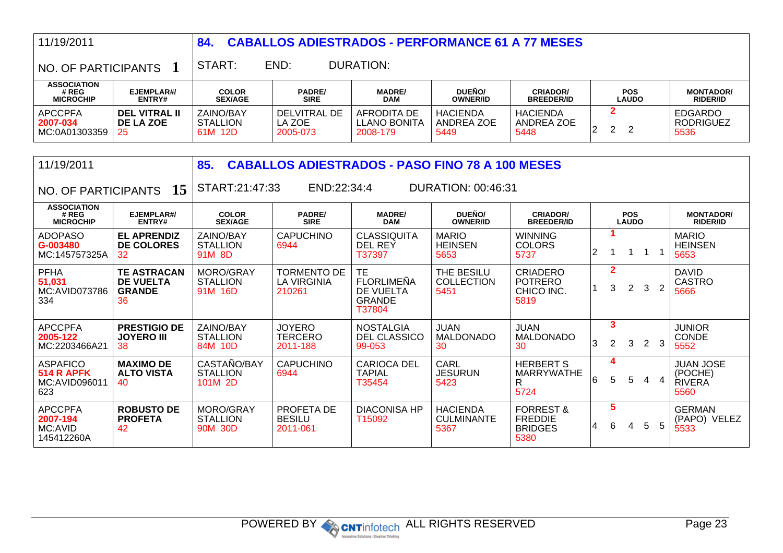| 11/19/2011                                                   |                                                               | 84.                                       | <b>CABALLOS ADIESTRADOS - PERFORMANCE 61 A 77 MESES</b> |                                                                  |                                              |                                                                  |                                                    |                            |                |                                                      |  |
|--------------------------------------------------------------|---------------------------------------------------------------|-------------------------------------------|---------------------------------------------------------|------------------------------------------------------------------|----------------------------------------------|------------------------------------------------------------------|----------------------------------------------------|----------------------------|----------------|------------------------------------------------------|--|
| NO. OF PARTICIPANTS                                          |                                                               | START:                                    | END:                                                    | <b>DURATION:</b>                                                 |                                              |                                                                  |                                                    |                            |                |                                                      |  |
| <b>ASSOCIATION</b><br># REG<br><b>MICROCHIP</b>              | EJEMPLAR#/<br>ENTRY#                                          | <b>COLOR</b><br><b>SEX/AGE</b>            | <b>PADRE/</b><br><b>SIRE</b>                            | <b>MADRE/</b><br><b>DAM</b>                                      | DUEÑO/<br><b>OWNER/ID</b>                    | <b>CRIADOR/</b><br><b>BREEDER/ID</b>                             |                                                    | <b>POS</b><br><b>LAUDO</b> |                | <b>MONTADOR/</b><br><b>RIDER/ID</b>                  |  |
| <b>APCCPFA</b><br>2007-034<br>MC:0A01303359                  | <b>DEL VITRAL II</b><br>DE LA ZOE<br>25                       | ZAINO/BAY<br><b>STALLION</b><br>61M 12D   | <b>DELVITRAL DE</b><br>LA ZOE<br>2005-073               | <b>AFRODITA DE</b><br><b>LLANO BONITA</b><br>2008-179            | <b>HACIENDA</b><br><b>ANDREA ZOE</b><br>5449 | <b>HACIENDA</b><br><b>ANDREA ZOE</b><br>5448                     | $\overline{2}$<br>$\overline{2}$<br>$\overline{2}$ | $\overline{2}$             |                | <b>EDGARDO</b><br><b>RODRIGUEZ</b><br>5536           |  |
| 11/19/2011                                                   |                                                               | 85.                                       | <b>CABALLOS ADIESTRADOS - PASO FINO 78 A 100 MESES</b>  |                                                                  |                                              |                                                                  |                                                    |                            |                |                                                      |  |
| NO. OF PARTICIPANTS                                          | 15                                                            | START:21:47:33                            | END:22:34:4                                             |                                                                  | DURATION: 00:46:31                           |                                                                  |                                                    |                            |                |                                                      |  |
| <b>ASSOCIATION</b><br># REG<br><b>MICROCHIP</b>              | EJEMPLAR#/<br>ENTRY#                                          | <b>COLOR</b><br><b>SEX/AGE</b>            | <b>PADRE/</b><br><b>SIRE</b>                            | <b>MADRE/</b><br><b>DAM</b>                                      | DUEÑO/<br><b>OWNER/ID</b>                    | <b>CRIADOR/</b><br><b>BREEDER/ID</b>                             |                                                    | <b>POS</b><br><b>LAUDO</b> |                | <b>MONTADOR/</b><br><b>RIDER/ID</b>                  |  |
| <b>ADOPASO</b><br>G-003480<br>MC:145757325A                  | <b>EL APRENDIZ</b><br><b>DE COLORES</b><br>32                 | ZAINO/BAY<br><b>STALLION</b><br>91M 8D    | <b>CAPUCHINO</b><br>6944                                | <b>CLASSIQUITA</b><br><b>DEL REY</b><br>T37397                   | <b>MARIO</b><br><b>HEINSEN</b><br>5653       | <b>WINNING</b><br><b>COLORS</b><br>5737                          | 1<br>$\overline{2}$<br>1                           | $\mathbf 1$<br>$\mathbf 1$ | $\overline{1}$ | <b>MARIO</b><br><b>HEINSEN</b><br>5653               |  |
| <b>PFHA</b><br>51,031<br>MC:AVID073786<br>334                | <b>TE ASTRACAN</b><br><b>DE VUELTA</b><br><b>GRANDE</b><br>36 | MORO/GRAY<br><b>STALLION</b><br>91M 16D   | <b>TORMENTO DE</b><br><b>LA VIRGINIA</b><br>210261      | TE.<br><b>FLORLIMEÑA</b><br>DE VUELTA<br><b>GRANDE</b><br>T37804 | THE BESILU<br><b>COLLECTION</b><br>5451      | <b>CRIADERO</b><br><b>POTRERO</b><br>CHICO INC.<br>5819          | $\mathbf{2}$<br>3                                  | $\overline{2}$<br>3        | $\overline{2}$ | <b>DAVID</b><br><b>CASTRO</b><br>5666                |  |
| <b>APCCPFA</b><br>2005-122<br>MC:2203466A21                  | <b>PRESTIGIO DE</b><br><b>JOYERO III</b><br>38                | ZAINO/BAY<br><b>STALLION</b><br>84M 10D   | <b>JOYERO</b><br><b>TERCERO</b><br>2011-188             | <b>NOSTALGIA</b><br>DEL CLASSICO<br>99-053                       | <b>JUAN</b><br><b>MALDONADO</b><br>30        | <b>JUAN</b><br><b>MALDONADO</b><br>30                            | 3<br>$\overline{2}$<br>3                           | 3<br>$\overline{2}$        | 3              | <b>JUNIOR</b><br><b>CONDE</b><br>5552                |  |
| <b>ASPAFICO</b><br><b>514 R APFK</b><br>MC:AVID096011<br>623 | <b>MAXIMO DE</b><br><b>ALTO VISTA</b><br>40                   | CASTAÑO/BAY<br><b>STALLION</b><br>101M 2D | <b>CAPUCHINO</b><br>6944                                | <b>CARIOCA DEL</b><br><b>TAPIAL</b><br>T35454                    | <b>CARL</b><br><b>JESURUN</b><br>5423        | <b>HERBERT S</b><br><b>MARRYWATHE</b><br>R<br>5724               | 4<br>6<br>5                                        | 5<br>4                     | $\overline{4}$ | <b>JUAN JOSE</b><br>(POCHE)<br><b>RIVERA</b><br>5560 |  |
| <b>APCCPFA</b><br>2007-194<br>MC:AVID<br>145412260A          | <b>ROBUSTO DE</b><br><b>PROFETA</b><br>42                     | MORO/GRAY<br><b>STALLION</b><br>90M 30D   | PROFETA DE<br><b>BESILU</b><br>2011-061                 | <b>DIACONISA HP</b><br>T15092                                    | <b>HACIENDA</b><br><b>CULMINANTE</b><br>5367 | <b>FORREST &amp;</b><br><b>FREDDIE</b><br><b>BRIDGES</b><br>5380 | $5\phantom{1}$<br>6<br>4                           | 5<br>4                     | 5              | <b>GERMAN</b><br>(PAPO) VELEZ<br>5533                |  |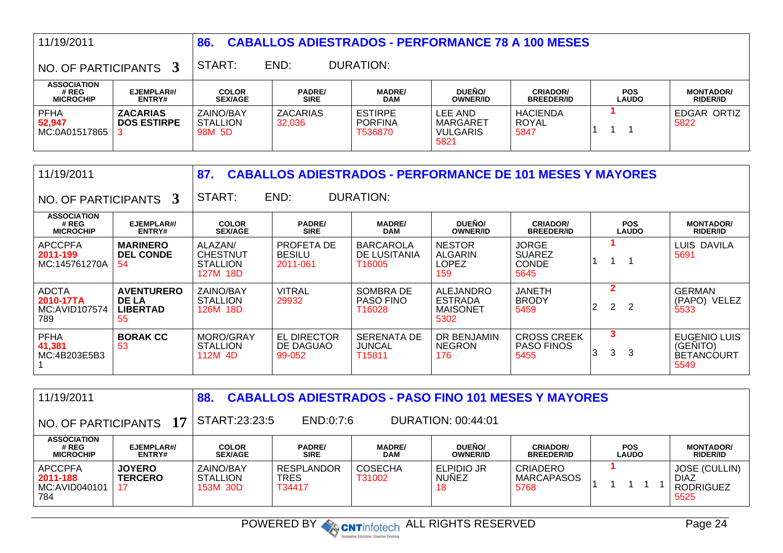| 11/19/2011                                                                      |                                       | <b>CABALLOS ADIESTRADOS - PERFORMANCE 78 A 100 MESES</b><br>86. |                           |                                             |                                                |                                         |                            |                                     |  |
|---------------------------------------------------------------------------------|---------------------------------------|-----------------------------------------------------------------|---------------------------|---------------------------------------------|------------------------------------------------|-----------------------------------------|----------------------------|-------------------------------------|--|
| DURATION:<br>END:<br>START:<br>$^{\circ}$ NO. OF PARTICIPANTS $\,$ 3 $^{\circ}$ |                                       |                                                                 |                           |                                             |                                                |                                         |                            |                                     |  |
| <b>ASSOCIATION</b><br># REG<br><b>MICROCHIP</b>                                 | EJEMPLAR#/<br><b>ENTRY#</b>           | <b>COLOR</b><br><b>SEX/AGE</b>                                  | <b>PADRE/</b><br>SIRE     | <b>MADRE/</b><br><b>DAM</b>                 | DUEÑO/<br><b>OWNER/ID</b>                      | <b>CRIADOR/</b><br><b>BREEDER/ID</b>    | <b>POS</b><br><b>LAUDO</b> | <b>MONTADOR/</b><br><b>RIDER/ID</b> |  |
| <b>PFHA</b><br>52,947<br>MC:0A01517865                                          | <b>ZACARIAS</b><br><b>DOS ESTIRPE</b> | ZAINO/BAY<br><b>STALLION</b><br>98M 5D                          | <b>ZACARIAS</b><br>32.036 | <b>ESTIRPE</b><br><b>PORFINA</b><br>T536870 | LEE AND<br>MARGARET<br><b>VULGARIS</b><br>5821 | <b>HACIENDA</b><br><b>ROYAL</b><br>5847 |                            | EDGAR ORTIZ<br>5822                 |  |

| 11/19/2011                                        |                                                            | 87.                                                       |                                           | <b>CABALLOS ADIESTRADOS - PERFORMANCE DE 101 MESES Y MAYORES</b> |                                                        |                                                       |                          |                            |                                                              |
|---------------------------------------------------|------------------------------------------------------------|-----------------------------------------------------------|-------------------------------------------|------------------------------------------------------------------|--------------------------------------------------------|-------------------------------------------------------|--------------------------|----------------------------|--------------------------------------------------------------|
| NO. OF PARTICIPANTS 3                             |                                                            | START:                                                    | END:                                      | <b>DURATION:</b>                                                 |                                                        |                                                       |                          |                            |                                                              |
| <b>ASSOCIATION</b><br># REG<br><b>MICROCHIP</b>   | EJEMPLAR#/<br>ENTRY#                                       | <b>COLOR</b><br><b>SEX/AGE</b>                            | <b>PADRE/</b><br><b>SIRE</b>              | <b>MADRE/</b><br><b>DAM</b>                                      | DUEÑO/<br><b>OWNER/ID</b>                              | <b>CRIADOR/</b><br><b>BREEDER/ID</b>                  |                          | <b>POS</b><br><b>LAUDO</b> | <b>MONTADOR/</b><br><b>RIDER/ID</b>                          |
| <b>APCCPFA</b><br>2011-199<br>MC:145761270A       | <b>MARINERO</b><br><b>DEL CONDE</b><br>54                  | ALAZAN/<br><b>CHESTNUT</b><br><b>STALLION</b><br>127M 18D | PROFETA DE<br><b>BESILU</b><br>2011-061   | <b>BARCAROLA</b><br>DE LUSITANIA<br>T16005                       | <b>NESTOR</b><br><b>ALGARIN</b><br>LOPEZ<br>159        | <b>JORGE</b><br><b>SUAREZ</b><br><b>CONDE</b><br>5645 |                          |                            | LUIS DAVILA<br>5691                                          |
| <b>ADCTA</b><br>2010-17TA<br>MC:AVID107574<br>789 | <b>AVENTURERO</b><br><b>DE LA</b><br><b>LIBERTAD</b><br>55 | ZAINO/BAY<br><b>STALLION</b><br>126M 18D                  | <b>VITRAL</b><br>29932                    | SOMBRA DE<br><b>PASO FINO</b><br>T16028                          | ALEJANDRO<br><b>ESTRADA</b><br><b>MAISONET</b><br>5302 | <b>JANETH</b><br><b>BRODY</b><br>5459                 | $\overline{2}$<br>2<br>2 | 2                          | <b>GERMAN</b><br>(PAPO) VELEZ<br>5533                        |
| <b>PFHA</b><br>41,381<br>MC:4B203E5B3             | <b>BORAK CC</b><br>53                                      | MORO/GRAY<br><b>STALLION</b><br>112M 4D                   | <b>EL DIRECTOR</b><br>DE DAGUAO<br>99-052 | <b>SERENATA DE</b><br>JUNCAL<br>T15811                           | DR BENJAMIN<br><b>NEGRON</b><br>176                    | <b>CROSS CREEK</b><br><b>PASO FINOS</b><br>5455       | 3<br>3<br>Ι3             | 3                          | <b>EUGENIO LUIS</b><br>(GENITO)<br><b>BETANCOURT</b><br>5549 |

| 11/19/2011                                         |                                 | 88.                                      |                                     |                             |                                   | <b>CABALLOS ADIESTRADOS - PASO FINO 101 MESES Y MAYORES</b> |                            |                                                                 |
|----------------------------------------------------|---------------------------------|------------------------------------------|-------------------------------------|-----------------------------|-----------------------------------|-------------------------------------------------------------|----------------------------|-----------------------------------------------------------------|
| NO. OF PARTICIPANTS                                | 17                              | START:23:23:5                            | END:0:7:6                           |                             | DURATION: 00:44:01                |                                                             |                            |                                                                 |
| <b>ASSOCIATION</b><br># REG<br><b>MICROCHIP</b>    | EJEMPLAR#/<br><b>ENTRY#</b>     | <b>COLOR</b><br><b>SEX/AGE</b>           | <b>PADRE/</b><br><b>SIRE</b>        | <b>MADRE/</b><br><b>DAM</b> | DUEÑO/<br><b>OWNER/ID</b>         | <b>CRIADOR/</b><br><b>BREEDER/ID</b>                        | <b>POS</b><br><b>LAUDO</b> | <b>MONTADOR/</b><br><b>RIDER/ID</b>                             |
| <b>APCCPFA</b><br>2011-188<br>MC:AVID040101<br>784 | <b>JOYERO</b><br><b>TERCERO</b> | ZAINO/BAY<br><b>STALLION</b><br>153M 30D | <b>RESPLANDOR</b><br>TRES<br>T34417 | <b>COSECHA</b><br>T31002    | ELPIDIO JR<br><b>NUNEZ</b><br>-18 | <b>CRIADERO</b><br><b>MARCAPASOS</b><br>5768                |                            | <b>JOSE (CULLIN)</b><br><b>DIAZ</b><br><b>RODRIGUEZ</b><br>5525 |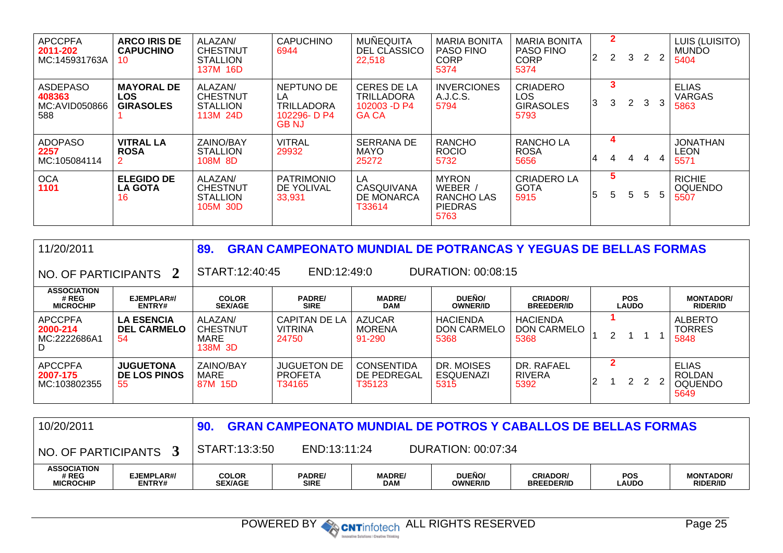| <b>APCCPFA</b><br>2011-202<br>MC:145931763A       | <b>ARCO IRIS DE</b><br><b>CAPUCHINO</b><br>10       | ALAZAN/<br><b>CHESTNUT</b><br><b>STALLION</b><br>137M 16D | <b>CAPUCHINO</b><br>6944                                                | <b>MUNEQUITA</b><br>DEL CLASSICO<br>22,518                              | <b>MARIA BONITA</b><br><b>PASO FINO</b><br><b>CORP</b><br>5374 | <b>MARIA BONITA</b><br><b>PASO FINO</b><br><b>CORP</b><br>5374 | 2 | $\mathbf{2}$<br>$\mathbf{2}^{\prime}$ | $\mathbf{3}$          | 2 | $\overline{2}$ | LUIS (LUISITO)<br><b>MUNDO</b><br>5404  |
|---------------------------------------------------|-----------------------------------------------------|-----------------------------------------------------------|-------------------------------------------------------------------------|-------------------------------------------------------------------------|----------------------------------------------------------------|----------------------------------------------------------------|---|---------------------------------------|-----------------------|---|----------------|-----------------------------------------|
| <b>ASDEPASO</b><br>408363<br>MC:AVID050866<br>588 | <b>MAYORAL DE</b><br><b>LOS</b><br><b>GIRASOLES</b> | ALAZAN/<br><b>CHESTNUT</b><br><b>STALLION</b><br>113M 24D | NEPTUNO DE<br>LA<br><b>TRILLADORA</b><br>102296- D $P4$<br><b>GB NJ</b> | <b>CERES DE LA</b><br><b>TRILLADORA</b><br>102003 -D P4<br><b>GA CA</b> | <b>INVERCIONES</b><br>A.J.C.S.<br>5794                         | <b>CRIADERO</b><br>LOS<br><b>GIRASOLES</b><br>5793             | 3 | 3                                     | $\mathbf{2}^{\prime}$ | 3 | 3              | <b>ELIAS</b><br><b>VARGAS</b><br>5863   |
| <b>ADOPASO</b><br>2257<br>MC:105084114            | <b>VITRAL LA</b><br><b>ROSA</b>                     | ZAINO/BAY<br><b>STALLION</b><br>108M 8D                   | <b>VITRAL</b><br>29932                                                  | <b>SERRANA DE</b><br>MAYO<br>25272                                      | <b>RANCHO</b><br><b>ROCIO</b><br>5732                          | <b>RANCHOLA</b><br><b>ROSA</b><br>5656                         | 4 | 4                                     | 4                     | 4 | 4              | <b>JONATHAN</b><br><b>LEON</b><br>5571  |
| <b>OCA</b><br>1101                                | <b>ELEGIDO DE</b><br><b>LA GOTA</b><br>16           | ALAZAN/<br><b>CHESTNUT</b><br><b>STALLION</b><br>105M 30D | <b>PATRIMONIO</b><br>DE YOLIVAL<br>33,931                               | LA<br>CASQUIVANA<br>DE MONARCA<br>T33614                                | <b>MYRON</b><br>WEBER,<br>RANCHO LAS<br><b>PIEDRAS</b><br>5763 | <b>CRIADERO LA</b><br><b>GOTA</b><br>5915                      | 5 | 5<br>5                                | 5                     | 5 | 5              | <b>RICHIE</b><br><b>OQUENDO</b><br>5507 |

| 11/20/2011                                      |                                                | 89.                                           |                                                 |                                            |                                        | <b>GRAN CAMPEONATO MUNDIAL DE POTRANCAS Y YEGUAS DE BELLAS FORMAS</b> |   |                            |     |                                                         |
|-------------------------------------------------|------------------------------------------------|-----------------------------------------------|-------------------------------------------------|--------------------------------------------|----------------------------------------|-----------------------------------------------------------------------|---|----------------------------|-----|---------------------------------------------------------|
| NO. OF PARTICIPANTS 2                           |                                                | START:12:40:45                                | END:12:49:0                                     |                                            | DURATION: 00:08:15                     |                                                                       |   |                            |     |                                                         |
| <b>ASSOCIATION</b><br># REG<br><b>MICROCHIP</b> | EJEMPLAR#/<br>ENTRY#                           | <b>COLOR</b><br><b>SEX/AGE</b>                | <b>PADRE/</b><br><b>SIRE</b>                    | <b>MADRE/</b><br><b>DAM</b>                | DUEÑO/<br><b>OWNER/ID</b>              | <b>CRIADOR/</b><br><b>BREEDER/ID</b>                                  |   | <b>POS</b><br><b>LAUDO</b> |     | <b>MONTADOR/</b><br><b>RIDER/ID</b>                     |
| <b>APCCPFA</b><br>2000-214<br>MC:2222686A1<br>D | <b>LA ESENCIA</b><br><b>DEL CARMELO</b><br>-54 | ALAZAN/<br><b>CHESTNUT</b><br>MARE<br>138M 3D | <b>CAPITAN DE LA</b><br><b>VITRINA</b><br>24750 | <b>AZUCAR</b><br><b>MORENA</b><br>91-290   | <b>HACIENDA</b><br>DON CARMELO<br>5368 | <b>HACIENDA</b><br><b>DON CARMELO</b><br>5368                         | 2 |                            |     | <b>ALBERTO</b><br><b>TORRES</b><br>5848                 |
| <b>APCCPFA</b><br>2007-175<br>MC:103802355      | <b>JUGUETONA</b><br><b>DE LOS PINOS</b><br>55  | ZAINO/BAY<br>MARE<br>87M 15D                  | <b>JUGUETON DE</b><br><b>PROFETA</b><br>T34165  | <b>CONSENTIDA</b><br>DE PEDREGAL<br>T35123 | DR. MOISES<br><b>ESQUENAZI</b><br>5315 | DR. RAFAEL<br><b>RIVERA</b><br>5392                                   | 2 | 2                          | 2 2 | <b>ELIAS</b><br><b>ROLDAN</b><br><b>OQUENDO</b><br>5649 |

| <b>GRAN CAMPEONATO MUNDIAL DE POTROS Y CABALLOS DE BELLAS FORMAS</b><br>10/20/2011 |                      |                                |                              |                             |                           |                                      |                            |                                     |
|------------------------------------------------------------------------------------|----------------------|--------------------------------|------------------------------|-----------------------------|---------------------------|--------------------------------------|----------------------------|-------------------------------------|
| NO. OF PARTICIPANTS                                                                |                      | START:13:3:50                  | END:13:11:24                 |                             | DURATION: 00:07:34        |                                      |                            |                                     |
| <b>ASSOCIATION</b><br># REG<br><b>MICROCHIP</b>                                    | EJEMPLAR#/<br>ENTRY# | <b>COLOR</b><br><b>SEX/AGE</b> | <b>PADRE/</b><br><b>SIRE</b> | <b>MADRE/</b><br><b>DAM</b> | DUEÑO/<br><b>OWNER/ID</b> | <b>CRIADOR/</b><br><b>BREEDER/ID</b> | <b>POS</b><br><b>LAUDO</b> | <b>MONTADOR/</b><br><b>RIDER/ID</b> |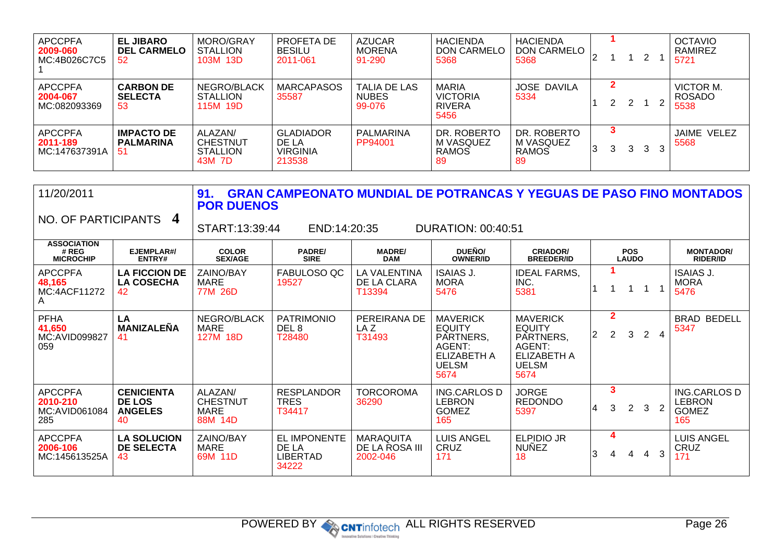| <b>APCCPFA</b><br>2009-060<br>MC:4B026C7C5  | <b>EL JIBARO</b><br><b>DEL CARMELO</b><br>52 | MORO/GRAY<br><b>STALLION</b><br>103M 13D                | PROFETA DE<br><b>BESILU</b><br>2011-061                | <b>AZUCAR</b><br>MORENA<br>91-290             | <b>HACIENDA</b><br>DON CARMELO<br>5368            | <b>HACIENDA</b><br><b>DON CARMELO</b><br>5368   | ∠  |   |   | 2            | <b>OCTAVIO</b><br>RAMIREZ<br>5721  |
|---------------------------------------------|----------------------------------------------|---------------------------------------------------------|--------------------------------------------------------|-----------------------------------------------|---------------------------------------------------|-------------------------------------------------|----|---|---|--------------|------------------------------------|
| <b>APCCPFA</b><br>2004-067<br>MC:082093369  | <b>CARBON DE</b><br><b>SELECTA</b><br>53     | NEGRO/BLACK<br><b>STALLION</b><br>115M 19D              | <b>MARCAPASOS</b><br>35587                             | <b>TALIA DE LAS</b><br><b>NUBES</b><br>99-076 | MARIA<br><b>VICTORIA</b><br><b>RIVERA</b><br>5456 | JOSE DAVILA<br>5334                             |    | 2 | 2 |              | VICTOR M.<br><b>ROSADO</b><br>5538 |
| <b>APCCPFA</b><br>2011-189<br>MC:147637391A | <b>IMPACTO DE</b><br><b>PALMARINA</b><br>51  | ALAZAN/<br><b>CHESTNUT</b><br><b>STALLION</b><br>43M 7D | <b>GLADIADOR</b><br>DE LA<br><b>VIRGINIA</b><br>213538 | PALMARINA<br>PP94001                          | DR. ROBERTO<br>M VASQUEZ<br><b>RAMOS</b><br>-89   | DR. ROBERTO<br>M VASQUEZ<br><b>RAMOS</b><br>-89 | 13 | 3 | 3 | $\mathbf{3}$ | JAIME VELEZ<br>5568                |

| 11/20/2011                                         |                                                            | 91.<br><b>POR DUENOS</b>                                    |                                                          | <b>GRAN CAMPEONATO MUNDIAL DE POTRANCAS Y YEGUAS DE PASO FINO MONTADOS</b> |                                                                                                |                                                                                                       |   |                                  |                            |                |                |                                                             |
|----------------------------------------------------|------------------------------------------------------------|-------------------------------------------------------------|----------------------------------------------------------|----------------------------------------------------------------------------|------------------------------------------------------------------------------------------------|-------------------------------------------------------------------------------------------------------|---|----------------------------------|----------------------------|----------------|----------------|-------------------------------------------------------------|
| NO. OF PARTICIPANTS                                | $\boldsymbol{4}$                                           | START:13:39:44<br>END:14:20:35<br><b>DURATION: 00:40:51</b> |                                                          |                                                                            |                                                                                                |                                                                                                       |   |                                  |                            |                |                |                                                             |
| <b>ASSOCIATION</b><br># REG<br><b>MICROCHIP</b>    | EJEMPLAR#/<br>ENTRY#                                       | <b>COLOR</b><br><b>SEX/AGE</b>                              | <b>PADRE/</b><br><b>SIRE</b>                             | <b>MADRE/</b><br><b>DAM</b>                                                | DUEÑO/<br><b>OWNER/ID</b>                                                                      | <b>CRIADOR/</b><br><b>BREEDER/ID</b>                                                                  |   |                                  | <b>POS</b><br><b>LAUDO</b> |                |                | <b>MONTADOR/</b><br><b>RIDER/ID</b>                         |
| <b>APCCPFA</b><br>48,165<br>MC:4ACF11272<br>A      | <b>LA FICCION DE</b><br><b>LA COSECHA</b><br>42            | ZAINO/BAY<br><b>MARE</b><br>77M 26D                         | FABULOSO QC<br>19527                                     | <b>LA VALENTINA</b><br>DE LA CLARA<br>T13394                               | <b>ISAIAS J.</b><br><b>MORA</b><br>5476                                                        | <b>IDEAL FARMS,</b><br>INC.<br>5381                                                                   |   |                                  |                            |                |                | <b>ISAIAS J.</b><br><b>MORA</b><br>5476                     |
| <b>PFHA</b><br>41,650<br>MC:AVID099827<br>059      | LA<br><b>MANIZALEÑA</b><br>41                              | NEGRO/BLACK<br><b>MARE</b><br>127M 18D                      | <b>PATRIMONIO</b><br>DEL 8<br>T28480                     | PEREIRANA DE<br>LA Z<br>T31493                                             | <b>MAVERICK</b><br><b>EQUITY</b><br>PARTNERS,<br>AGENT:<br>ELIZABETH A<br><b>UELSM</b><br>5674 | <b>MAVERICK</b><br><b>EQUITY</b><br>PARTNERS,<br>AGENT:<br><b>ELIZABETH A</b><br><b>UELSM</b><br>5674 | 2 | $\overline{2}$<br>$\overline{2}$ | 3                          | $\overline{2}$ | $\overline{4}$ | <b>BRAD BEDELL</b><br>5347                                  |
| <b>APCCPFA</b><br>2010-210<br>MC:AVID061084<br>285 | <b>CENICIENTA</b><br><b>DE LOS</b><br><b>ANGELES</b><br>40 | ALAZAN/<br><b>CHESTNUT</b><br><b>MARE</b><br>88M 14D        | <b>RESPLANDOR</b><br><b>TRES</b><br>T34417               | <b>TORCOROMA</b><br>36290                                                  | <b>ING.CARLOS D</b><br><b>LEBRON</b><br><b>GOMEZ</b><br>165                                    | <b>JORGE</b><br><b>REDONDO</b><br>5397                                                                | 4 | $\mathbf{3}$<br>3                | $\overline{2}$             | 3              |                | <b>ING.CARLOS D</b><br><b>LEBRON</b><br><b>GOMEZ</b><br>165 |
| <b>APCCPFA</b><br>2006-106<br>MC:145613525A        | <b>LA SOLUCION</b><br><b>DE SELECTA</b><br>43              | ZAINO/BAY<br><b>MARE</b><br>69M 11D                         | <b>EL IMPONENTE</b><br>DE LA<br><b>LIBERTAD</b><br>34222 | <b>MARAQUITA</b><br>DE LA ROSA III<br>2002-046                             | <b>LUIS ANGEL</b><br>CRUZ<br>171                                                               | <b>ELPIDIO JR</b><br><b>NUÑEZ</b><br>18                                                               | 3 | 4<br>4                           | 4                          | 4              | 3              | <b>LUIS ANGEL</b><br>CRUZ<br>171                            |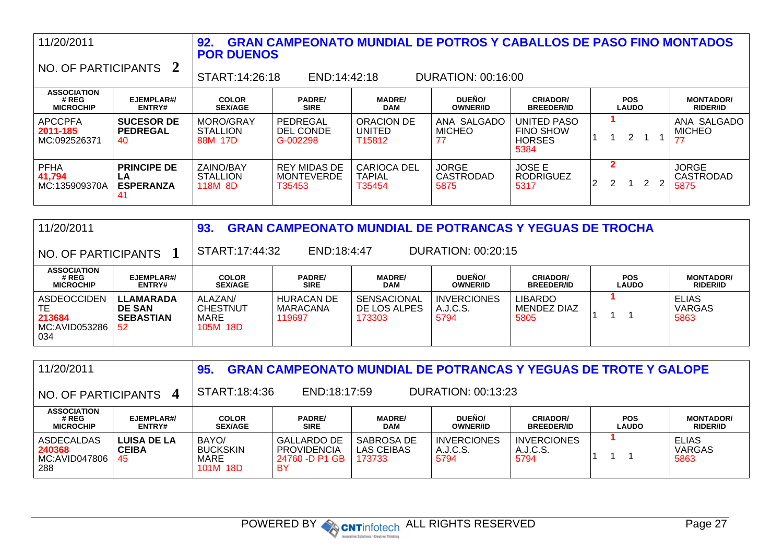| 11/20/2011<br>NO. OF PARTICIPANTS               |                                                    | 92.<br><b>POR DUENOS</b><br>START:14:26:18 | END:14:42:18                                       | <b>GRAN CAMPEONATO MUNDIAL DE POTROS Y CABALLOS DE PASO FINO MONTADOS</b> | DURATION: 00:16:00                       |                                                          |   |   |                            |   |                                          |
|-------------------------------------------------|----------------------------------------------------|--------------------------------------------|----------------------------------------------------|---------------------------------------------------------------------------|------------------------------------------|----------------------------------------------------------|---|---|----------------------------|---|------------------------------------------|
| <b>ASSOCIATION</b><br># REG<br><b>MICROCHIP</b> | EJEMPLAR#/<br>ENTRY#                               | <b>COLOR</b><br><b>SEX/AGE</b>             | <b>PADRE/</b><br><b>SIRE</b>                       | <b>MADRE/</b><br><b>DAM</b>                                               | <b>DUEÑO/</b><br><b>OWNER/ID</b>         | <b>CRIADOR/</b><br><b>BREEDER/ID</b>                     |   |   | <b>POS</b><br><b>LAUDO</b> |   | <b>MONTADOR/</b><br><b>RIDER/ID</b>      |
| <b>APCCPFA</b><br>2011-185<br>MC:092526371      | <b>SUCESOR DE</b><br><b>PEDREGAL</b><br>40         | MORO/GRAY<br><b>STALLION</b><br>88M 17D    | PEDREGAL<br><b>DEL CONDE</b><br>G-002298           | ORACION DE<br><b>UNITED</b><br>T <sub>15812</sub>                         | ANA SALGADO<br><b>MICHEO</b><br>77       | UNITED PASO<br><b>FINO SHOW</b><br><b>HORSES</b><br>5384 |   |   | $\overline{2}$             |   | ANA SALGADO<br><b>MICHEO</b>             |
| <b>PFHA</b><br>41,794<br>MC:135909370A          | <b>PRINCIPE DE</b><br>LA<br><b>ESPERANZA</b><br>41 | ZAINO/BAY<br><b>STALLION</b><br>118M 8D    | <b>REY MIDAS DE</b><br><b>MONTEVERDE</b><br>T35453 | <b>CARIOCA DEL</b><br><b>TAPIAL</b><br>T35454                             | <b>JORGE</b><br><b>CASTRODAD</b><br>5875 | <b>JOSE E</b><br><b>RODRIGUEZ</b><br>5317                | 2 | 2 |                            | 2 | <b>JORGE</b><br><b>CASTRODAD</b><br>5875 |

| 11/20/2011                                                 |                                                             | 93                                             |                                         |                                              |                                        | <b>GRAN CAMPEONATO MUNDIAL DE POTRANCAS Y YEGUAS DE TROCHA</b> |                            |                                       |
|------------------------------------------------------------|-------------------------------------------------------------|------------------------------------------------|-----------------------------------------|----------------------------------------------|----------------------------------------|----------------------------------------------------------------|----------------------------|---------------------------------------|
| NO. OF PARTICIPANTS                                        |                                                             | START:17:44:32                                 | END:18:4:47                             |                                              | DURATION: 00:20:15                     |                                                                |                            |                                       |
| <b>ASSOCIATION</b><br># REG<br><b>MICROCHIP</b>            | EJEMPLAR#/<br>ENTRY#                                        | <b>COLOR</b><br><b>SEX/AGE</b>                 | <b>PADRE/</b><br><b>SIRE</b>            | <b>MADRE/</b><br><b>DAM</b>                  | DUEÑO/<br><b>OWNER/ID</b>              | <b>CRIADOR/</b><br><b>BREEDER/ID</b>                           | <b>POS</b><br><b>LAUDO</b> | <b>MONTADOR/</b><br><b>RIDER/ID</b>   |
| <b>ASDEOCCIDEN</b><br>TЕ<br>213684<br>MC:AVID053286<br>034 | <b>LLAMARADA</b><br><b>DE SAN</b><br><b>SEBASTIAN</b><br>52 | ALAZAN/<br><b>CHESTNUT</b><br>MARE<br>105M 18D | <b>HURACAN DE</b><br>MARACANA<br>119697 | <b>SENSACIONAL</b><br>DE LOS ALPES<br>173303 | <b>INVERCIONES</b><br>A.J.C.S.<br>5794 | LIBARDO<br>MENDEZ DIAZ<br>5805                                 |                            | <b>ELIAS</b><br><b>VARGAS</b><br>5863 |

| 11/20/2011                                                                             |                                          | 95                                           |                                                                  |                                    |                                        | <b>GRAN CAMPEONATO MUNDIAL DE POTRANCAS Y YEGUAS DE TROTE Y GALOPE</b> |                            |                                       |  |  |
|----------------------------------------------------------------------------------------|------------------------------------------|----------------------------------------------|------------------------------------------------------------------|------------------------------------|----------------------------------------|------------------------------------------------------------------------|----------------------------|---------------------------------------|--|--|
| START:18:4:36<br><b>DURATION: 00:13:23</b><br>END:18:17:59<br>NO. OF PARTICIPANTS<br>4 |                                          |                                              |                                                                  |                                    |                                        |                                                                        |                            |                                       |  |  |
| <b>ASSOCIATION</b><br># REG<br><b>MICROCHIP</b>                                        | EJEMPLAR#/<br>ENTRY#                     | <b>COLOR</b><br><b>SEX/AGE</b>               | <b>PADRE/</b><br><b>SIRE</b>                                     | <b>MADRE/</b><br><b>DAM</b>        | DUEÑO/<br><b>OWNER/ID</b>              | <b>CRIADOR/</b><br><b>BREEDER/ID</b>                                   | <b>POS</b><br><b>LAUDO</b> | <b>MONTADOR/</b><br><b>RIDER/ID</b>   |  |  |
| ASDECALDAS<br>240368<br>MC:AVID047806<br>288                                           | <b>LUISA DE LA</b><br><b>CEIBA</b><br>45 | BAYO/<br><b>BUCKSKIN</b><br>MARE<br>101M 18D | <b>GALLARDO DE</b><br><b>PROVIDENCIA</b><br>24760 -D P1 GB<br>BY | SABROSA DE<br>LAS CEIBAS<br>173733 | <b>INVERCIONES</b><br>A.J.C.S.<br>5794 | <b>INVERCIONES</b><br>A.J.C.S.<br>5794                                 |                            | <b>ELIAS</b><br><b>VARGAS</b><br>5863 |  |  |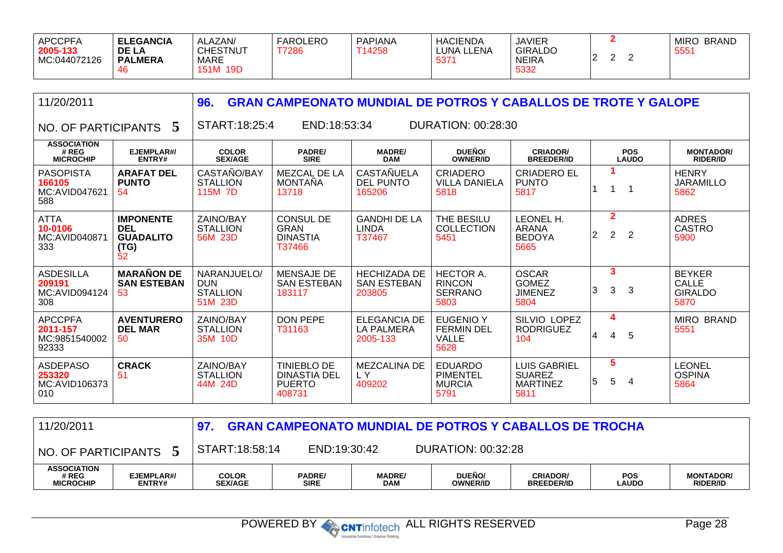| 5332<br><b>151M</b><br>19D<br>46 | MIRC<br>PAPIANA<br><b>HACIENDA</b><br><b>BRAND</b><br><b>JAVIER</b><br><b>GIRALDO</b><br>LUNA LLENA<br>T14258<br>555'<br><b>NEIRA</b><br>537 |  | FAROLERO<br>T7286 | ALAZAN/<br><b>CHESTNUT</b><br>MARE | <b>ELEGANCIA</b><br><b>DE LA</b><br><b>PALMERA</b> | APCCPFA<br>2005-133<br>MC:044072126 |
|----------------------------------|----------------------------------------------------------------------------------------------------------------------------------------------|--|-------------------|------------------------------------|----------------------------------------------------|-------------------------------------|
|----------------------------------|----------------------------------------------------------------------------------------------------------------------------------------------|--|-------------------|------------------------------------|----------------------------------------------------|-------------------------------------|

| 11/20/2011                                           |                                                                  | 96.                                                     | <b>GRAN CAMPEONATO MUNDIAL DE POTROS Y CABALLOS DE TROTE Y GALOPE</b> |                                                      |                                                               |                                                                 |                     |                            |                                                         |  |  |
|------------------------------------------------------|------------------------------------------------------------------|---------------------------------------------------------|-----------------------------------------------------------------------|------------------------------------------------------|---------------------------------------------------------------|-----------------------------------------------------------------|---------------------|----------------------------|---------------------------------------------------------|--|--|
| NO. OF PARTICIPANTS                                  | 5                                                                | START:18:25:4                                           | END:18:53:34<br>DURATION: 00:28:30                                    |                                                      |                                                               |                                                                 |                     |                            |                                                         |  |  |
| <b>ASSOCIATION</b><br># REG<br><b>MICROCHIP</b>      | EJEMPLAR#/<br>ENTRY#                                             | <b>COLOR</b><br><b>SEX/AGE</b>                          | <b>PADRE/</b><br><b>SIRE</b>                                          | <b>MADRE/</b><br><b>DAM</b>                          | DUEÑO/<br><b>OWNER/ID</b>                                     | <b>CRIADOR/</b><br><b>BREEDER/ID</b>                            |                     | <b>POS</b><br><b>LAUDO</b> | <b>MONTADOR/</b><br><b>RIDER/ID</b>                     |  |  |
| <b>PASOPISTA</b><br>166105<br>MC:AVID047621<br>588   | <b>ARAFAT DEL</b><br><b>PUNTO</b><br>54                          | CASTAÑO/BAY<br><b>STALLION</b><br>115M 7D               | MEZCAL DE LA<br><b>MONTANA</b><br>13718                               | <b>CASTAÑUELA</b><br><b>DEL PUNTO</b><br>165206      | <b>CRIADERO</b><br><b>VILLA DANIELA</b><br>5818               | <b>CRIADERO EL</b><br><b>PUNTO</b><br>5817                      |                     |                            | <b>HENRY</b><br><b>JARAMILLO</b><br>5862                |  |  |
| <b>ATTA</b><br>10-0106<br>MC:AVID040871<br>333       | <b>IMPONENTE</b><br><b>DEL</b><br><b>GUADALITO</b><br>(TG)<br>52 | ZAINO/BAY<br><b>STALLION</b><br>56M 23D                 | <b>CONSUL DE</b><br>GRAN<br><b>DINASTIA</b><br>T37466                 | <b>GANDHI DE LA</b><br><b>LINDA</b><br>T37467        | THE BESILU<br><b>COLLECTION</b><br>5451                       | LEONEL H.<br>ARANA<br><b>BEDOYA</b><br>5665                     | $\overline{2}$<br>2 | $\overline{2}$<br>2        | <b>ADRES</b><br><b>CASTRO</b><br>5900                   |  |  |
| <b>ASDESILLA</b><br>209191<br>MC:AVID094124<br>308   | <b>MARAÑON DE</b><br><b>SAN ESTEBAN</b><br>53                    | NARANJUELO/<br><b>DUN</b><br><b>STALLION</b><br>51M 23D | <b>MENSAJE DE</b><br><b>SAN ESTEBAN</b><br>183117                     | <b>HECHIZADA DE</b><br><b>SAN ESTEBAN</b><br>203805  | <b>HECTOR A.</b><br><b>RINCON</b><br><b>SERRANO</b><br>5803   | <b>OSCAR</b><br><b>GOMEZ</b><br><b>JIMENEZ</b><br>5804          | 3<br>3<br>3         | 3                          | <b>BEYKER</b><br><b>CALLE</b><br><b>GIRALDO</b><br>5870 |  |  |
| <b>APCCPFA</b><br>2011-157<br>MC:9851540002<br>92333 | <b>AVENTURERO</b><br><b>DEL MAR</b><br>50                        | ZAINO/BAY<br><b>STALLION</b><br>35M 10D                 | <b>DON PEPE</b><br>T31163                                             | <b>ELEGANCIA DE</b><br><b>LA PALMERA</b><br>2005-133 | <b>EUGENIO Y</b><br><b>FERMIN DEL</b><br><b>VALLE</b><br>5628 | SILVIO LOPEZ<br><b>RODRIGUEZ</b><br>104                         | 4<br>4              | 5<br>4                     | <b>MIRO BRAND</b><br>5551                               |  |  |
| <b>ASDEPASO</b><br>253320<br>MC:AVID106373<br>010    | <b>CRACK</b><br>51                                               | ZAINO/BAY<br><b>STALLION</b><br>44M 24D                 | <b>TINIEBLO DE</b><br><b>DINASTIA DEL</b><br><b>PUERTO</b><br>408731  | <b>MEZCALINA DE</b><br>LY<br>409202                  | <b>EDUARDO</b><br>PIMENTEL<br><b>MURCIA</b><br>5791           | <b>LUIS GABRIEL</b><br><b>SUAREZ</b><br><b>MARTINEZ</b><br>5811 | 5<br>5              | 5<br>4                     | <b>LEONEL</b><br><b>OSPINA</b><br>5864                  |  |  |

| 11/20/2011                                      |                      |                                |                       |                      | <b>GRAN CAMPEONATO MUNDIAL DE POTROS Y CABALLOS DE TROCHA</b> |                                      |                            |                                     |
|-------------------------------------------------|----------------------|--------------------------------|-----------------------|----------------------|---------------------------------------------------------------|--------------------------------------|----------------------------|-------------------------------------|
| NO. OF PARTICIPANTS                             |                      | START:18:58:14                 | END:19:30:42          |                      | DURATION: 00:32:28                                            |                                      |                            |                                     |
| <b>ASSOCIATION</b><br># REG<br><b>MICROCHIP</b> | EJEMPLAR#/<br>ENTRY# | <b>COLOR</b><br><b>SEX/AGE</b> | <b>PADRE/</b><br>SIRE | <b>MADRE/</b><br>DAM | DUENO/<br><b>OWNER/ID</b>                                     | <b>CRIADOR/</b><br><b>BREEDER/ID</b> | <b>POS</b><br><b>LAUDO</b> | <b>MONTADOR/</b><br><b>RIDER/ID</b> |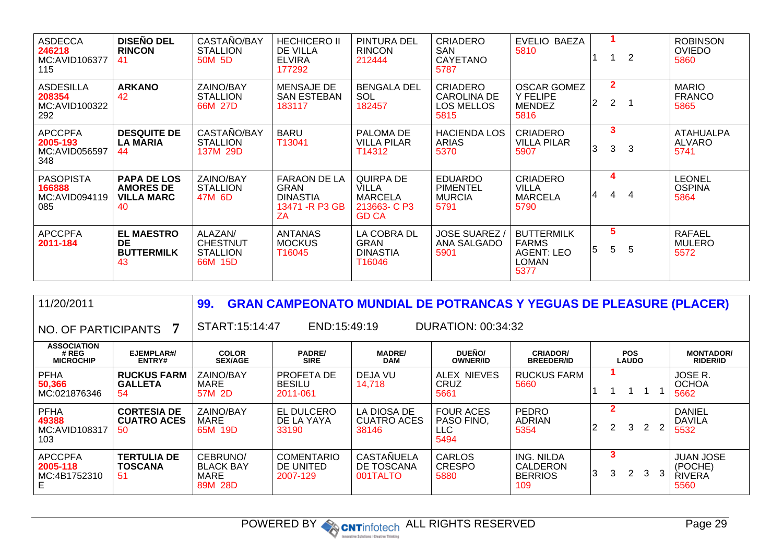| <b>ASDECCA</b><br>246218<br>MC:AVID106377<br>115   | <b>DISEÑO DEL</b><br><b>RINCON</b><br>41                          | CASTAÑO/BAY<br><b>STALLION</b><br>50M 5D                 | <b>HECHICERO II</b><br>DE VILLA<br><b>ELVIRA</b><br>177292                     | <b>PINTURA DEL</b><br><b>RINCON</b><br>212444                              | <b>CRIADERO</b><br><b>SAN</b><br>CAYETANO<br>5787                  | EVELIO BAEZA<br>5810                                             |    |                                | $\overline{2}$ | <b>ROBINSON</b><br><b>OVIEDO</b><br>5860  |
|----------------------------------------------------|-------------------------------------------------------------------|----------------------------------------------------------|--------------------------------------------------------------------------------|----------------------------------------------------------------------------|--------------------------------------------------------------------|------------------------------------------------------------------|----|--------------------------------|----------------|-------------------------------------------|
| <b>ASDESILLA</b><br>208354<br>MC:AVID100322<br>292 | <b>ARKANO</b><br>42                                               | ZAINO/BAY<br><b>STALLION</b><br>66M 27D                  | <b>MENSAJE DE</b><br><b>SAN ESTEBAN</b><br>183117                              | <b>BENGALA DEL</b><br>SOL<br>182457                                        | <b>CRIADERO</b><br><b>CAROLINA DE</b><br><b>LOS MELLOS</b><br>5815 | <b>OSCAR GOMEZ</b><br>Y FELIPE<br><b>MENDEZ</b><br>5816          | 2  | $\mathbf{2}$<br>$\overline{2}$ |                | <b>MARIO</b><br><b>FRANCO</b><br>5865     |
| <b>APCCPFA</b><br>2005-193<br>MC:AVID056597<br>348 | <b>DESQUITE DE</b><br><b>LA MARIA</b><br>44                       | CASTAÑO/BAY<br><b>STALLION</b><br>137M 29D               | <b>BARU</b><br>T13041                                                          | PALOMA DE<br><b>VILLA PILAR</b><br>T14312                                  | <b>HACIENDA LOS</b><br><b>ARIAS</b><br>5370                        | <b>CRIADERO</b><br><b>VILLA PILAR</b><br>5907                    | 3  | 3<br>3                         | 3              | <b>ATAHUALPA</b><br><b>ALVARO</b><br>5741 |
| <b>PASOPISTA</b><br>166888<br>MC:AVID094119<br>085 | <b>PAPA DE LOS</b><br><b>AMORES DE</b><br><b>VILLA MARC</b><br>40 | <b>ZAINO/BAY</b><br><b>STALLION</b><br>47M 6D            | <b>FARAON DE LA</b><br><b>GRAN</b><br><b>DINASTIA</b><br>13471 - R P3 GB<br>ZA | QUIRPA DE<br><b>VILLA</b><br><b>MARCELA</b><br>213663-C P3<br><b>GD CA</b> | <b>EDUARDO</b><br><b>PIMENTEL</b><br><b>MURCIA</b><br>5791         | <b>CRIADERO</b><br>VILLA<br><b>MARCELA</b><br>5790               | 14 | 4<br>4                         | 4              | <b>LEONEL</b><br><b>OSPINA</b><br>5864    |
| <b>APCCPFA</b><br>2011-184                         | <b>EL MAESTRO</b><br><b>DE</b><br><b>BUTTERMILK</b><br>43         | ALAZAN/<br><b>CHESTNUT</b><br><b>STALLION</b><br>66M 15D | <b>ANTANAS</b><br><b>MOCKUS</b><br>T16045                                      | LA COBRA DL<br><b>GRAN</b><br><b>DINASTIA</b><br>T16046                    | <b>JOSE SUAREZ</b><br>ANA SALGADO<br>5901                          | <b>BUTTERMILK</b><br><b>FARMS</b><br>AGENT: LEO<br>LOMAN<br>5377 | 15 | 5<br>5                         | 5              | <b>RAFAEL</b><br><b>MULERO</b><br>5572    |

| 11/20/2011                                      |                                                | 99.                                             | <b>GRAN CAMPEONATO MUNDIAL DE POTRANCAS Y YEGUAS DE PLEASURE (PLACER)</b> |                                             |                                               |                                                        |                            |        |                      |   |   |                                                      |
|-------------------------------------------------|------------------------------------------------|-------------------------------------------------|---------------------------------------------------------------------------|---------------------------------------------|-----------------------------------------------|--------------------------------------------------------|----------------------------|--------|----------------------|---|---|------------------------------------------------------|
| NO. OF PARTICIPANTS 7                           |                                                | START:15:14:47                                  | END:15:49:19                                                              |                                             | <b>DURATION: 00:34:32</b>                     |                                                        |                            |        |                      |   |   |                                                      |
| <b>ASSOCIATION</b><br># REG<br><b>MICROCHIP</b> | EJEMPLAR#/<br>ENTRY#                           | <b>COLOR</b><br><b>SEX/AGE</b>                  | <b>PADRE/</b><br><b>SIRE</b>                                              | <b>MADRE/</b><br><b>DAM</b>                 | DUEÑO/<br><b>OWNER/ID</b>                     | <b>CRIADOR/</b><br><b>BREEDER/ID</b>                   | <b>POS</b><br><b>LAUDO</b> |        |                      |   |   | <b>MONTADOR/</b><br><b>RIDER/ID</b>                  |
| <b>PFHA</b><br>50,366<br>MC:021876346           | <b>RUCKUS FARM</b><br><b>GALLETA</b><br>-54    | ZAINO/BAY<br><b>MARE</b><br>57M 2D              | PROFETA DE<br><b>BESILU</b><br>2011-061                                   | DEJA VU<br>14.718                           | ALEX NIEVES<br><b>CRUZ</b><br>5661            | RUCKUS FARM<br>5660                                    |                            |        |                      |   |   | JOSE R.<br><b>OCHOA</b><br>5662                      |
| <b>PFHA</b><br>49388<br>MC:AVID108317<br>103    | <b>CORTESIA DE</b><br><b>CUATRO ACES</b><br>50 | ZAINO/BAY<br>MARE<br>65M 19D                    | EL DULCERO<br>DE LA YAYA<br>33190                                         | LA DIOSA DE<br><b>CUATRO ACES</b><br>38146  | <b>FOUR ACES</b><br>PASO FINO.<br>LLC<br>5494 | <b>PEDRO</b><br><b>ADRIAN</b><br>5354                  | 2                          | 2      | 3                    |   | 2 | <b>DANIEL</b><br><b>DAVILA</b><br>5532               |
| <b>APCCPFA</b><br>2005-118<br>MC:4B1752310<br>Е | <b>TERTULIA DE</b><br>TOSCANA<br>-51           | CEBRUNO/<br><b>BLACK BAY</b><br>MARE<br>89M 28D | <b>COMENTARIO</b><br>DE UNITED<br>2007-129                                | <b>CASTAÑUELA</b><br>DE TOSCANA<br>001TALTO | CARLOS<br><b>CRESPO</b><br>5880               | <b>ING. NILDA</b><br>CALDERON<br><b>BERRIOS</b><br>109 | 3                          | 3<br>3 | $\mathbf{2}^{\circ}$ | 3 |   | <b>JUAN JOSE</b><br>(POCHE)<br><b>RIVERA</b><br>5560 |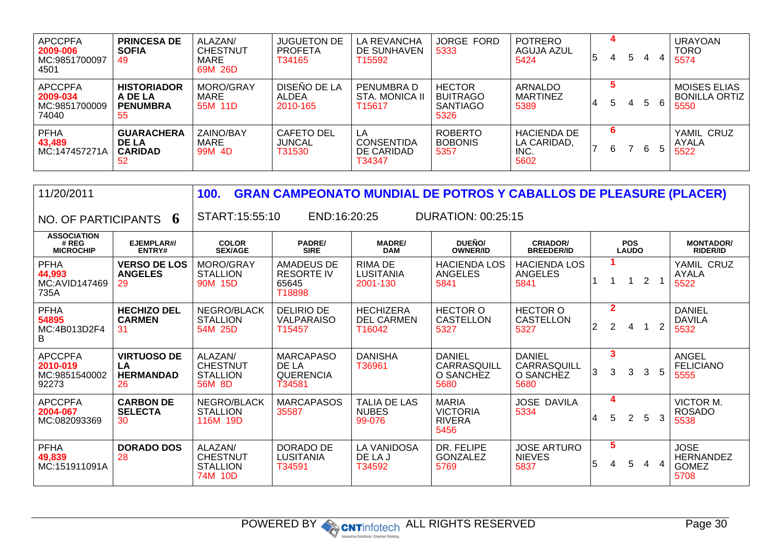| <b>APCCPFA</b><br>2009-006<br>MC:9851700097<br>4501  | <b>PRINCESA DE</b><br><b>SOFIA</b><br>49               | ALAZAN/<br><b>CHESTNUT</b><br>MARE<br>69M 26D | <b>JUGUETON DE</b><br><b>PROFETA</b><br>T34165 | LA REVANCHA<br>DE SUNHAVEN<br>T15592            | JORGE FORD<br>5333                                          | <b>POTRERO</b><br>AGUJA AZUL<br>5424              | 15 | 4<br>4 | 5 | 4 | <b>URAYOAN</b><br><b>TORO</b><br>5574               |
|------------------------------------------------------|--------------------------------------------------------|-----------------------------------------------|------------------------------------------------|-------------------------------------------------|-------------------------------------------------------------|---------------------------------------------------|----|--------|---|---|-----------------------------------------------------|
| <b>APCCPFA</b><br>2009-034<br>MC:9851700009<br>74040 | <b>HISTORIADOR</b><br>A DE LA<br><b>PENUMBRA</b><br>55 | MORO/GRAY<br>MARE<br>55M 11D                  | DISEÑO DE LA<br>ALDEA<br>2010-165              | PENUMBRA D<br>STA. MONICA II<br>T15617          | <b>HECTOR</b><br><b>BUITRAGO</b><br><b>SANTIAGO</b><br>5326 | <b>ARNALDO</b><br><b>MARTINEZ</b><br>5389         | 4  | 5      | 4 | 5 | <b>MOISES ELIAS</b><br><b>BONILLA ORTIZ</b><br>5550 |
| <b>PFHA</b><br>43.489<br>MC:147457271A               | <b>GUARACHERA</b><br>DE LA<br><b>CARIDAD</b><br>52     | ZAINO/BAY<br>MARE<br>99M 4D                   | <b>CAFETO DEL</b><br><b>JUNCAL</b><br>T31530   | LA<br><b>CONSENTIDA</b><br>DE CARIDAD<br>T34347 | <b>ROBERTO</b><br><b>BOBONIS</b><br>5357                    | <b>HACIENDA DE</b><br>LA CARIDAD.<br>INC.<br>5602 |    | 6<br>6 |   | 6 | YAMIL CRUZ<br>AYALA<br>5522                         |

| 11/20/2011                                           |                                                    | 100.                                                     |                                                         |                                                 | <b>GRAN CAMPEONATO MUNDIAL DE POTROS Y CABALLOS DE PLEASURE (PLACER)</b> |                                                   |    |                                  |                            |                |                         |                                                  |
|------------------------------------------------------|----------------------------------------------------|----------------------------------------------------------|---------------------------------------------------------|-------------------------------------------------|--------------------------------------------------------------------------|---------------------------------------------------|----|----------------------------------|----------------------------|----------------|-------------------------|--------------------------------------------------|
| NO. OF PARTICIPANTS 6                                |                                                    | START:15:55:10                                           | END:16:20:25                                            |                                                 | <b>DURATION: 00:25:15</b>                                                |                                                   |    |                                  |                            |                |                         |                                                  |
| <b>ASSOCIATION</b><br># REG<br><b>MICROCHIP</b>      | EJEMPLAR#/<br>ENTRY#                               | <b>COLOR</b><br><b>SEX/AGE</b>                           | <b>PADRE/</b><br><b>SIRE</b>                            | <b>MADRE/</b><br><b>DAM</b>                     | DUEÑO/<br><b>OWNER/ID</b>                                                | <b>CRIADOR/</b><br><b>BREEDER/ID</b>              |    |                                  | <b>POS</b><br><b>LAUDO</b> |                |                         | <b>MONTADOR/</b><br><b>RIDER/ID</b>              |
| <b>PFHA</b><br>44,993<br>MC:AVID147469<br>735A       | <b>VERSO DE LOS</b><br><b>ANGELES</b><br>29        | MORO/GRAY<br><b>STALLION</b><br>90M 15D                  | AMADEUS DE<br><b>RESORTE IV</b><br>65645<br>T18898      | <b>RIMA DE</b><br><b>LUSITANIA</b><br>2001-130  | <b>HACIENDA LOS</b><br><b>ANGELES</b><br>5841                            | <b>HACIENDA LOS</b><br>ANGELES<br>5841            |    |                                  |                            | $\overline{2}$ | $\overline{\mathbf{1}}$ | YAMIL CRUZ<br><b>AYALA</b><br>5522               |
| <b>PFHA</b><br>54895<br>MC:4B013D2F4<br>B            | <b>HECHIZO DEL</b><br><b>CARMEN</b><br>31          | NEGRO/BLACK<br><b>STALLION</b><br>54M 25D                | <b>DELIRIO DE</b><br>VALPARAISO<br>T15457               | <b>HECHIZERA</b><br><b>DEL CARMEN</b><br>T16042 | <b>HECTOR O</b><br><b>CASTELLON</b><br>5327                              | <b>HECTOR O</b><br><b>CASTELLON</b><br>5327       | 2  | $\overline{2}$<br>$\overline{2}$ | 4                          |                | $\overline{2}$          | <b>DANIEL</b><br><b>DAVILA</b><br>5532           |
| <b>APCCPFA</b><br>2010-019<br>MC:9851540002<br>92273 | <b>VIRTUOSO DE</b><br>LA<br><b>HERMANDAD</b><br>26 | ALAZAN/<br><b>CHESTNUT</b><br><b>STALLION</b><br>56M 8D  | <b>MARCAPASO</b><br>DE LA<br><b>QUERENCIA</b><br>T34581 | <b>DANISHA</b><br>T36961                        | <b>DANIEL</b><br>CARRASQUILL<br>O SANCHEZ<br>5680                        | <b>DANIEL</b><br>CARRASQUILL<br>O SANCHEZ<br>5680 | 3  | 3<br>3                           | 3                          | 3              | 5                       | ANGEL<br><b>FELICIANO</b><br>5555                |
| <b>APCCPFA</b><br>2004-067<br>MC:082093369           | <b>CARBON DE</b><br><b>SELECTA</b><br>30           | NEGRO/BLACK<br><b>STALLION</b><br>116M 19D               | <b>MARCAPASOS</b><br>35587                              | <b>TALIA DE LAS</b><br><b>NUBES</b><br>99-076   | <b>MARIA</b><br><b>VICTORIA</b><br><b>RIVERA</b><br>5456                 | <b>JOSE DAVILA</b><br>5334                        | 14 | 4<br>5                           | $\overline{2}$             | 5              | 3                       | VICTOR M.<br><b>ROSADO</b><br>5538               |
| <b>PFHA</b><br>49,839<br>MC:151911091A               | <b>DORADO DOS</b><br>28                            | ALAZAN/<br><b>CHESTNUT</b><br><b>STALLION</b><br>74M 10D | DORADO DE<br><b>LUSITANIA</b><br>T34591                 | <b>LA VANIDOSA</b><br>DE LA J<br>T34592         | DR. FELIPE<br><b>GONZALEZ</b><br>5769                                    | <b>JOSE ARTURO</b><br><b>NIEVES</b><br>5837       | 5  | $5\phantom{1}$<br>4              | 5                          | 4              | $\overline{4}$          | <b>JOSE</b><br>HERNANDEZ<br><b>GOMEZ</b><br>5708 |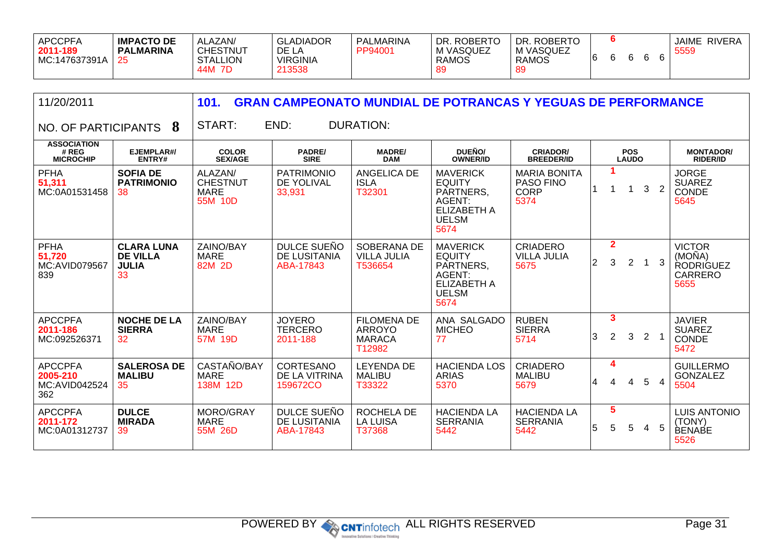| <b>APCCPFA</b><br>2011-189<br>MC:147637391A | ALAZAN/<br><b>IMPACTO DE</b><br><b>CHESTNUT</b><br><b>PALMARINA</b><br><b>STALLION</b><br>44M<br>7D | <b>GLADIADOR</b><br>DE LA<br><b>VIRGINIA</b><br>213538 | PALMARINA<br>PP94001 | <b>ROBERTO</b><br>DR.<br>M VASQUEZ<br><b>RAMOS</b><br>89 | <b>ROBERTC</b><br>DR.<br>M VASQUEZ<br><b>RAMOS</b><br>-89 | ּ״ |  |  |  |  | <b>RIVERA</b><br><b>JAIME</b><br>5559 |
|---------------------------------------------|-----------------------------------------------------------------------------------------------------|--------------------------------------------------------|----------------------|----------------------------------------------------------|-----------------------------------------------------------|----|--|--|--|--|---------------------------------------|
|---------------------------------------------|-----------------------------------------------------------------------------------------------------|--------------------------------------------------------|----------------------|----------------------------------------------------------|-----------------------------------------------------------|----|--|--|--|--|---------------------------------------|

| 11/20/2011                                           |                                                            | 101.                                                 |                                                 |                                                                | <b>GRAN CAMPEONATO MUNDIAL DE POTRANCAS Y YEGUAS DE PERFORMANCE</b>                                          |                                                         |             |                      |                            |   |                |                                                                       |
|------------------------------------------------------|------------------------------------------------------------|------------------------------------------------------|-------------------------------------------------|----------------------------------------------------------------|--------------------------------------------------------------------------------------------------------------|---------------------------------------------------------|-------------|----------------------|----------------------------|---|----------------|-----------------------------------------------------------------------|
| NO. OF PARTICIPANTS                                  | 8                                                          | START:                                               | END:                                            | <b>DURATION:</b>                                               |                                                                                                              |                                                         |             |                      |                            |   |                |                                                                       |
| <b>ASSOCIATION</b><br># REG<br><b>MICROCHIP</b>      | EJEMPLAR#/<br>ENTRY#                                       | <b>COLOR</b><br><b>SEX/AGE</b>                       | <b>PADRE/</b><br><b>SIRE</b>                    | <b>MADRE/</b><br><b>DAM</b>                                    | DUEÑO/<br><b>OWNER/ID</b>                                                                                    | <b>CRIADOR/</b><br><b>BREEDER/ID</b>                    |             |                      | <b>POS</b><br><b>LAUDO</b> |   |                | <b>MONTADOR/</b><br><b>RIDER/ID</b>                                   |
| <b>PFHA</b><br>51,311<br>MC:0A01531458               | <b>SOFIA DE</b><br><b>PATRIMONIO</b><br>38                 | ALAZAN/<br><b>CHESTNUT</b><br><b>MARE</b><br>55M 10D | <b>PATRIMONIO</b><br>DE YOLIVAL<br>33,931       | <b>ANGELICA DE</b><br><b>ISLA</b><br>T32301                    | <b>MAVERICK</b><br><b>EQUITY</b><br>PARTNERS,<br><b>AGENT:</b><br><b>ELIZABETH A</b><br><b>UELSM</b><br>5674 | <b>MARIA BONITA</b><br>PASO FINO<br><b>CORP</b><br>5374 |             | 1                    | 1                          | 3 | $\overline{2}$ | <b>JORGE</b><br><b>SUAREZ</b><br>CONDE<br>5645                        |
| <b>PFHA</b><br>51,720<br><b>MC:AVID079567</b><br>839 | <b>CLARA LUNA</b><br><b>DE VILLA</b><br><b>JULIA</b><br>33 | ZAINO/BAY<br><b>MARE</b><br>82M 2D                   | DULCE SUEÑO<br><b>DE LUSITANIA</b><br>ABA-17843 | SOBERANA DE<br><b>VILLA JULIA</b><br>T536654                   | <b>MAVERICK</b><br><b>EQUITY</b><br>PARTNERS,<br>AGENT:<br><b>ELIZABETH A</b><br><b>UELSM</b><br>5674        | <b>CRIADERO</b><br><b>VILLA JULIA</b><br>5675           | $ 2\rangle$ | $\mathbf{2}$<br>3    | $\overline{2}$             |   | 3              | <b>VICTOR</b><br>(MOÑA)<br><b>RODRIGUEZ</b><br><b>CARRERO</b><br>5655 |
| <b>APCCPFA</b><br>2011-186<br>MC:092526371           | <b>NOCHE DE LA</b><br><b>SIERRA</b><br>32                  | ZAINO/BAY<br><b>MARE</b><br>57M 19D                  | <b>JOYERO</b><br><b>TERCERO</b><br>2011-188     | <b>FILOMENA DE</b><br><b>ARROYO</b><br><b>MARACA</b><br>T12982 | ANA SALGADO<br><b>MICHEO</b><br>77                                                                           | <b>RUBEN</b><br><b>SIERRA</b><br>5714                   | 3           | $\mathbf{3}$<br>2    | 3                          | 2 | $\overline{1}$ | <b>JAVIER</b><br><b>SUAREZ</b><br>CONDE<br>5472                       |
| <b>APCCPFA</b><br>2005-210<br>MC:AVID042524<br>362   | <b>SALEROSA DE</b><br><b>MALIBU</b><br>35                  | CASTAÑO/BAY<br><b>MARE</b><br>138M 12D               | CORTESANO<br>DE LA VITRINA<br>159672CO          | <b>LEYENDA DE</b><br><b>MALIBU</b><br>T33322                   | <b>HACIENDA LOS</b><br><b>ARIAS</b><br>5370                                                                  | <b>CRIADERO</b><br><b>MALIBU</b><br>5679                | 4           | 4<br>4               | 4                          | 5 | $\overline{4}$ | <b>GUILLERMO</b><br><b>GONZALEZ</b><br>5504                           |
| <b>APCCPFA</b><br>2011-172<br>MC:0A01312737          | <b>DULCE</b><br><b>MIRADA</b><br>39                        | MORO/GRAY<br><b>MARE</b><br>55M 26D                  | DULCE SUEÑO<br>DE LUSITANIA<br>ABA-17843        | ROCHELA DE<br><b>LA LUISA</b><br>T37368                        | <b>HACIENDA LA</b><br><b>SERRANIA</b><br>5442                                                                | <b>HACIENDA LA</b><br><b>SERRANIA</b><br>5442           | 5           | $5\phantom{.0}$<br>5 | 5                          | 4 | 5              | <b>LUIS ANTONIO</b><br>(TONY)<br><b>BENABE</b><br>5526                |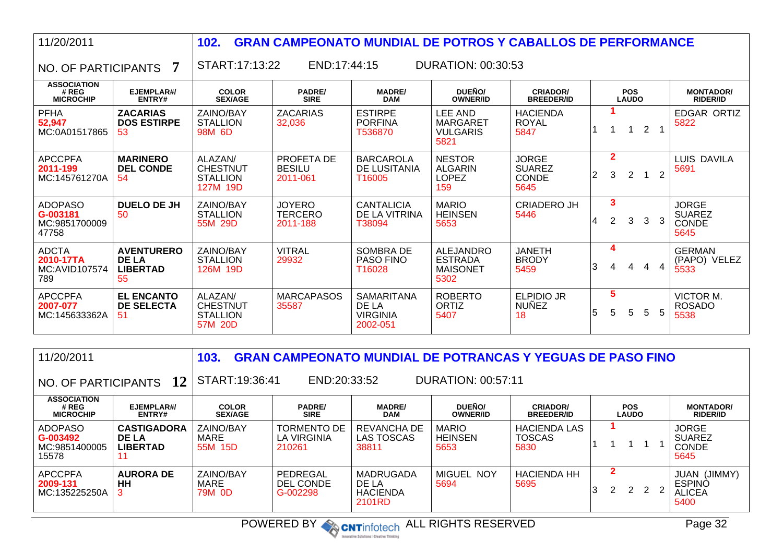| 11/20/2011                                           |                                                            | 102.                                                      | <b>GRAN CAMPEONATO MUNDIAL DE POTROS Y CABALLOS DE PERFORMANCE</b> |                                                           |                                                               |                                                       |    |                     |                            |                |                |                                                       |
|------------------------------------------------------|------------------------------------------------------------|-----------------------------------------------------------|--------------------------------------------------------------------|-----------------------------------------------------------|---------------------------------------------------------------|-------------------------------------------------------|----|---------------------|----------------------------|----------------|----------------|-------------------------------------------------------|
| NO. OF PARTICIPANTS                                  | 7                                                          | START:17:13:22                                            | END:17:44:15                                                       |                                                           | <b>DURATION: 00:30:53</b>                                     |                                                       |    |                     |                            |                |                |                                                       |
| <b>ASSOCIATION</b><br># REG<br><b>MICROCHIP</b>      | EJEMPLAR#/<br>ENTRY#                                       | <b>COLOR</b><br><b>SEX/AGE</b>                            | <b>PADRE/</b><br><b>SIRE</b>                                       | <b>MADRE/</b><br><b>DAM</b>                               | DUEÑO/<br><b>OWNER/ID</b>                                     | <b>CRIADOR/</b><br><b>BREEDER/ID</b>                  |    |                     | <b>POS</b><br><b>LAUDO</b> |                |                | <b>MONTADOR/</b><br><b>RIDER/ID</b>                   |
| <b>PFHA</b><br>52,947<br>MC:0A01517865               | <b>ZACARIAS</b><br><b>DOS ESTIRPE</b><br>-53               | ZAINO/BAY<br><b>STALLION</b><br>98M 6D                    | <b>ZACARIAS</b><br>32,036                                          | <b>ESTIRPE</b><br><b>PORFINA</b><br>T536870               | LEE AND<br><b>MARGARET</b><br><b>VULGARIS</b><br>5821         | <b>HACIENDA</b><br><b>ROYAL</b><br>5847               |    |                     | 1                          | $\overline{2}$ |                | EDGAR ORTIZ<br>5822                                   |
| <b>APCCPFA</b><br>2011-199<br>MC:145761270A          | <b>MARINERO</b><br><b>DEL CONDE</b><br>-54                 | ALAZAN/<br><b>CHESTNUT</b><br><b>STALLION</b><br>127M 19D | PROFETA DE<br><b>BESILU</b><br>2011-061                            | <b>BARCAROLA</b><br>DE LUSITANIA<br>T16005                | <b>NESTOR</b><br><b>ALGARIN</b><br><b>LOPEZ</b><br>159        | <b>JORGE</b><br><b>SUAREZ</b><br><b>CONDE</b><br>5645 | 12 | $\overline{2}$<br>3 | $\overline{2}$             |                | $\overline{2}$ | <b>LUIS DAVILA</b><br>5691                            |
| <b>ADOPASO</b><br>G-003181<br>MC:9851700009<br>47758 | DUELO DE JH<br>50                                          | ZAINO/BAY<br><b>STALLION</b><br>55M 29D                   | <b>JOYERO</b><br><b>TERCERO</b><br>2011-188                        | <b>CANTALICIA</b><br>DE LA VITRINA<br>T38094              | <b>MARIO</b><br><b>HEINSEN</b><br>5653                        | <b>CRIADERO JH</b><br>5446                            | 14 | 3<br>2              | 3                          | $\mathcal{E}$  | -3             | <b>JORGE</b><br><b>SUAREZ</b><br><b>CONDE</b><br>5645 |
| <b>ADCTA</b><br>2010-17TA<br>MC:AVID107574<br>789    | <b>AVENTURERO</b><br><b>DE LA</b><br><b>LIBERTAD</b><br>55 | ZAINO/BAY<br><b>STALLION</b><br>126M 19D                  | <b>VITRAL</b><br>29932                                             | SOMBRA DE<br><b>PASO FINO</b><br>T16028                   | <b>ALEJANDRO</b><br><b>ESTRADA</b><br><b>MAISONET</b><br>5302 | <b>JANETH</b><br><b>BRODY</b><br>5459                 | 3  | 4<br>$\overline{4}$ | $\overline{4}$             | 4              | $\overline{4}$ | <b>GERMAN</b><br>(PAPO) VELEZ<br>5533                 |
| <b>APCCPFA</b><br>2007-077<br>MC:145633362A          | <b>EL ENCANTO</b><br><b>DE SELECTA</b><br>-51              | ALAZAN/<br><b>CHESTNUT</b><br><b>STALLION</b><br>57M 20D  | <b>MARCAPASOS</b><br>35587                                         | <b>SAMARITANA</b><br>DE LA<br><b>VIRGINIA</b><br>2002-051 | <b>ROBERTO</b><br><b>ORTIZ</b><br>5407                        | <b>ELPIDIO JR</b><br><b>NUÑEZ</b><br>18               | 5  | 5<br>5              | 5                          | 5              | 5              | VICTOR M.<br><b>ROSADO</b><br>5538                    |

| 11/20/2011                                           |                                                       | 103.                           |                                      |                                                 |                                        | <b>GRAN CAMPEONATO MUNDIAL DE POTRANCAS Y YEGUAS DE PASO FINO</b> |   |   |                            |  |                                                           |
|------------------------------------------------------|-------------------------------------------------------|--------------------------------|--------------------------------------|-------------------------------------------------|----------------------------------------|-------------------------------------------------------------------|---|---|----------------------------|--|-----------------------------------------------------------|
| NO. OF PARTICIPANTS                                  | 12                                                    | START:19:36:41                 | END:20:33:52                         |                                                 | <b>DURATION: 00:57:11</b>              |                                                                   |   |   |                            |  |                                                           |
| <b>ASSOCIATION</b><br># REG<br><b>MICROCHIP</b>      | EJEMPLAR#/<br>ENTRY#                                  | <b>COLOR</b><br><b>SEX/AGE</b> | <b>PADRE/</b><br><b>SIRE</b>         | <b>MADRE/</b><br><b>DAM</b>                     | DUEÑO/<br><b>OWNER/ID</b>              | <b>CRIADOR/</b><br><b>BREEDER/ID</b>                              |   |   | <b>POS</b><br><b>LAUDO</b> |  | <b>MONTADOR/</b><br><b>RIDER/ID</b>                       |
| <b>ADOPASO</b><br>G-003492<br>MC:9851400005<br>15578 | <b>CASTIGADORA</b><br><b>DE LA</b><br><b>LIBERTAD</b> | ZAINO/BAY<br>MARE<br>55M 15D   | TORMENTO DE<br>LA VIRGINIA<br>210261 | REVANCHA DE<br><b>LAS TOSCAS</b><br>38811       | <b>MARIO</b><br><b>HEINSEN</b><br>5653 | <b>HACIENDA LAS</b><br><b>TOSCAS</b><br>5830                      |   |   |                            |  | <b>JORGE</b><br><b>SUAREZ</b><br><b>CONDE</b><br>5645     |
| <b>APCCPFA</b><br>2009-131<br>MC:135225250A          | <b>AURORA DE</b><br>HH                                | ZAINO/BAY<br>MARE<br>79M 0D    | PEDREGAL<br>DEL CONDE<br>G-002298    | MADRUGADA<br>DE LA<br><b>HACIENDA</b><br>2101RD | <b>MIGUEL NOY</b><br>5694              | <b>HACIENDA HH</b><br>5695                                        | 3 | 2 | 2 2 2                      |  | (JIMMY)<br>JUAN<br><b>ESPINO</b><br><b>ALICEA</b><br>5400 |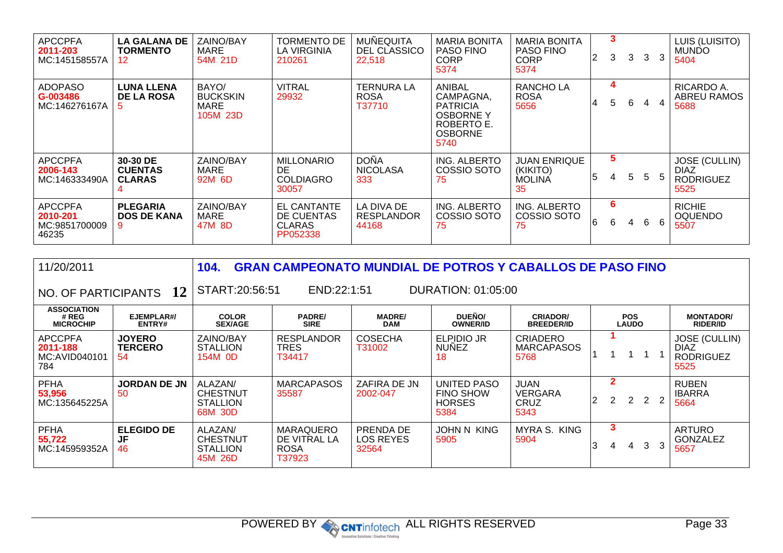| <b>APCCPFA</b><br>2011-203<br>MC:145158557A          | <b>LA GALANA DE</b><br>TORMENTO<br>12        | <b>ZAINO/BAY</b><br>MARE<br>54M 21D          | <b>TORMENTO DE</b><br><b>LA VIRGINIA</b><br>210261            | MUÑEQUITA<br>DEL CLASSICO<br>22,518        | <b>MARIA BONITA</b><br><b>PASO FINO</b><br><b>CORP</b><br>5374                                            | <b>MARIA BONITA</b><br><b>PASO FINO</b><br><b>CORP</b><br>5374 | 2 | 3<br>3  | 3 | $\mathbf{3}$ | 3  | LUIS (LUISITO)<br><b>MUNDO</b><br>5404                          |
|------------------------------------------------------|----------------------------------------------|----------------------------------------------|---------------------------------------------------------------|--------------------------------------------|-----------------------------------------------------------------------------------------------------------|----------------------------------------------------------------|---|---------|---|--------------|----|-----------------------------------------------------------------|
| ADOPASO<br>G-003486<br>MC:146276167A                 | <b>LUNA LLENA</b><br><b>DE LA ROSA</b><br>5. | BAYO/<br><b>BUCKSKIN</b><br>MARE<br>105M 23D | <b>VITRAL</b><br>29932                                        | <b>TERNURA LA</b><br><b>ROSA</b><br>T37710 | <b>ANIBAL</b><br>CAMPAGNA,<br><b>PATRICIA</b><br><b>OSBORNE Y</b><br>ROBERTO E.<br><b>OSBORNE</b><br>5740 | <b>RANCHOLA</b><br><b>ROSA</b><br>5656                         | 4 | 4<br>5. | 6 | 4            |    | RICARDO A.<br>ABREU RAMOS<br>5688                               |
| <b>APCCPFA</b><br>2006-143<br>MC:146333490A          | 30-30 DE<br><b>CUENTAS</b><br><b>CLARAS</b>  | ZAINO/BAY<br>MARE<br>92M 6D                  | <b>MILLONARIO</b><br>DE.<br><b>COLDIAGRO</b><br>30057         | DOÑA<br><b>NICOLASA</b><br>333             | ING. ALBERTO<br>COSSIO SOTO<br>75                                                                         | <b>JUAN ENRIQUE</b><br>(KIKITO)<br><b>MOLINA</b><br>35         | 5 | 5<br>4  | 5 | 5            | -5 | <b>JOSE (CULLIN)</b><br><b>DIAZ</b><br><b>RODRIGUEZ</b><br>5525 |
| <b>APCCPFA</b><br>2010-201<br>MC:9851700009<br>46235 | <b>PLEGARIA</b><br><b>DOS DE KANA</b>        | ZAINO/BAY<br><b>MARE</b><br>47M 8D           | <b>EL CANTANTE</b><br>DE CUENTAS<br><b>CLARAS</b><br>PP052338 | LA DIVA DE<br><b>RESPLANDOR</b><br>44168   | ING. ALBERTO<br>COSSIO SOTO<br>75                                                                         | ING. ALBERTO<br>COSSIO SOTO<br>75                              | 6 | 6<br>6  | 4 | 6            | 6  | <b>RICHIE</b><br><b>OQUENDO</b><br>5507                         |

| 11/20/2011                                         |                                       | 104.                                                     | <b>GRAN CAMPEONATO MUNDIAL DE POTROS Y CABALLOS DE PASO FINO</b> |                                               |                                                                 |                                              |   |                            |   |   |                |                                                                 |
|----------------------------------------------------|---------------------------------------|----------------------------------------------------------|------------------------------------------------------------------|-----------------------------------------------|-----------------------------------------------------------------|----------------------------------------------|---|----------------------------|---|---|----------------|-----------------------------------------------------------------|
| NO. OF PARTICIPANTS 12                             |                                       | START:20:56:51                                           | END:22:1:51                                                      |                                               | DURATION: 01:05:00                                              |                                              |   |                            |   |   |                |                                                                 |
| <b>ASSOCIATION</b><br># REG<br><b>MICROCHIP</b>    | EJEMPLAR#/<br>ENTRY#                  | <b>COLOR</b><br><b>SEX/AGE</b>                           | <b>PADRE/</b><br><b>SIRE</b>                                     | <b>MADRE/</b><br><b>DAM</b>                   | DUEÑO/<br><b>OWNER/ID</b>                                       | <b>CRIADOR/</b><br><b>BREEDER/ID</b>         |   | <b>POS</b><br><b>LAUDO</b> |   |   |                | <b>MONTADOR/</b><br><b>RIDER/ID</b>                             |
| <b>APCCPFA</b><br>2011-188<br>MC:AVID040101<br>784 | <b>JOYERO</b><br><b>TERCERO</b><br>54 | ZAINO/BAY<br><b>STALLION</b><br>154M 0D                  | <b>RESPLANDOR</b><br>TRES<br>T34417                              | <b>COSECHA</b><br>T31002                      | <b>ELPIDIO JR</b><br><b>NUNEZ</b><br>18                         | <b>CRIADERO</b><br><b>MARCAPASOS</b><br>5768 |   |                            |   |   |                | <b>JOSE (CULLIN)</b><br><b>DIAZ</b><br><b>RODRIGUEZ</b><br>5525 |
| <b>PFHA</b><br>53,956<br>MC:135645225A             | <b>JORDAN DE JN</b><br>50             | ALAZAN/<br><b>CHESTNUT</b><br><b>STALLION</b><br>68M 30D | <b>MARCAPASOS</b><br>35587                                       | ZAFIRA DE JN<br>2002-047                      | <b>UNITED PASO</b><br><b>FINO SHOW</b><br><b>HORSES</b><br>5384 | JUAN<br><b>VERGARA</b><br>CRUZ<br>5343       | 2 | $\overline{2}$             | 2 |   | $\overline{2}$ | <b>RUBEN</b><br><b>IBARRA</b><br>5664                           |
| <b>PFHA</b><br>55,722<br>MC:145959352A             | <b>ELEGIDO DE</b><br>JF<br>46         | ALAZAN/<br><b>CHESTNUT</b><br><b>STALLION</b><br>45M 26D | <b>MARAQUERO</b><br>DE VITRAL LA<br><b>ROSA</b><br>T37923        | <b>PRENDA DE</b><br><b>LOS REYES</b><br>32564 | <b>JOHN N KING</b><br>5905                                      | MYRA S.<br><b>KING</b><br>5904               | 3 | 3<br>4                     | 4 | 3 | 3              | <b>ARTURO</b><br><b>GONZALEZ</b><br>5657                        |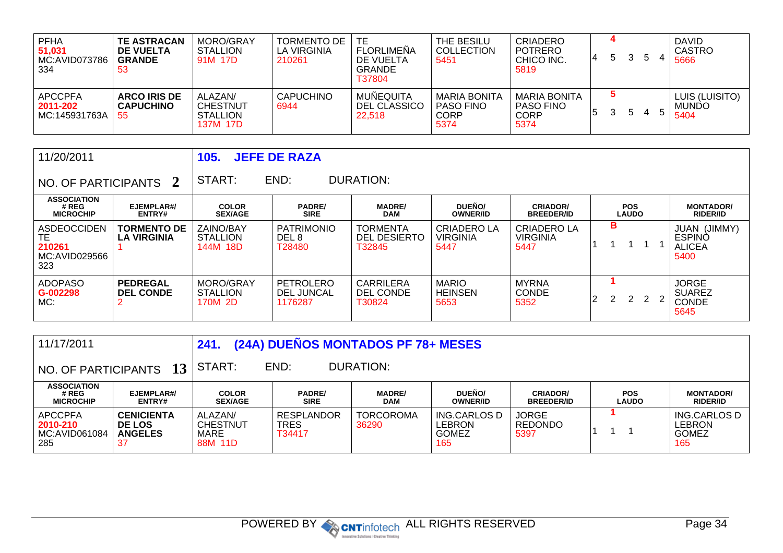| PFHA<br>51,031<br>MC:AVID073786<br>334 | <b>TE ASTRACAN</b><br>DE VUELTA<br><b>GRANDE</b><br>-53 | MORO/GRAY<br><b>STALLION</b><br>91M 17D                   | TORMENTO DE<br>LA VIRGINIA<br>210261 | TE.<br><b>FLORLIMENA</b><br>DE VUELTA<br><b>GRANDE</b><br>T37804 | THE BESILU<br><b>COLLECTION</b><br>5451                        | <b>CRIADERO</b><br><b>POTRERO</b><br>CHICO INC.<br>5819 | 4 | 5 | 3  | b |               | <b>DAVID</b><br><b>CASTRO</b><br>5666  |
|----------------------------------------|---------------------------------------------------------|-----------------------------------------------------------|--------------------------------------|------------------------------------------------------------------|----------------------------------------------------------------|---------------------------------------------------------|---|---|----|---|---------------|----------------------------------------|
| APCCPFA<br>2011-202<br>MC:145931763A   | <b>ARCO IRIS DE</b><br><b>CAPUCHINO</b><br>55           | ALAZAN/<br><b>CHESTNUT</b><br><b>STALLION</b><br>137M 17D | <b>CAPUCHINO</b><br>6944             | MUÑEQUITA<br>DEL CLASSICO<br>22,518                              | <b>MARIA BONITA</b><br><b>PASO FINO</b><br><b>CORP</b><br>5374 | <b>MARIA BONITA</b><br><b>PASO FINO</b><br>CORP<br>5374 | 5 |   | b. | 4 | $\mathcal{D}$ | LUIS (LUISITO)<br><b>MUNDO</b><br>5404 |

| 11/20/2011                                          |                                          | 105.                                     | <b>JEFE DE RAZA</b>                             |                                                  |                                               |                                        |    |   |                            |   |     |                                                                  |
|-----------------------------------------------------|------------------------------------------|------------------------------------------|-------------------------------------------------|--------------------------------------------------|-----------------------------------------------|----------------------------------------|----|---|----------------------------|---|-----|------------------------------------------------------------------|
| NO. OF PARTICIPANTS 2                               |                                          | START:                                   | END:                                            | <b>DURATION:</b>                                 |                                               |                                        |    |   |                            |   |     |                                                                  |
| <b>ASSOCIATION</b><br># REG<br><b>MICROCHIP</b>     | EJEMPLAR#/<br>ENTRY#                     | <b>COLOR</b><br><b>SEX/AGE</b>           | <b>PADRE/</b><br><b>SIRE</b>                    | <b>MADRE/</b><br><b>DAM</b>                      | <b>DUEÑO/</b><br><b>OWNER/ID</b>              | <b>CRIADOR/</b><br><b>BREEDER/ID</b>   |    |   | <b>POS</b><br><b>LAUDO</b> |   |     | <b>MONTADOR/</b><br><b>RIDER/ID</b>                              |
| ASDEOCCIDEN<br>TЕ<br>210261<br>MC:AVID029566<br>323 | <b>TORMENTO DE</b><br><b>LA VIRGINIA</b> | ZAINO/BAY<br><b>STALLION</b><br>144M 18D | <b>PATRIMONIO</b><br>DEL <sub>8</sub><br>T28480 | <b>TORMENTA</b><br><b>DEL DESIERTO</b><br>T32845 | <b>CRIADERO LA</b><br><b>VIRGINIA</b><br>5447 | CRIADERO LA<br><b>VIRGINIA</b><br>5447 |    | в |                            |   |     | (JIMMY)<br><b>JUAN</b><br><b>ESPINO</b><br><b>ALICEA</b><br>5400 |
| <b>ADOPASO</b><br>G-002298<br>MC:                   | <b>PEDREGAL</b><br><b>DEL CONDE</b>      | MORO/GRAY<br><b>STALLION</b><br>170M 2D  | PETROLERO<br><b>DEL JUNCAL</b><br>1176287       | <b>CARRILERA</b><br>DEL CONDE<br>T30824          | <b>MARIO</b><br><b>HEINSEN</b><br>5653        | <b>MYRNA</b><br><b>CONDE</b><br>5352   | 12 | 2 | 2                          | 2 | - 2 | <b>JORGE</b><br><b>SUAREZ</b><br><b>CONDE</b><br>5645            |

| 11/17/2011                                         |                                                            | (24A) DUENOS MONTADOS PF 78+ MESES<br>241.    |                                     |                             |                                               |                                        |                            |                                               |  |  |  |
|----------------------------------------------------|------------------------------------------------------------|-----------------------------------------------|-------------------------------------|-----------------------------|-----------------------------------------------|----------------------------------------|----------------------------|-----------------------------------------------|--|--|--|
| 13<br>NO. OF PARTICIPANTS                          |                                                            | DURATION:<br>END:<br>START:                   |                                     |                             |                                               |                                        |                            |                                               |  |  |  |
| <b>ASSOCIATION</b><br># REG<br><b>MICROCHIP</b>    | EJEMPLAR#/<br>ENTRY#                                       | <b>COLOR</b><br><b>SEX/AGE</b>                | <b>PADRE/</b><br><b>SIRE</b>        | <b>MADRE/</b><br><b>DAM</b> | <b>DUEÑO/</b><br><b>OWNER/ID</b>              | <b>CRIADOR/</b><br><b>BREEDER/ID</b>   | <b>POS</b><br><b>LAUDO</b> | <b>MONTADOR/</b><br><b>RIDER/ID</b>           |  |  |  |
| <b>APCCPFA</b><br>2010-210<br>MC:AVID061084<br>285 | <b>CENICIENTA</b><br><b>DE LOS</b><br><b>ANGELES</b><br>37 | ALAZAN/<br><b>CHESTNUT</b><br>MARE<br>88M 11D | <b>RESPLANDOR</b><br>TRES<br>T34417 | <b>TORCOROMA</b><br>36290   | ING.CARLOS D<br>LEBRON<br><b>GOMEZ</b><br>165 | <b>JORGE</b><br><b>REDONDO</b><br>5397 |                            | ING.CARLOS D<br>LEBRON<br><b>GOMEZ</b><br>165 |  |  |  |